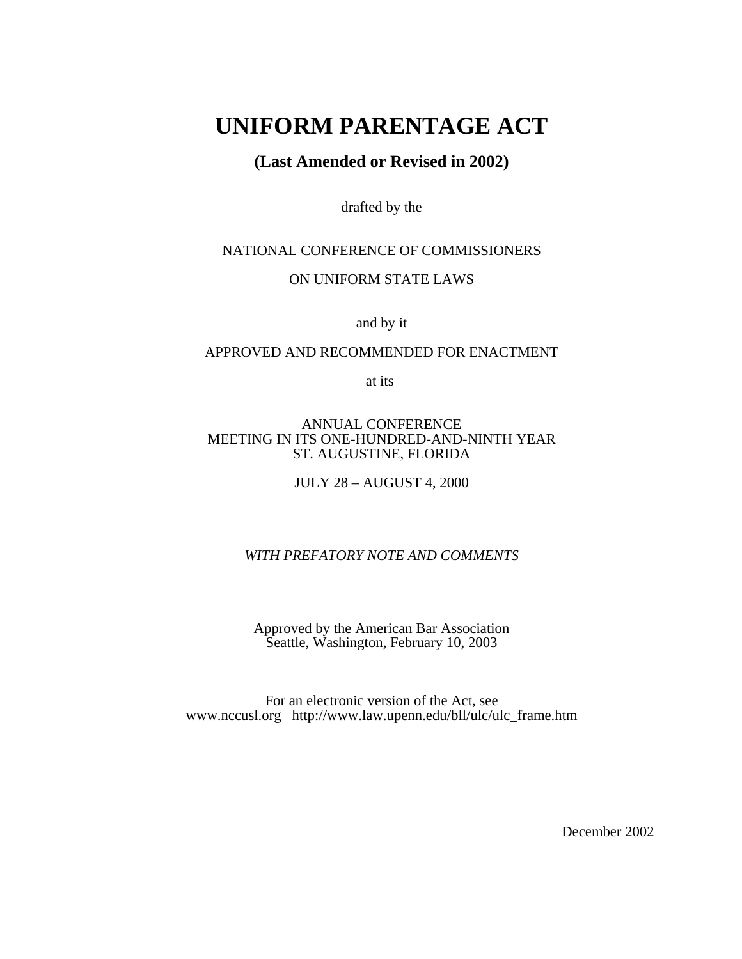# **UNIFORM PARENTAGE ACT**

# **(Last Amended or Revised in 2002)**

drafted by the

# NATIONAL CONFERENCE OF COMMISSIONERS

# ON UNIFORM STATE LAWS

and by it

# APPROVED AND RECOMMENDED FOR ENACTMENT

at its

# ANNUAL CONFERENCE MEETING IN ITS ONE-HUNDRED-AND-NINTH YEAR ST. AUGUSTINE, FLORIDA

JULY 28 – AUGUST 4, 2000

# *WITH PREFATORY NOTE AND COMMENTS*

Approved by the American Bar Association Seattle, Washington, February 10, 2003

For an electronic version of the Act, see www.nccusl.org http://www.law.upenn.edu/bll/ulc/ulc\_frame.htm

December 2002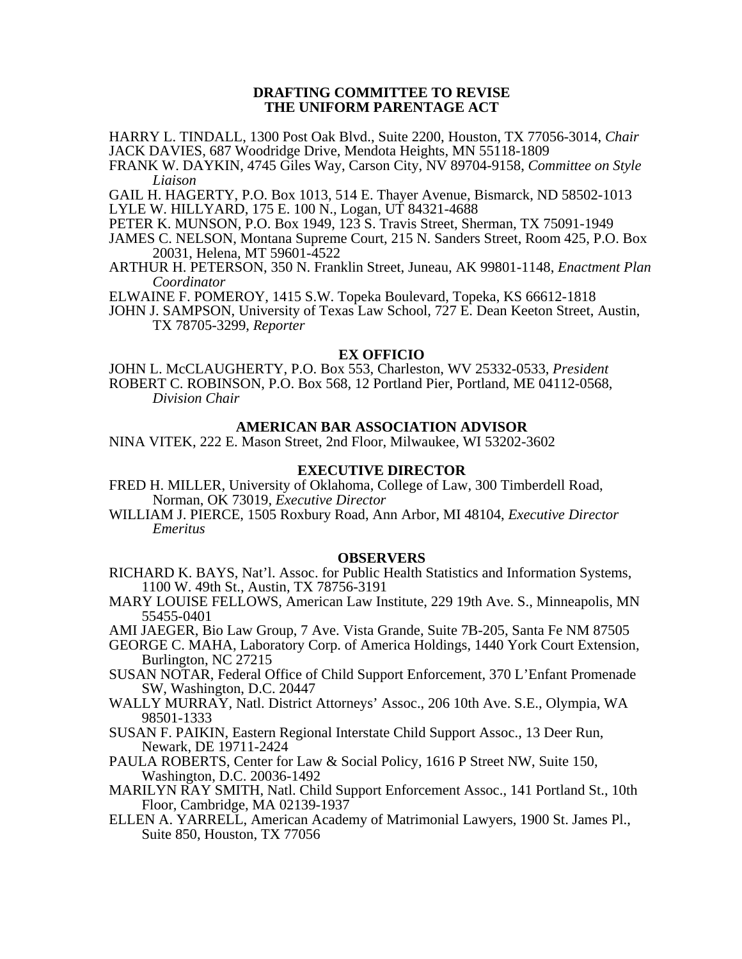# **DRAFTING COMMITTEE TO REVISE THE UNIFORM PARENTAGE ACT**

HARRY L. TINDALL, 1300 Post Oak Blvd., Suite 2200, Houston, TX 77056-3014, *Chair*  JACK DAVIES, 687 Woodridge Drive, Mendota Heights, MN 55118-1809

- FRANK W. DAYKIN, 4745 Giles Way, Carson City, NV 89704-9158, *Committee on Style Liaison*
- GAIL H. HAGERTY, P.O. Box 1013, 514 E. Thayer Avenue, Bismarck, ND 58502-1013

LYLE W. HILLYARD, 175 E. 100 N., Logan, UT 84321-4688

- PETER K. MUNSON, P.O. Box 1949, 123 S. Travis Street, Sherman, TX 75091-1949
- JAMES C. NELSON, Montana Supreme Court, 215 N. Sanders Street, Room 425, P.O. Box 20031, Helena, MT 59601-4522
- ARTHUR H. PETERSON, 350 N. Franklin Street, Juneau, AK 99801-1148, *Enactment Plan Coordinator*

ELWAINE F. POMEROY, 1415 S.W. Topeka Boulevard, Topeka, KS 66612-1818

JOHN J. SAMPSON, University of Texas Law School, 727 E. Dean Keeton Street, Austin, TX 78705-3299, *Reporter* 

# **EX OFFICIO**

JOHN L. McCLAUGHERTY, P.O. Box 553, Charleston, WV 25332-0533, *President*  ROBERT C. ROBINSON, P.O. Box 568, 12 Portland Pier, Portland, ME 04112-0568, *Division Chair* 

# **AMERICAN BAR ASSOCIATION ADVISOR**

NINA VITEK, 222 E. Mason Street, 2nd Floor, Milwaukee, WI 53202-3602

# **EXECUTIVE DIRECTOR**

- FRED H. MILLER, University of Oklahoma, College of Law, 300 Timberdell Road, Norman, OK 73019, *Executive Director*
- WILLIAM J. PIERCE, 1505 Roxbury Road, Ann Arbor, MI 48104, *Executive Director Emeritus*

#### **OBSERVERS**

- RICHARD K. BAYS, Nat'l. Assoc. for Public Health Statistics and Information Systems, 1100 W. 49th St., Austin, TX 78756-3191
- MARY LOUISE FELLOWS, American Law Institute, 229 19th Ave. S., Minneapolis, MN 55455-0401
- AMI JAEGER, Bio Law Group, 7 Ave. Vista Grande, Suite 7B-205, Santa Fe NM 87505
- GEORGE C. MAHA, Laboratory Corp. of America Holdings, 1440 York Court Extension, Burlington, NC 27215
- SUSAN NOTAR, Federal Office of Child Support Enforcement, 370 L'Enfant Promenade SW, Washington, D.C. 20447
- WALLY MURRAY, Natl. District Attorneys' Assoc., 206 10th Ave. S.E., Olympia, WA 98501-1333
- SUSAN F. PAIKIN, Eastern Regional Interstate Child Support Assoc., 13 Deer Run, Newark, DE 19711-2424
- PAULA ROBERTS, Center for Law & Social Policy, 1616 P Street NW, Suite 150, Washington, D.C. 20036-1492
- MARILYN RAY SMITH, Natl. Child Support Enforcement Assoc., 141 Portland St., 10th Floor, Cambridge, MA 02139-1937
- ELLEN A. YARRELL, American Academy of Matrimonial Lawyers, 1900 St. James Pl., Suite 850, Houston, TX 77056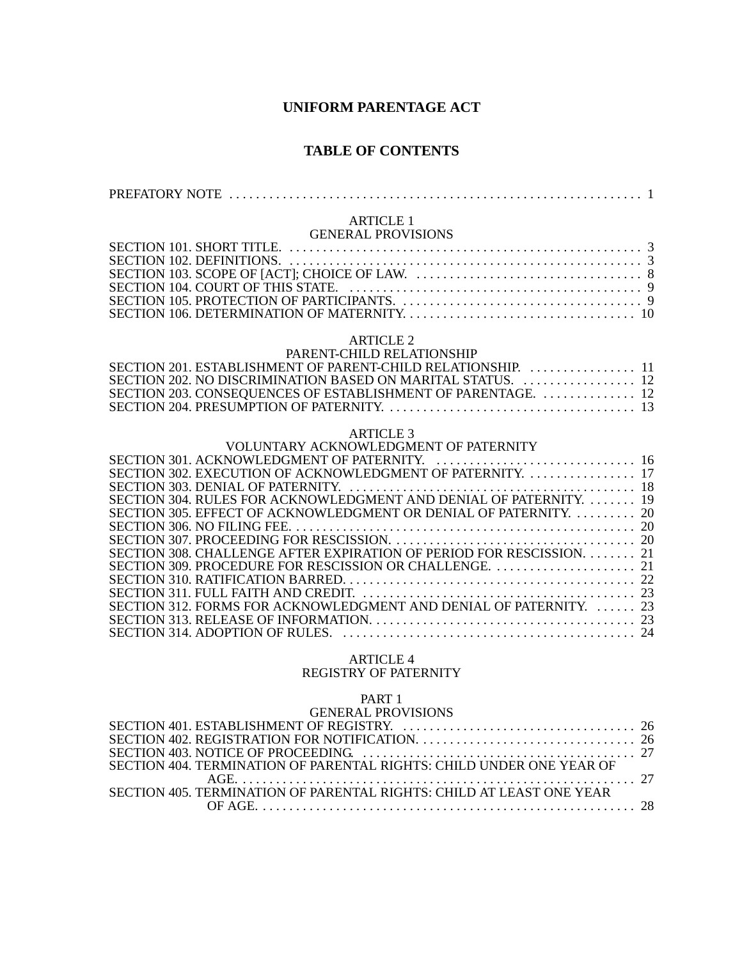# **UNIFORM PARENTAGE ACT**

# **TABLE OF CONTENTS**

| <b>ARTICLE 1</b>                                                     |
|----------------------------------------------------------------------|
| <b>GENERAL PROVISIONS</b>                                            |
|                                                                      |
|                                                                      |
|                                                                      |
|                                                                      |
|                                                                      |
|                                                                      |
| <b>ARTICLE 2</b>                                                     |
| PARENT-CHILD RELATIONSHIP                                            |
| SECTION 201. ESTABLISHMENT OF PARENT-CHILD RELATIONSHIP.  11         |
| SECTION 202. NO DISCRIMINATION BASED ON MARITAL STATUS.  12          |
|                                                                      |
|                                                                      |
| <b>ARTICLE 3</b>                                                     |
| VOLUNTARY ACKNOWLEDGMENT OF PATERNITY                                |
|                                                                      |
|                                                                      |
|                                                                      |
| SECTION 304. RULES FOR ACKNOWLEDGMENT AND DENIAL OF PATERNITY.  19   |
| SECTION 305. EFFECT OF ACKNOWLEDGMENT OR DENIAL OF PATERNITY. 20     |
|                                                                      |
| SECTION 308. CHALLENGE AFTER EXPIRATION OF PERIOD FOR RESCISSION. 21 |
|                                                                      |
|                                                                      |
|                                                                      |
| SECTION 312. FORMS FOR ACKNOWLEDGMENT AND DENIAL OF PATERNITY.  23   |
|                                                                      |
|                                                                      |
|                                                                      |

#### [ARTICLE 4](#page-8-0) REGISTRY OF PATERNITY

# [PART 1](#page-5-0)

| <b>GENERAL PROVISIONS</b>                                            |  |
|----------------------------------------------------------------------|--|
|                                                                      |  |
|                                                                      |  |
|                                                                      |  |
| SECTION 404, TERMINATION OF PARENTAL RIGHTS: CHILD UNDER ONE YEAR OF |  |
|                                                                      |  |
| SECTION 405. TERMINATION OF PARENTAL RIGHTS: CHILD AT LEAST ONE YEAR |  |
|                                                                      |  |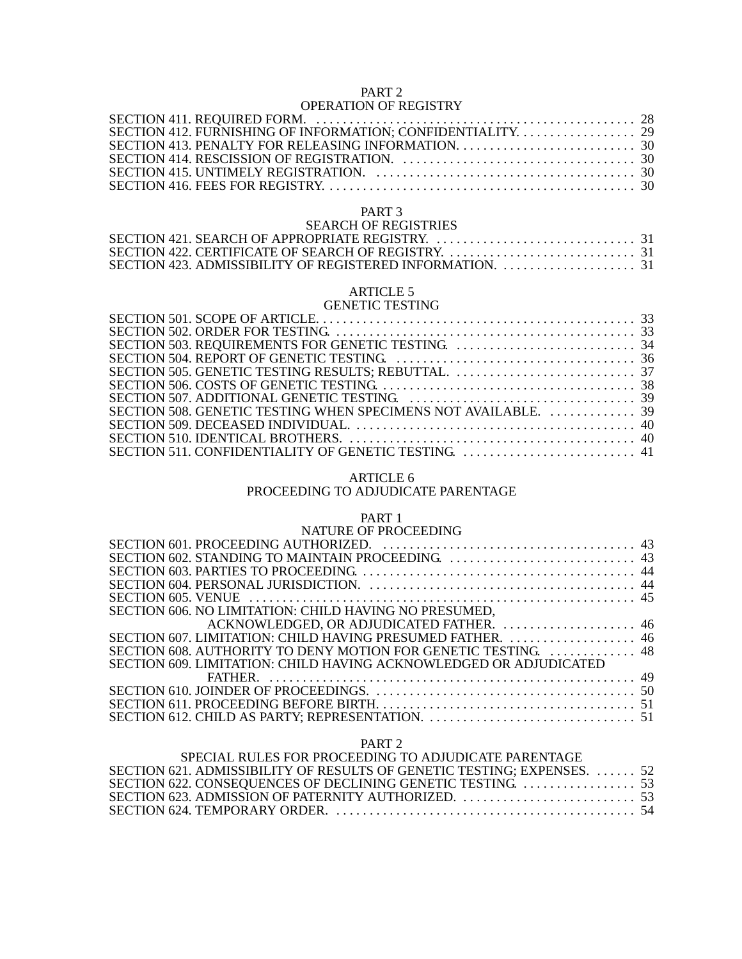# [PART 2](#page-6-0)

#### OPERATION OF REGISTRY

| SECTION 412. FURNISHING OF INFORMATION: CONFIDENTIALITY. 29 |  |
|-------------------------------------------------------------|--|
|                                                             |  |
|                                                             |  |
|                                                             |  |
|                                                             |  |

# [PART 3](#page-7-0)

#### SEARCH OF REGISTRIES

| SECTION 422. CERTIFICATE OF SEARCH OF REGISTRY. $\ldots$ , , , , , , , , , , , , , , , , , , 31 |  |
|-------------------------------------------------------------------------------------------------|--|
|                                                                                                 |  |

# [ARTICLE 5](#page-9-0)

#### GENETIC TESTING

| SECTION 508. GENETIC TESTING WHEN SPECIMENS NOT AVAILABLE.  39 |  |
|----------------------------------------------------------------|--|
|                                                                |  |
|                                                                |  |
|                                                                |  |
|                                                                |  |

#### [ARTICLE 6](#page-10-0)

# PROCEEDING TO ADJUDICATE PARENTAGE

#### [PART 1](#page-5-0)

| NATURE OF PROCEEDING                                                                                                              |
|-----------------------------------------------------------------------------------------------------------------------------------|
|                                                                                                                                   |
|                                                                                                                                   |
|                                                                                                                                   |
|                                                                                                                                   |
|                                                                                                                                   |
| SECTION 606. NO LIMITATION: CHILD HAVING NO PRESUMED.                                                                             |
|                                                                                                                                   |
|                                                                                                                                   |
| SECTION 608. AUTHORITY TO DENY MOTION FOR GENETIC TESTING  48                                                                     |
| SECTION 609. LIMITATION: CHILD HAVING ACKNOWLEDGED OR ADJUDICATED                                                                 |
|                                                                                                                                   |
| SECTION 610. JOINDER OF PROCEEDINGS. $\ldots$ $\ldots$ $\ldots$ $\ldots$ $\ldots$ $\ldots$ $\ldots$ $\ldots$ $\ldots$ $\ldots$ 50 |
|                                                                                                                                   |
|                                                                                                                                   |

# [PART 2](#page-6-0)

| SPECIAL RULES FOR PROCEEDING TO ADJUDICATE PARENTAGE                    |  |
|-------------------------------------------------------------------------|--|
| SECTION 621. ADMISSIBILITY OF RESULTS OF GENETIC TESTING; EXPENSES.  52 |  |
|                                                                         |  |
|                                                                         |  |
|                                                                         |  |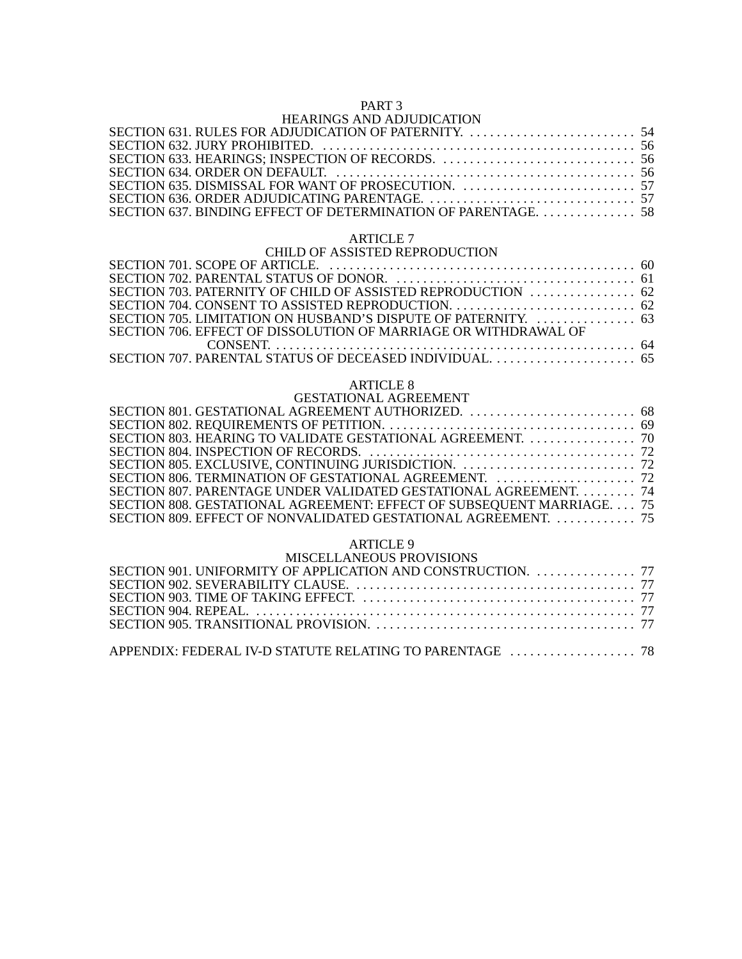#### [PART 3](#page-7-0)

# HEARINGS AND ADJUDICATION

#### [ARTICLE 7](#page-11-0)

# CHILD OF ASSISTED REPRODUCTION

| SECTION 705. LIMITATION ON HUSBAND'S DISPUTE OF PATERNITY.  63  |  |
|-----------------------------------------------------------------|--|
| SECTION 706. EFFECT OF DISSOLUTION OF MARRIAGE OR WITHDRAWAL OF |  |
|                                                                 |  |
|                                                                 |  |

#### [ARTICLE 8](#page-12-0)

#### GESTATIONAL AGREEMENT

| SECTION 803. HEARING TO VALIDATE GESTATIONAL AGREEMENT. 70            |  |
|-----------------------------------------------------------------------|--|
|                                                                       |  |
|                                                                       |  |
|                                                                       |  |
| SECTION 807. PARENTAGE UNDER VALIDATED GESTATIONAL AGREEMENT. 74      |  |
| SECTION 808. GESTATIONAL AGREEMENT: EFFECT OF SUBSEQUENT MARRIAGE. 75 |  |
| SECTION 809. EFFECT OF NONVALIDATED GESTATIONAL AGREEMENT.  75        |  |

# [ARTICLE 9](#page-13-0)

| MISCELLANEOUS PROVISIONS<br>MISCELLANEOUS PROVISIONS<br>SECTION 901. UNIFORMITY OF APPLICATION AND CONSTRUCTION. 77 |  |
|---------------------------------------------------------------------------------------------------------------------|--|
|                                                                                                                     |  |
|                                                                                                                     |  |
|                                                                                                                     |  |
|                                                                                                                     |  |
|                                                                                                                     |  |
|                                                                                                                     |  |
|                                                                                                                     |  |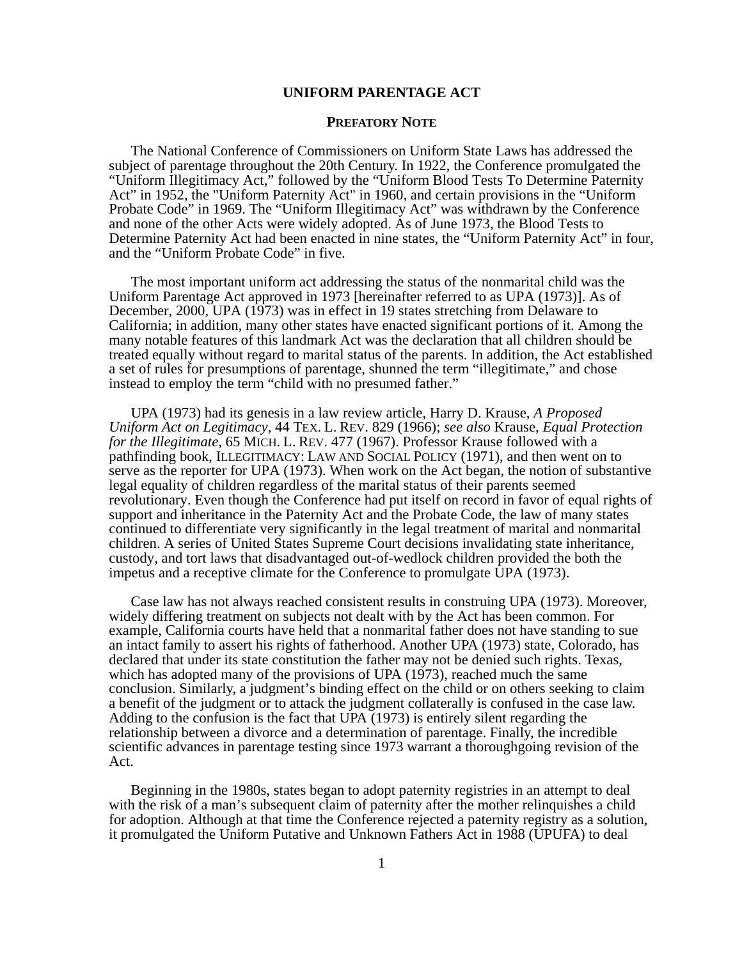# **UNIFORM PARENTAGE ACT**

# **PREFATORY NOTE**

<span id="page-5-0"></span>The National Conference of Commissioners on Uniform State Laws has addressed the subject of parentage throughout the 20th Century. In 1922, the Conference promulgated the "Uniform Illegitimacy Act," followed by the "Uniform Blood Tests To Determine Paternity Act" in 1952, the "Uniform Paternity Act" in 1960, and certain provisions in the "Uniform Probate Code" in 1969. The "Uniform Illegitimacy Act" was withdrawn by the Conference and none of the other Acts were widely adopted. As of June 1973, the Blood Tests to Determine Paternity Act had been enacted in nine states, the "Uniform Paternity Act" in four, and the "Uniform Probate Code" in five.

The most important uniform act addressing the status of the nonmarital child was the Uniform Parentage Act approved in 1973 [hereinafter referred to as UPA (1973)]. As of December, 2000, UPA (1973) was in effect in 19 states stretching from Delaware to California; in addition, many other states have enacted significant portions of it. Among the many notable features of this landmark Act was the declaration that all children should be treated equally without regard to marital status of the parents. In addition, the Act established a set of rules for presumptions of parentage, shunned the term "illegitimate," and chose instead to employ the term "child with no presumed father."

UPA (1973) had its genesis in a law review article, Harry D. Krause, *A Proposed Uniform Act on Legitimacy*, 44 TEX. L. REV. 829 (1966); *see also* Krause, *Equal Protection for the Illegitimate*, 65 MICH. L. REV. 477 (1967). Professor Krause followed with a pathfinding book, ILLEGITIMACY: LAW AND SOCIAL POLICY (1971), and then went on to serve as the reporter for UPA (1973). When work on the Act began, the notion of substantive legal equality of children regardless of the marital status of their parents seemed revolutionary. Even though the Conference had put itself on record in favor of equal rights of support and inheritance in the Paternity Act and the Probate Code, the law of many states continued to differentiate very significantly in the legal treatment of marital and nonmarital children. A series of United States Supreme Court decisions invalidating state inheritance, custody, and tort laws that disadvantaged out-of-wedlock children provided the both the impetus and a receptive climate for the Conference to promulgate UPA (1973).

Case law has not always reached consistent results in construing UPA (1973). Moreover, widely differing treatment on subjects not dealt with by the Act has been common. For example, California courts have held that a nonmarital father does not have standing to sue an intact family to assert his rights of fatherhood. Another UPA (1973) state, Colorado, has declared that under its state constitution the father may not be denied such rights. Texas, which has adopted many of the provisions of UPA (1973), reached much the same conclusion. Similarly, a judgment's binding effect on the child or on others seeking to claim a benefit of the judgment or to attack the judgment collaterally is confused in the case law. Adding to the confusion is the fact that UPA (1973) is entirely silent regarding the relationship between a divorce and a determination of parentage. Finally, the incredible scientific advances in parentage testing since 1973 warrant a thoroughgoing revision of the Act.

Beginning in the 1980s, states began to adopt paternity registries in an attempt to deal with the risk of a man's subsequent claim of paternity after the mother relinquishes a child for adoption. Although at that time the Conference rejected a paternity registry as a solution, it promulgated the Uniform Putative and Unknown Fathers Act in 1988 (UPUFA) to deal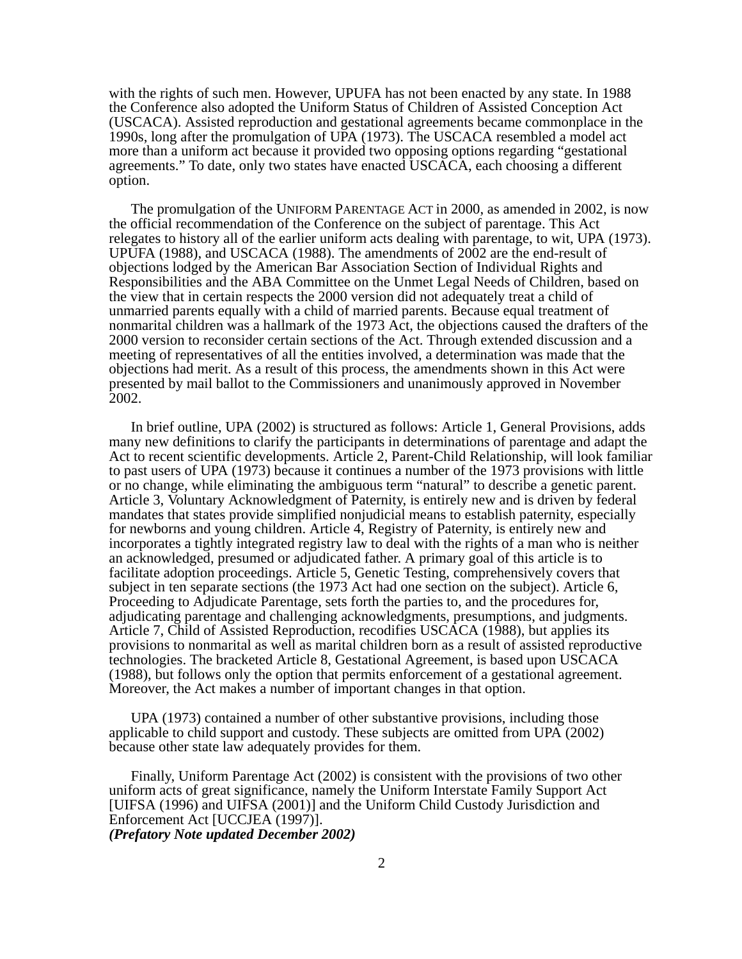<span id="page-6-0"></span>with the rights of such men. However, UPUFA has not been enacted by any state. In 1988 the Conference also adopted the Uniform Status of Children of Assisted Conception Act (USCACA). Assisted reproduction and gestational agreements became commonplace in the 1990s, long after the promulgation of UPA (1973). The USCACA resembled a model act more than a uniform act because it provided two opposing options regarding "gestational agreements." To date, only two states have enacted USCACA, each choosing a different option.

The promulgation of the UNIFORM PARENTAGE ACT in 2000, as amended in 2002, is now the official recommendation of the Conference on the subject of parentage. This Act relegates to history all of the earlier uniform acts dealing with parentage, to wit, UPA (1973). UPUFA (1988), and USCACA (1988). The amendments of 2002 are the end-result of objections lodged by the American Bar Association Section of Individual Rights and Responsibilities and the ABA Committee on the Unmet Legal Needs of Children, based on the view that in certain respects the 2000 version did not adequately treat a child of unmarried parents equally with a child of married parents. Because equal treatment of nonmarital children was a hallmark of the 1973 Act, the objections caused the drafters of the 2000 version to reconsider certain sections of the Act. Through extended discussion and a meeting of representatives of all the entities involved, a determination was made that the objections had merit. As a result of this process, the amendments shown in this Act were presented by mail ballot to the Commissioners and unanimously approved in November 2002.

In brief outline, UPA (2002) is structured as follows: Article 1, General Provisions, adds many new definitions to clarify the participants in determinations of parentage and adapt the Act to recent scientific developments. Article 2, Parent-Child Relationship, will look familiar to past users of UPA (1973) because it continues a number of the 1973 provisions with little or no change, while eliminating the ambiguous term "natural" to describe a genetic parent. Article 3, Voluntary Acknowledgment of Paternity, is entirely new and is driven by federal mandates that states provide simplified nonjudicial means to establish paternity, especially for newborns and young children. Article 4, Registry of Paternity, is entirely new and incorporates a tightly integrated registry law to deal with the rights of a man who is neither an acknowledged, presumed or adjudicated father. A primary goal of this article is to facilitate adoption proceedings. Article 5, Genetic Testing, comprehensively covers that subject in ten separate sections (the 1973 Act had one section on the subject). Article 6, Proceeding to Adjudicate Parentage, sets forth the parties to, and the procedures for, adjudicating parentage and challenging acknowledgments, presumptions, and judgments. Article 7, Child of Assisted Reproduction, recodifies USCACA (1988), but applies its provisions to nonmarital as well as marital children born as a result of assisted reproductive technologies. The bracketed Article 8, Gestational Agreement, is based upon USCACA (1988), but follows only the option that permits enforcement of a gestational agreement. Moreover, the Act makes a number of important changes in that option.

UPA (1973) contained a number of other substantive provisions, including those applicable to child support and custody. These subjects are omitted from UPA (2002) because other state law adequately provides for them.

Finally, Uniform Parentage Act (2002) is consistent with the provisions of two other uniform acts of great significance, namely the Uniform Interstate Family Support Act [UIFSA (1996) and UIFSA (2001)] and the Uniform Child Custody Jurisdiction and Enforcement Act [UCCJEA (1997)]. *(Prefatory Note updated December 2002)*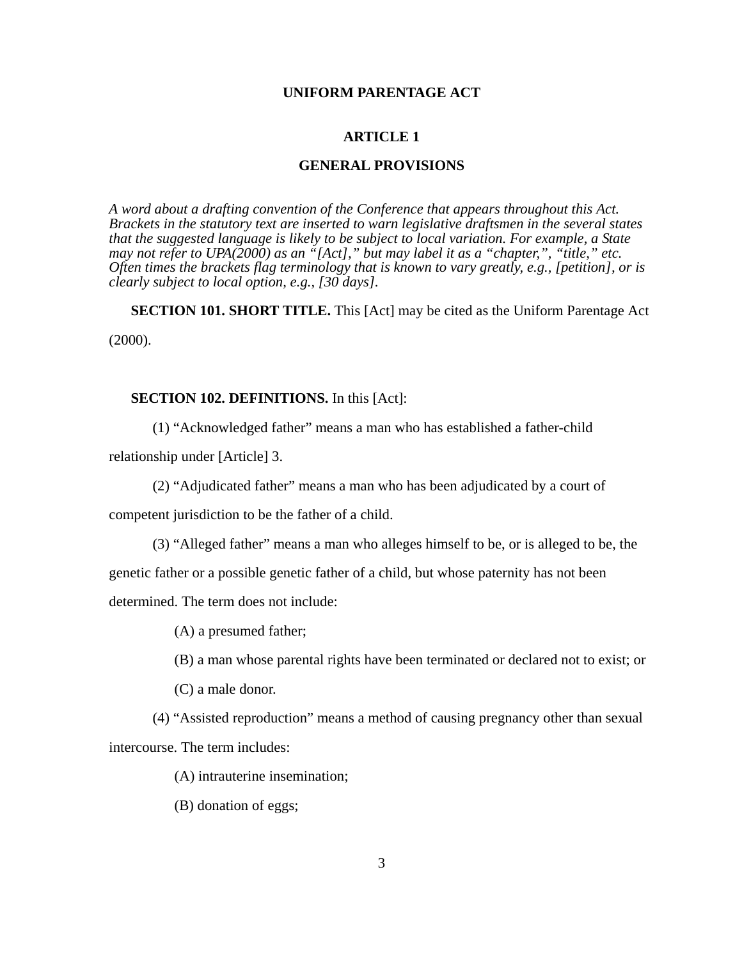# **UNIFORM PARENTAGE ACT**

# **ARTICLE 1**

# **GENERAL PROVISIONS**

<span id="page-7-0"></span>*A word about a drafting convention of the Conference that appears throughout this Act. Brackets in the statutory text are inserted to warn legislative draftsmen in the several states that the suggested language is likely to be subject to local variation. For example, a State may not refer to UPA(2000) as an "[Act]," but may label it as a "chapter,", "title," etc. Often times the brackets flag terminology that is known to vary greatly, e.g., [petition], or is clearly subject to local option, e.g., [30 days].* 

**SECTION 101. SHORT TITLE.** This [Act] may be cited as the Uniform Parentage Act  $(2000).$ 

# **SECTION 102. DEFINITIONS.** In this [Act]:

(1) "Acknowledged father" means a man who has established a father-child

relationship under [Article] 3.

(2) "Adjudicated father" means a man who has been adjudicated by a court of

competent jurisdiction to be the father of a child.

(3) "Alleged father" means a man who alleges himself to be, or is alleged to be, the genetic father or a possible genetic father of a child, but whose paternity has not been determined. The term does not include:

(A) a presumed father;

(B) a man whose parental rights have been terminated or declared not to exist; or

(C) a male donor.

(4) "Assisted reproduction" means a method of causing pregnancy other than sexual intercourse. The term includes:

(A) intrauterine insemination;

(B) donation of eggs;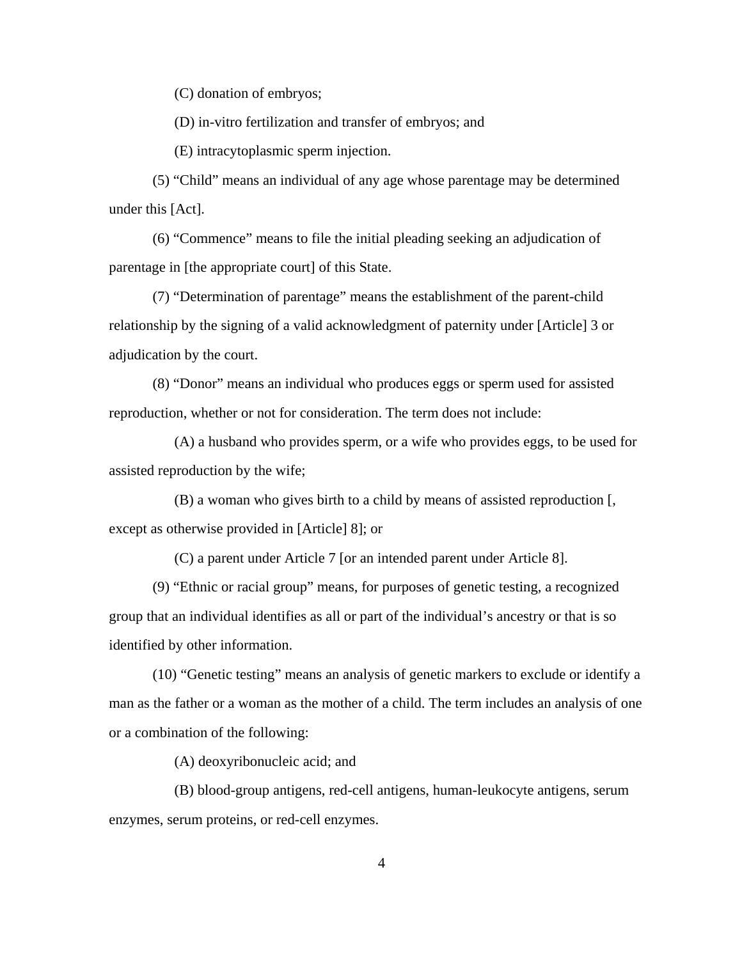<span id="page-8-0"></span>(C) donation of embryos;

(D) in-vitro fertilization and transfer of embryos; and

(E) intracytoplasmic sperm injection.

(5) "Child" means an individual of any age whose parentage may be determined under this [Act].

(6) "Commence" means to file the initial pleading seeking an adjudication of parentage in [the appropriate court] of this State.

(7) "Determination of parentage" means the establishment of the parent-child relationship by the signing of a valid acknowledgment of paternity under [Article] 3 or adjudication by the court.

(8) "Donor" means an individual who produces eggs or sperm used for assisted reproduction, whether or not for consideration. The term does not include:

(A) a husband who provides sperm, or a wife who provides eggs, to be used for assisted reproduction by the wife;

(B) a woman who gives birth to a child by means of assisted reproduction [, except as otherwise provided in [Article] 8]; or

(C) a parent under Article 7 [or an intended parent under Article 8].

(9) "Ethnic or racial group" means, for purposes of genetic testing, a recognized group that an individual identifies as all or part of the individual's ancestry or that is so identified by other information.

(10) "Genetic testing" means an analysis of genetic markers to exclude or identify a man as the father or a woman as the mother of a child. The term includes an analysis of one or a combination of the following:

(A) deoxyribonucleic acid; and

(B) blood-group antigens, red-cell antigens, human-leukocyte antigens, serum enzymes, serum proteins, or red-cell enzymes.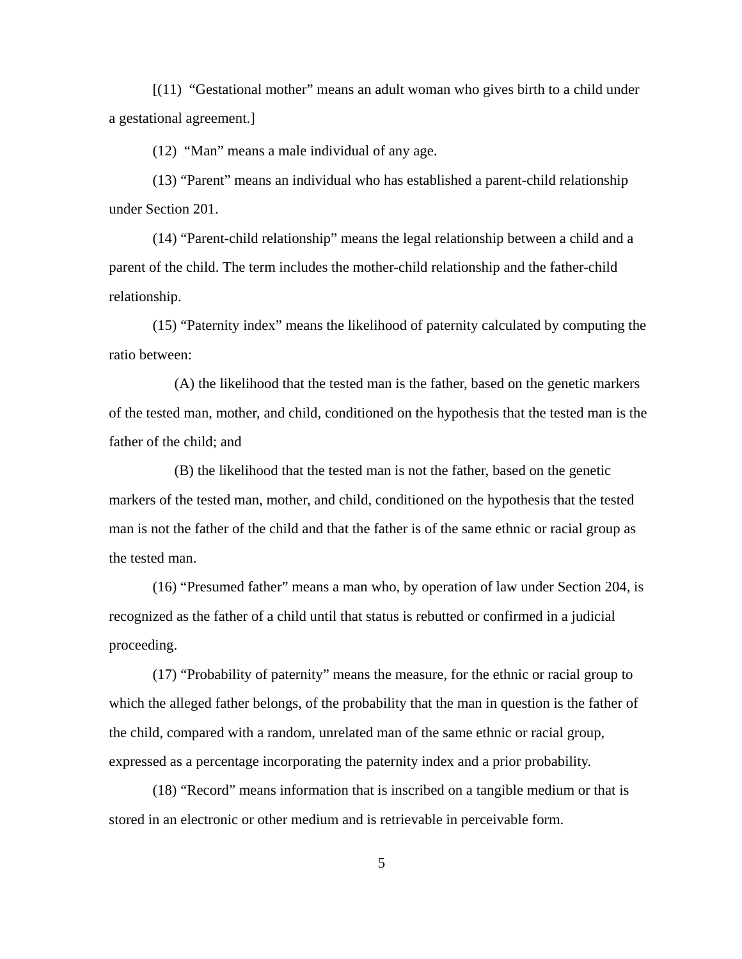<span id="page-9-0"></span>[(11) "Gestational mother" means an adult woman who gives birth to a child under a gestational agreement.]

(12) "Man" means a male individual of any age.

(13) "Parent" means an individual who has established a parent-child relationship under Section 201.

(14) "Parent-child relationship" means the legal relationship between a child and a parent of the child. The term includes the mother-child relationship and the father-child relationship.

(15) "Paternity index" means the likelihood of paternity calculated by computing the ratio between:

(A) the likelihood that the tested man is the father, based on the genetic markers of the tested man, mother, and child, conditioned on the hypothesis that the tested man is the father of the child; and

(B) the likelihood that the tested man is not the father, based on the genetic markers of the tested man, mother, and child, conditioned on the hypothesis that the tested man is not the father of the child and that the father is of the same ethnic or racial group as the tested man.

(16) "Presumed father" means a man who, by operation of law under Section 204, is recognized as the father of a child until that status is rebutted or confirmed in a judicial proceeding.

(17) "Probability of paternity" means the measure, for the ethnic or racial group to which the alleged father belongs, of the probability that the man in question is the father of the child, compared with a random, unrelated man of the same ethnic or racial group, expressed as a percentage incorporating the paternity index and a prior probability.

(18) "Record" means information that is inscribed on a tangible medium or that is stored in an electronic or other medium and is retrievable in perceivable form.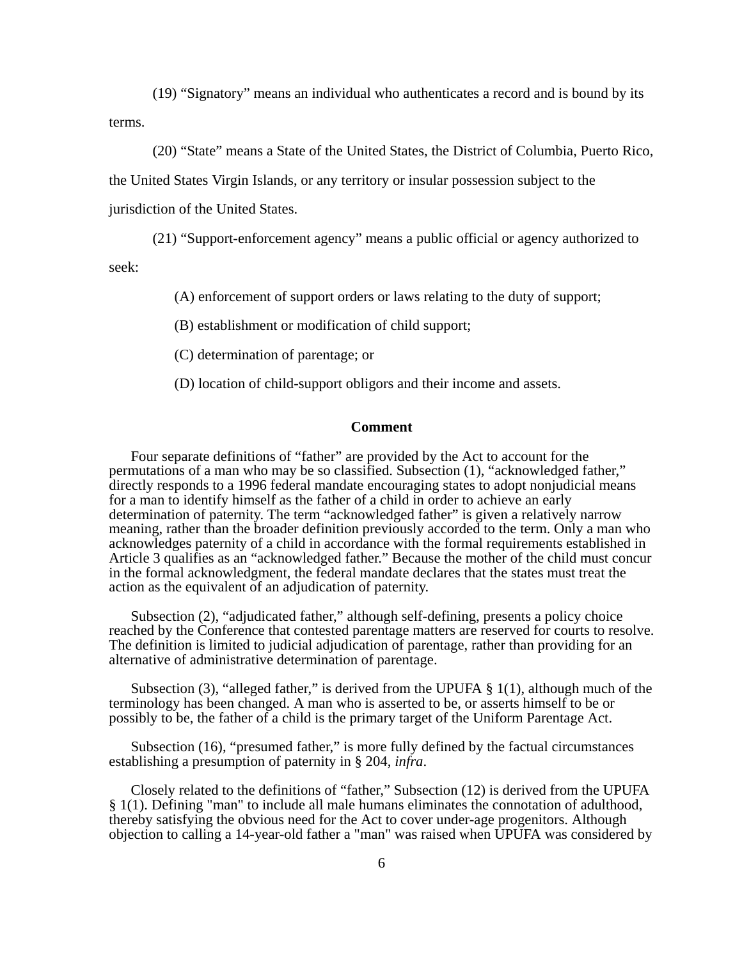<span id="page-10-0"></span>(19) "Signatory" means an individual who authenticates a record and is bound by its terms.

(20) "State" means a State of the United States, the District of Columbia, Puerto Rico,

the United States Virgin Islands, or any territory or insular possession subject to the

jurisdiction of the United States.

(21) "Support-enforcement agency" means a public official or agency authorized to

seek:

(A) enforcement of support orders or laws relating to the duty of support;

(B) establishment or modification of child support;

(C) determination of parentage; or

(D) location of child-support obligors and their income and assets.

# **Comment**

Four separate definitions of "father" are provided by the Act to account for the permutations of a man who may be so classified. Subsection (1), "acknowledged father," directly responds to a 1996 federal mandate encouraging states to adopt nonjudicial means for a man to identify himself as the father of a child in order to achieve an early determination of paternity. The term "acknowledged father" is given a relatively narrow meaning, rather than the broader definition previously accorded to the term. Only a man who acknowledges paternity of a child in accordance with the formal requirements established in Article 3 qualifies as an "acknowledged father." Because the mother of the child must concur in the formal acknowledgment, the federal mandate declares that the states must treat the action as the equivalent of an adjudication of paternity.

Subsection (2), "adjudicated father," although self-defining, presents a policy choice reached by the Conference that contested parentage matters are reserved for courts to resolve. The definition is limited to judicial adjudication of parentage, rather than providing for an alternative of administrative determination of parentage.

Subsection (3), "alleged father," is derived from the UPUFA  $\S$  1(1), although much of the terminology has been changed. A man who is asserted to be, or asserts himself to be or possibly to be, the father of a child is the primary target of the Uniform Parentage Act.

Subsection (16), "presumed father," is more fully defined by the factual circumstances establishing a presumption of paternity in § 204, *infra*.

Closely related to the definitions of "father," Subsection (12) is derived from the UPUFA § 1(1). Defining "man" to include all male humans eliminates the connotation of adulthood, thereby satisfying the obvious need for the Act to cover under-age progenitors. Although objection to calling a 14-year-old father a "man" was raised when UPUFA was considered by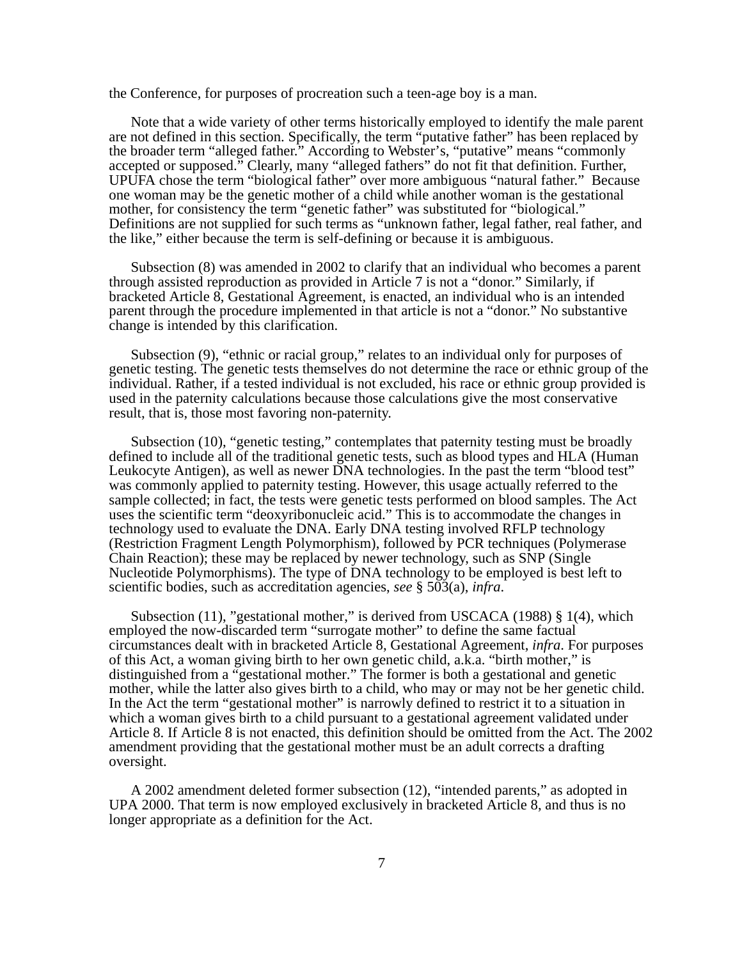<span id="page-11-0"></span>the Conference, for purposes of procreation such a teen-age boy is a man.

Note that a wide variety of other terms historically employed to identify the male parent are not defined in this section. Specifically, the term "putative father" has been replaced by the broader term "alleged father." According to Webster's, "putative" means "commonly accepted or supposed." Clearly, many "alleged fathers" do not fit that definition. Further, UPUFA chose the term "biological father" over more ambiguous "natural father." Because one woman may be the genetic mother of a child while another woman is the gestational mother, for consistency the term "genetic father" was substituted for "biological." Definitions are not supplied for such terms as "unknown father, legal father, real father, and the like," either because the term is self-defining or because it is ambiguous.

Subsection (8) was amended in 2002 to clarify that an individual who becomes a parent through assisted reproduction as provided in Article 7 is not a "donor." Similarly, if bracketed Article 8, Gestational Agreement, is enacted, an individual who is an intended parent through the procedure implemented in that article is not a "donor." No substantive change is intended by this clarification.

Subsection (9), "ethnic or racial group," relates to an individual only for purposes of genetic testing. The genetic tests themselves do not determine the race or ethnic group of the individual. Rather, if a tested individual is not excluded, his race or ethnic group provided is used in the paternity calculations because those calculations give the most conservative result, that is, those most favoring non-paternity.

Subsection (10), "genetic testing," contemplates that paternity testing must be broadly defined to include all of the traditional genetic tests, such as blood types and HLA (Human Leukocyte Antigen), as well as newer DNA technologies. In the past the term "blood test" was commonly applied to paternity testing. However, this usage actually referred to the sample collected; in fact, the tests were genetic tests performed on blood samples. The Act uses the scientific term "deoxyribonucleic acid." This is to accommodate the changes in technology used to evaluate the DNA. Early DNA testing involved RFLP technology (Restriction Fragment Length Polymorphism), followed by PCR techniques (Polymerase Chain Reaction); these may be replaced by newer technology, such as SNP (Single Nucleotide Polymorphisms). The type of DNA technology to be employed is best left to scientific bodies, such as accreditation agencies, *see* § 503(a), *infra*.

Subsection (11), "gestational mother," is derived from USCACA (1988)  $\S$  1(4), which employed the now-discarded term "surrogate mother" to define the same factual circumstances dealt with in bracketed Article 8, Gestational Agreement, *infra*. For purposes of this Act, a woman giving birth to her own genetic child, a.k.a. "birth mother," is distinguished from a "gestational mother." The former is both a gestational and genetic mother, while the latter also gives birth to a child, who may or may not be her genetic child. In the Act the term "gestational mother" is narrowly defined to restrict it to a situation in which a woman gives birth to a child pursuant to a gestational agreement validated under Article 8. If Article 8 is not enacted, this definition should be omitted from the Act. The 2002 amendment providing that the gestational mother must be an adult corrects a drafting oversight.

A 2002 amendment deleted former subsection (12), "intended parents," as adopted in UPA 2000. That term is now employed exclusively in bracketed Article 8, and thus is no longer appropriate as a definition for the Act.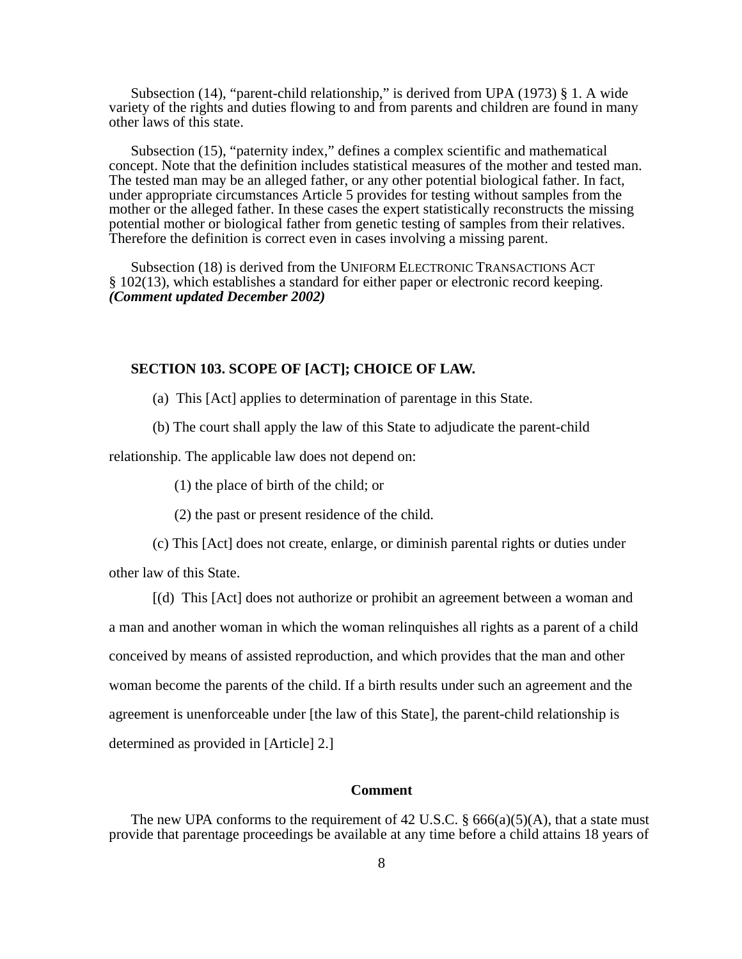<span id="page-12-0"></span>Subsection (14), "parent-child relationship," is derived from UPA (1973) § 1. A wide variety of the rights and duties flowing to and from parents and children are found in many other laws of this state.

Subsection (15), "paternity index," defines a complex scientific and mathematical concept. Note that the definition includes statistical measures of the mother and tested man. The tested man may be an alleged father, or any other potential biological father. In fact, under appropriate circumstances Article 5 provides for testing without samples from the mother or the alleged father. In these cases the expert statistically reconstructs the missing potential mother or biological father from genetic testing of samples from their relatives. Therefore the definition is correct even in cases involving a missing parent.

Subsection (18) is derived from the UNIFORM ELECTRONIC TRANSACTIONS ACT § 102(13), which establishes a standard for either paper or electronic record keeping. *(Comment updated December 2002)* 

# **SECTION 103. SCOPE OF [ACT]; CHOICE OF LAW.**

(a) This [Act] applies to determination of parentage in this State.

(b) The court shall apply the law of this State to adjudicate the parent-child

relationship. The applicable law does not depend on:

(1) the place of birth of the child; or

(2) the past or present residence of the child.

(c) This [Act] does not create, enlarge, or diminish parental rights or duties under other law of this State.

[(d) This [Act] does not authorize or prohibit an agreement between a woman and a man and another woman in which the woman relinquishes all rights as a parent of a child conceived by means of assisted reproduction, and which provides that the man and other woman become the parents of the child. If a birth results under such an agreement and the agreement is unenforceable under [the law of this State], the parent-child relationship is determined as provided in [Article] 2.]

## **Comment**

The new UPA conforms to the requirement of 42 U.S.C.  $\S$  666(a)(5)(A), that a state must provide that parentage proceedings be available at any time before a child attains 18 years of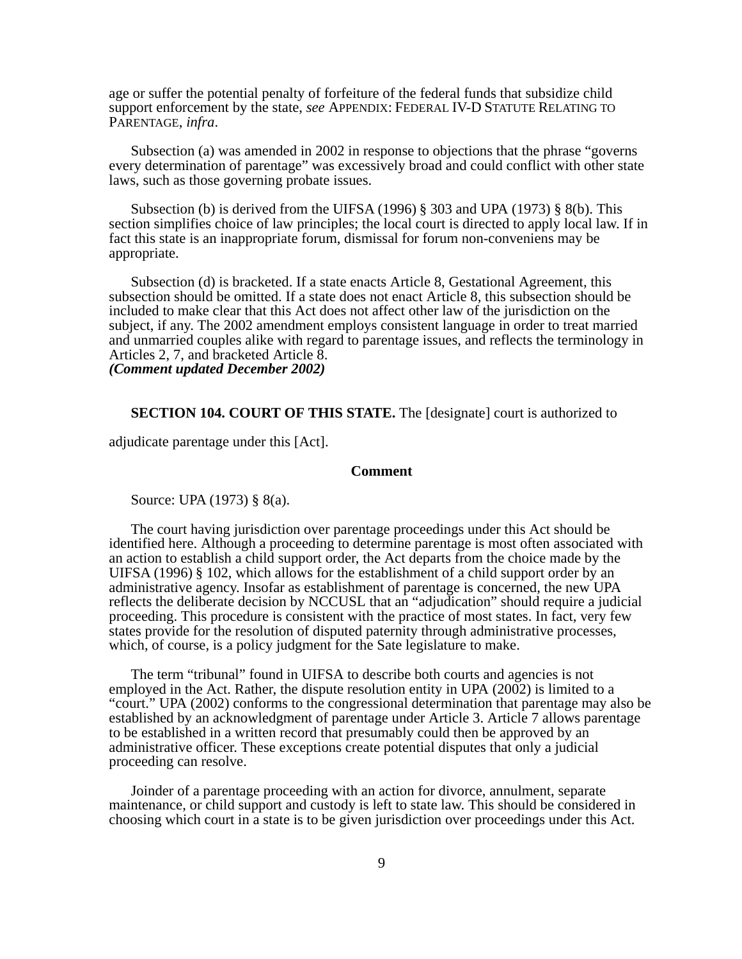<span id="page-13-0"></span>age or suffer the potential penalty of forfeiture of the federal funds that subsidize child support enforcement by the state, *see* APPENDIX: FEDERAL IV-D STATUTE RELATING TO PARENTAGE, *infra*.

Subsection (a) was amended in 2002 in response to objections that the phrase "governs every determination of parentage" was excessively broad and could conflict with other state laws, such as those governing probate issues.

Subsection (b) is derived from the UIFSA (1996)  $\S$  303 and UPA (1973)  $\S$  8(b). This section simplifies choice of law principles; the local court is directed to apply local law. If in fact this state is an inappropriate forum, dismissal for forum non-conveniens may be appropriate.

Subsection (d) is bracketed. If a state enacts Article 8, Gestational Agreement, this subsection should be omitted. If a state does not enact Article 8, this subsection should be included to make clear that this Act does not affect other law of the jurisdiction on the subject, if any. The 2002 amendment employs consistent language in order to treat married and unmarried couples alike with regard to parentage issues, and reflects the terminology in Articles 2, 7, and bracketed Article 8.

*(Comment updated December 2002)* 

#### **SECTION 104. COURT OF THIS STATE.** The [designate] court is authorized to

adjudicate parentage under this [Act].

#### **Comment**

Source: UPA (1973) § 8(a).

The court having jurisdiction over parentage proceedings under this Act should be identified here. Although a proceeding to determine parentage is most often associated with an action to establish a child support order, the Act departs from the choice made by the UIFSA (1996) § 102, which allows for the establishment of a child support order by an administrative agency. Insofar as establishment of parentage is concerned, the new UPA reflects the deliberate decision by NCCUSL that an "adjudication" should require a judicial proceeding. This procedure is consistent with the practice of most states. In fact, very few states provide for the resolution of disputed paternity through administrative processes, which, of course, is a policy judgment for the Sate legislature to make.

The term "tribunal" found in UIFSA to describe both courts and agencies is not employed in the Act. Rather, the dispute resolution entity in UPA (2002) is limited to a "court." UPA (2002) conforms to the congressional determination that parentage may also be established by an acknowledgment of parentage under Article 3. Article 7 allows parentage to be established in a written record that presumably could then be approved by an administrative officer. These exceptions create potential disputes that only a judicial proceeding can resolve.

Joinder of a parentage proceeding with an action for divorce, annulment, separate maintenance, or child support and custody is left to state law. This should be considered in choosing which court in a state is to be given jurisdiction over proceedings under this Act.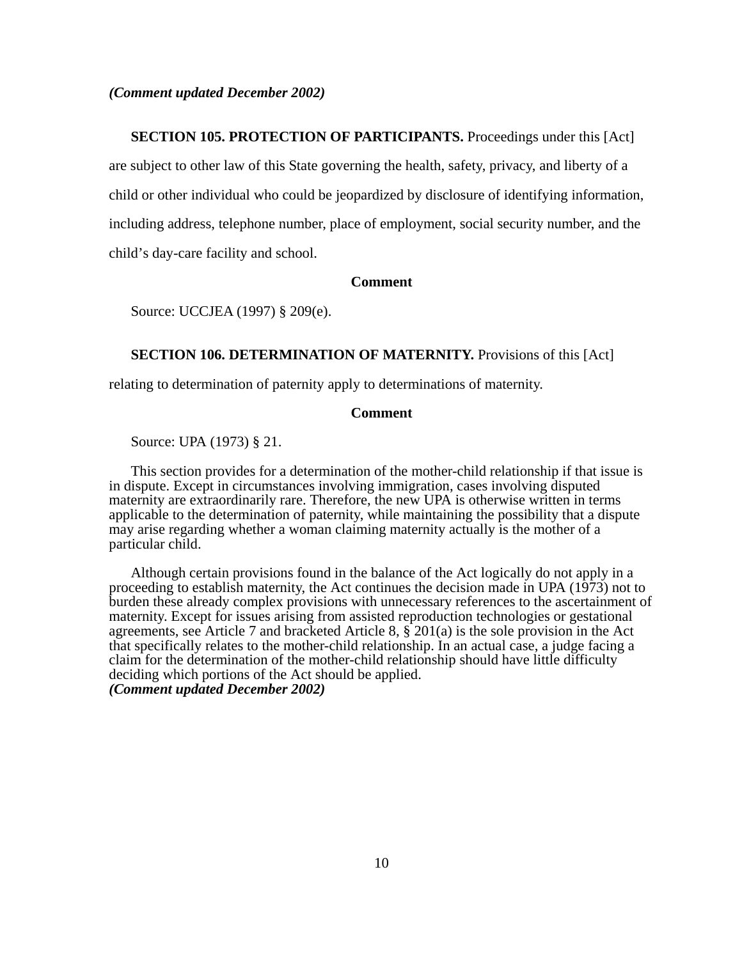# <span id="page-14-0"></span>*(Comment updated December 2002)*

#### **SECTION 105. PROTECTION OF PARTICIPANTS.** Proceedings under this [Act]

are subject to other law of this State governing the health, safety, privacy, and liberty of a child or other individual who could be jeopardized by disclosure of identifying information, including address, telephone number, place of employment, social security number, and the child's day-care facility and school.

# **Comment**

Source: UCCJEA (1997) § 209(e).

# **SECTION 106. DETERMINATION OF MATERNITY.** Provisions of this [Act]

relating to determination of paternity apply to determinations of maternity.

# **Comment**

Source: UPA (1973) § 21.

This section provides for a determination of the mother-child relationship if that issue is in dispute. Except in circumstances involving immigration, cases involving disputed maternity are extraordinarily rare. Therefore, the new UPA is otherwise written in terms applicable to the determination of paternity, while maintaining the possibility that a dispute may arise regarding whether a woman claiming maternity actually is the mother of a particular child.

Although certain provisions found in the balance of the Act logically do not apply in a proceeding to establish maternity, the Act continues the decision made in UPA (1973) not to burden these already complex provisions with unnecessary references to the ascertainment of maternity. Except for issues arising from assisted reproduction technologies or gestational agreements, see Article 7 and bracketed Article 8,  $\S$  201(a) is the sole provision in the Act that specifically relates to the mother-child relationship. In an actual case, a judge facing a claim for the determination of the mother-child relationship should have little difficulty deciding which portions of the Act should be applied. *(Comment updated December 2002)*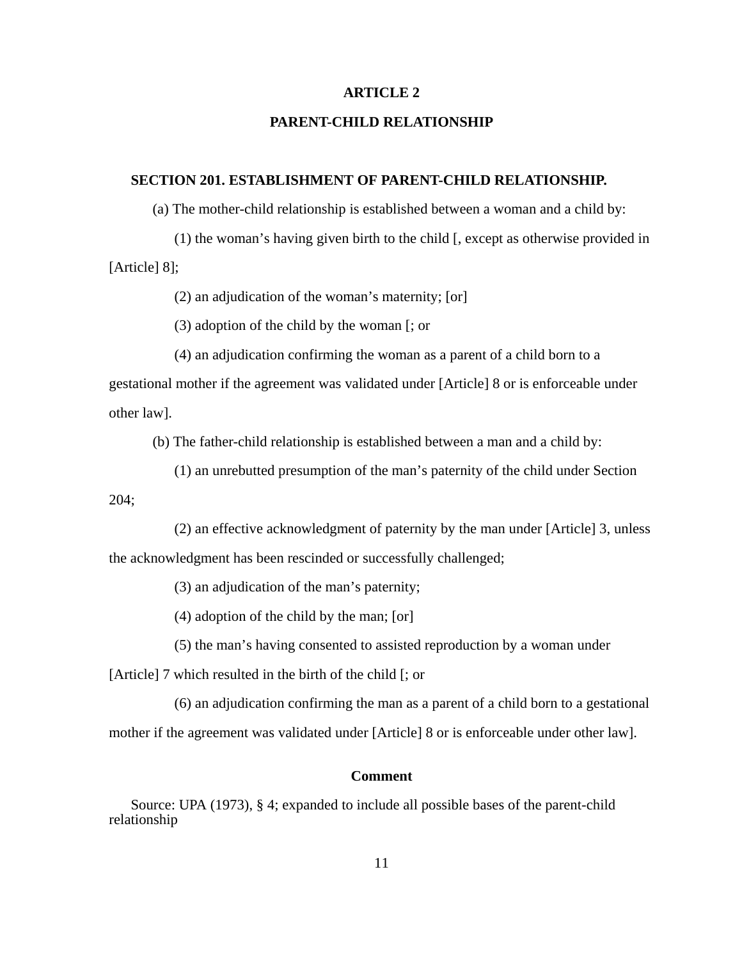#### **ARTICLE 2**

# **PARENT-CHILD RELATIONSHIP**

# <span id="page-15-0"></span>**SECTION 201. ESTABLISHMENT OF PARENT-CHILD RELATIONSHIP.**

(a) The mother-child relationship is established between a woman and a child by:

(1) the woman's having given birth to the child [, except as otherwise provided in [Article] 8];

(2) an adjudication of the woman's maternity; [or]

(3) adoption of the child by the woman [; or

(4) an adjudication confirming the woman as a parent of a child born to a

gestational mother if the agreement was validated under [Article] 8 or is enforceable under other law].

(b) The father-child relationship is established between a man and a child by:

- (1) an unrebutted presumption of the man's paternity of the child under Section
- 204;

(2) an effective acknowledgment of paternity by the man under [Article] 3, unless the acknowledgment has been rescinded or successfully challenged;

(3) an adjudication of the man's paternity;

(4) adoption of the child by the man; [or]

(5) the man's having consented to assisted reproduction by a woman under

[Article] 7 which resulted in the birth of the child [; or

(6) an adjudication confirming the man as a parent of a child born to a gestational mother if the agreement was validated under [Article] 8 or is enforceable under other law].

# **Comment**

Source: UPA (1973), § 4; expanded to include all possible bases of the parent-child relationship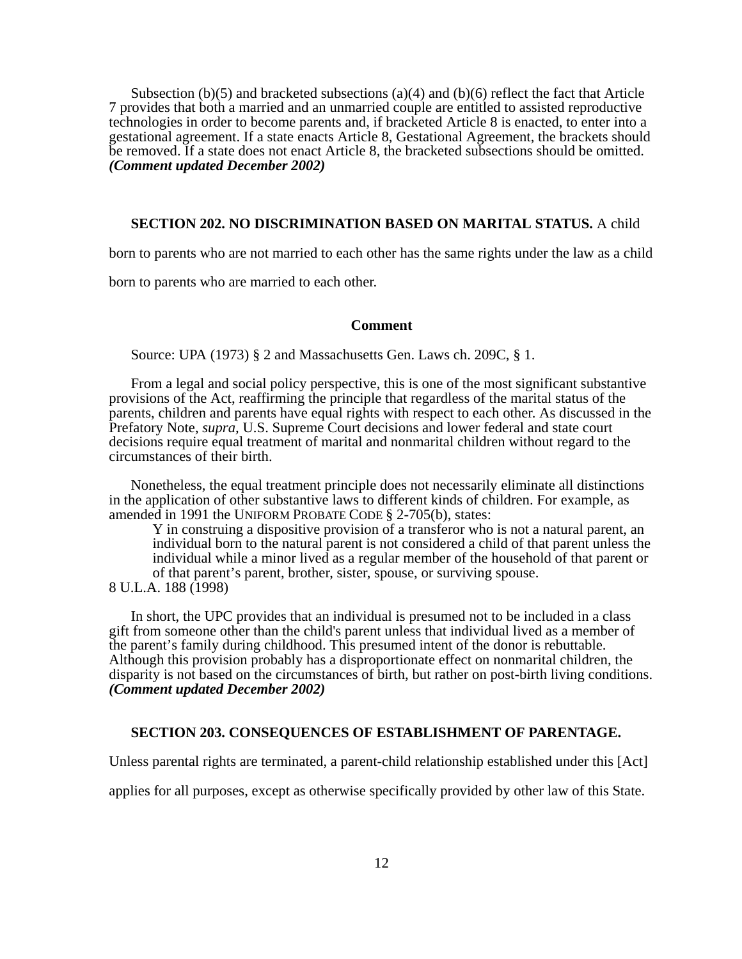<span id="page-16-0"></span>Subsection (b)(5) and bracketed subsections (a)(4) and (b)(6) reflect the fact that Article 7 provides that both a married and an unmarried couple are entitled to assisted reproductive technologies in order to become parents and, if bracketed Article 8 is enacted, to enter into a gestational agreement. If a state enacts Article 8, Gestational Agreement, the brackets should be removed. If a state does not enact Article 8, the bracketed subsections should be omitted. *(Comment updated December 2002)* 

#### **SECTION 202. NO DISCRIMINATION BASED ON MARITAL STATUS.** A child

born to parents who are not married to each other has the same rights under the law as a child

born to parents who are married to each other.

#### **Comment**

Source: UPA (1973) § 2 and Massachusetts Gen. Laws ch. 209C, § 1.

From a legal and social policy perspective, this is one of the most significant substantive provisions of the Act, reaffirming the principle that regardless of the marital status of the parents, children and parents have equal rights with respect to each other. As discussed in the Prefatory Note, *supra,* U.S. Supreme Court decisions and lower federal and state court decisions require equal treatment of marital and nonmarital children without regard to the circumstances of their birth.

Nonetheless, the equal treatment principle does not necessarily eliminate all distinctions in the application of other substantive laws to different kinds of children. For example, as amended in 1991 the UNIFORM PROBATE CODE § 2-705(b), states:

Y in construing a dispositive provision of a transferor who is not a natural parent, an individual born to the natural parent is not considered a child of that parent unless the individual while a minor lived as a regular member of the household of that parent or of that parent's parent, brother, sister, spouse, or surviving spouse.

8 U.L.A. 188 (1998)

In short, the UPC provides that an individual is presumed not to be included in a class gift from someone other than the child's parent unless that individual lived as a member of the parent's family during childhood. This presumed intent of the donor is rebuttable. Although this provision probably has a disproportionate effect on nonmarital children, the disparity is not based on the circumstances of birth, but rather on post-birth living conditions. *(Comment updated December 2002)* 

#### **SECTION 203. CONSEQUENCES OF ESTABLISHMENT OF PARENTAGE.**

Unless parental rights are terminated, a parent-child relationship established under this [Act]

applies for all purposes, except as otherwise specifically provided by other law of this State.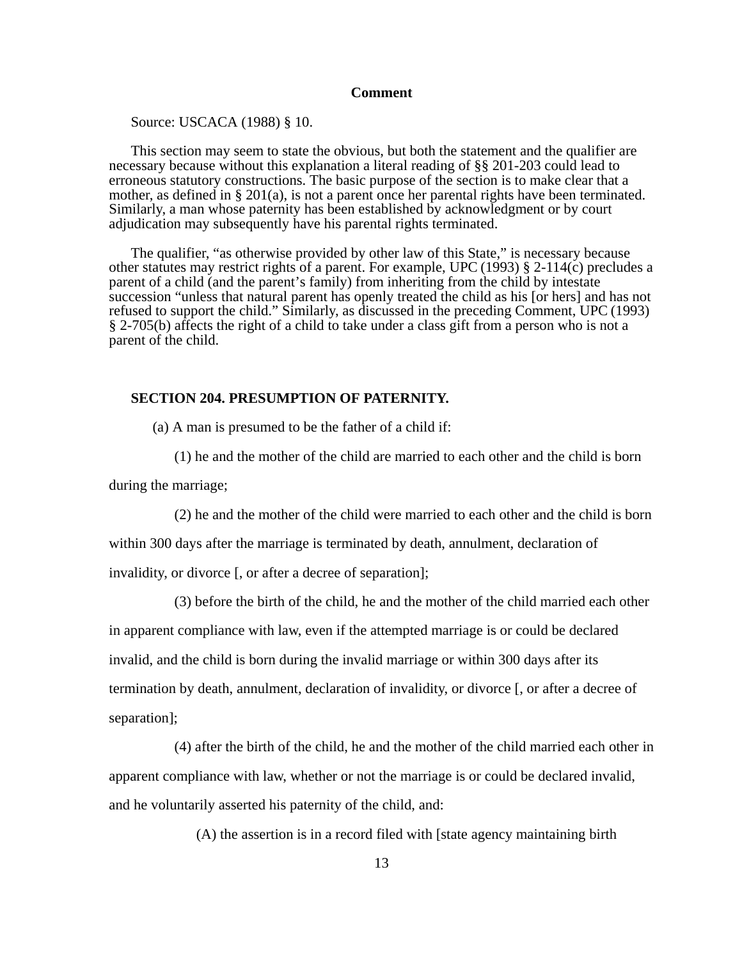# **Comment**

<span id="page-17-0"></span>Source: USCACA (1988) § 10.

This section may seem to state the obvious, but both the statement and the qualifier are necessary because without this explanation a literal reading of §§ 201-203 could lead to erroneous statutory constructions. The basic purpose of the section is to make clear that a mother, as defined in § 201(a), is not a parent once her parental rights have been terminated. Similarly, a man whose paternity has been established by acknowledgment or by court adjudication may subsequently have his parental rights terminated.

The qualifier, "as otherwise provided by other law of this State," is necessary because other statutes may restrict rights of a parent. For example, UPC (1993) § 2-114(c) precludes a parent of a child (and the parent's family) from inheriting from the child by intestate succession "unless that natural parent has openly treated the child as his [or hers] and has not refused to support the child." Similarly, as discussed in the preceding Comment, UPC (1993) § 2-705(b) affects the right of a child to take under a class gift from a person who is not a parent of the child.

# **SECTION 204. PRESUMPTION OF PATERNITY.**

(a) A man is presumed to be the father of a child if:

(1) he and the mother of the child are married to each other and the child is born

during the marriage;

(2) he and the mother of the child were married to each other and the child is born

within 300 days after the marriage is terminated by death, annulment, declaration of invalidity, or divorce [, or after a decree of separation];

(3) before the birth of the child, he and the mother of the child married each other in apparent compliance with law, even if the attempted marriage is or could be declared invalid, and the child is born during the invalid marriage or within 300 days after its termination by death, annulment, declaration of invalidity, or divorce [, or after a decree of separation];

(4) after the birth of the child, he and the mother of the child married each other in apparent compliance with law, whether or not the marriage is or could be declared invalid, and he voluntarily asserted his paternity of the child, and:

(A) the assertion is in a record filed with [state agency maintaining birth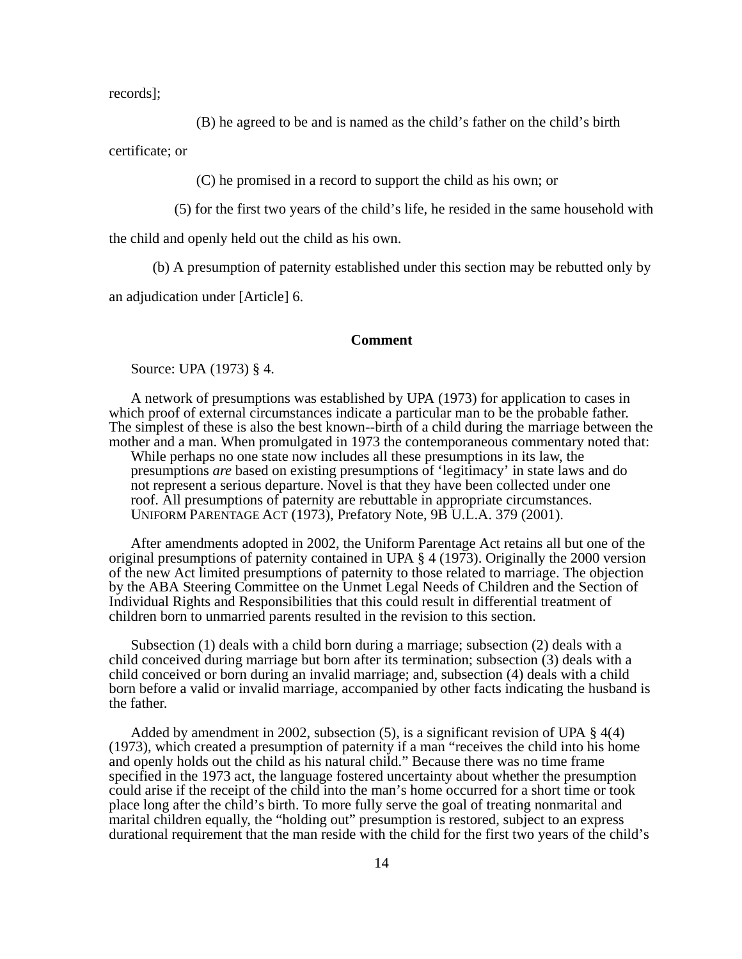records];

(B) he agreed to be and is named as the child's father on the child's birth

certificate; or

(C) he promised in a record to support the child as his own; or

(5) for the first two years of the child's life, he resided in the same household with

the child and openly held out the child as his own.

(b) A presumption of paternity established under this section may be rebutted only by

an adjudication under [Article] 6.

# **Comment**

Source: UPA (1973) § 4.

A network of presumptions was established by UPA (1973) for application to cases in which proof of external circumstances indicate a particular man to be the probable father. The simplest of these is also the best known--birth of a child during the marriage between the mother and a man. When promulgated in 1973 the contemporaneous commentary noted that:

While perhaps no one state now includes all these presumptions in its law, the presumptions *are* based on existing presumptions of 'legitimacy' in state laws and do not represent a serious departure. Novel is that they have been collected under one roof. All presumptions of paternity are rebuttable in appropriate circumstances. UNIFORM PARENTAGE ACT (1973), Prefatory Note, 9B U.L.A. 379 (2001).

After amendments adopted in 2002, the Uniform Parentage Act retains all but one of the original presumptions of paternity contained in UPA § 4 (1973). Originally the 2000 version of the new Act limited presumptions of paternity to those related to marriage. The objection by the ABA Steering Committee on the Unmet Legal Needs of Children and the Section of Individual Rights and Responsibilities that this could result in differential treatment of children born to unmarried parents resulted in the revision to this section.

Subsection (1) deals with a child born during a marriage; subsection (2) deals with a child conceived during marriage but born after its termination; subsection (3) deals with a child conceived or born during an invalid marriage; and, subsection (4) deals with a child born before a valid or invalid marriage, accompanied by other facts indicating the husband is the father.

Added by amendment in 2002, subsection (5), is a significant revision of UPA § 4(4) (1973), which created a presumption of paternity if a man "receives the child into his home and openly holds out the child as his natural child." Because there was no time frame specified in the 1973 act, the language fostered uncertainty about whether the presumption could arise if the receipt of the child into the man's home occurred for a short time or took place long after the child's birth. To more fully serve the goal of treating nonmarital and marital children equally, the "holding out" presumption is restored, subject to an express durational requirement that the man reside with the child for the first two years of the child's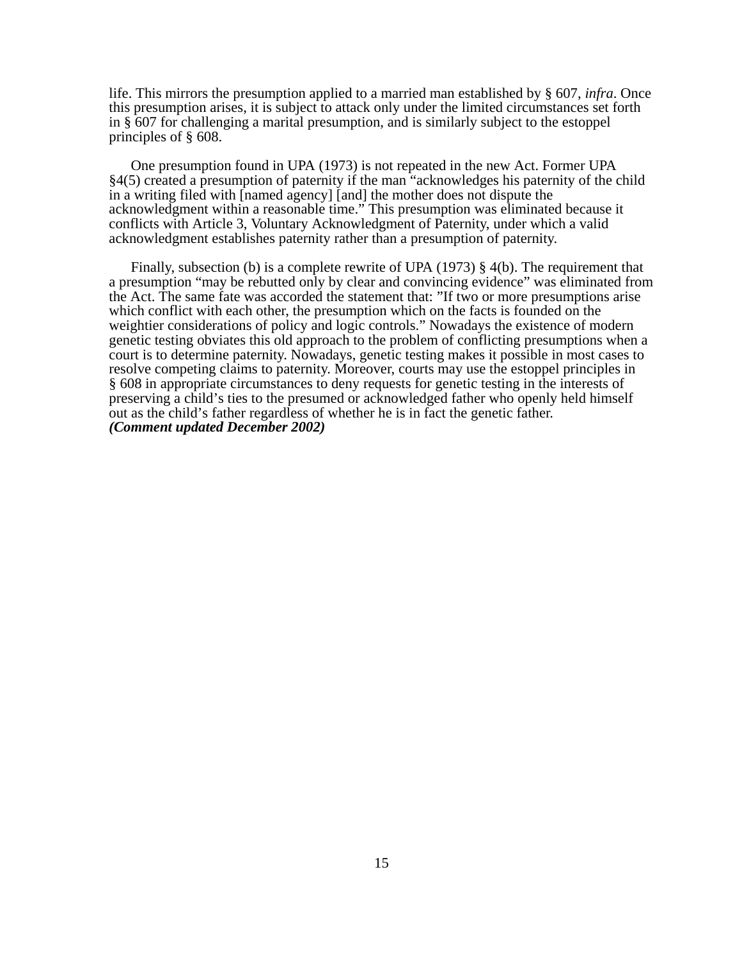life. This mirrors the presumption applied to a married man established by § 607, *infra*. Once this presumption arises, it is subject to attack only under the limited circumstances set forth in § 607 for challenging a marital presumption, and is similarly subject to the estoppel principles of § 608.

One presumption found in UPA (1973) is not repeated in the new Act. Former UPA §4(5) created a presumption of paternity if the man "acknowledges his paternity of the child in a writing filed with [named agency] [and] the mother does not dispute the acknowledgment within a reasonable time." This presumption was eliminated because it conflicts with Article 3, Voluntary Acknowledgment of Paternity, under which a valid acknowledgment establishes paternity rather than a presumption of paternity.

Finally, subsection (b) is a complete rewrite of UPA (1973) § 4(b). The requirement that a presumption "may be rebutted only by clear and convincing evidence" was eliminated from the Act. The same fate was accorded the statement that: "If two or more presumptions arise which conflict with each other, the presumption which on the facts is founded on the weightier considerations of policy and logic controls." Nowadays the existence of modern genetic testing obviates this old approach to the problem of conflicting presumptions when a court is to determine paternity. Nowadays, genetic testing makes it possible in most cases to resolve competing claims to paternity. Moreover, courts may use the estoppel principles in § 608 in appropriate circumstances to deny requests for genetic testing in the interests of preserving a child's ties to the presumed or acknowledged father who openly held himself out as the child's father regardless of whether he is in fact the genetic father. *(Comment updated December 2002)*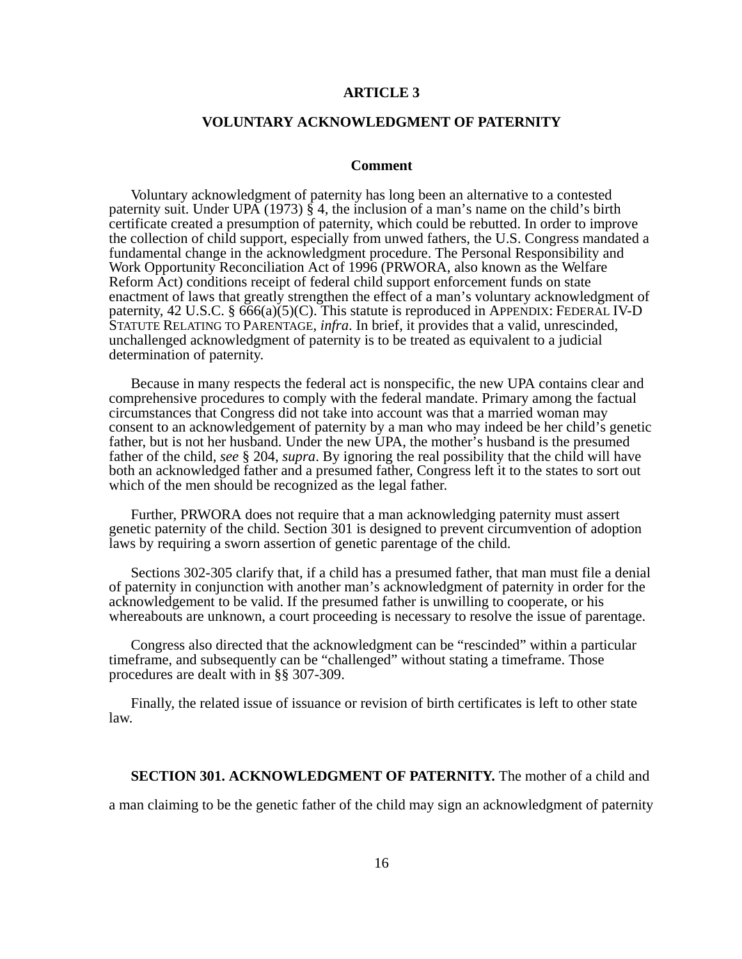# **ARTICLE 3**

### **VOLUNTARY ACKNOWLEDGMENT OF PATERNITY**

#### **Comment**

<span id="page-20-0"></span>Voluntary acknowledgment of paternity has long been an alternative to a contested paternity suit. Under UPA (1973)  $\S$  4, the inclusion of a man's name on the child's birth certificate created a presumption of paternity, which could be rebutted. In order to improve the collection of child support, especially from unwed fathers, the U.S. Congress mandated a fundamental change in the acknowledgment procedure. The Personal Responsibility and Work Opportunity Reconciliation Act of 1996 (PRWORA, also known as the Welfare Reform Act) conditions receipt of federal child support enforcement funds on state enactment of laws that greatly strengthen the effect of a man's voluntary acknowledgment of paternity, 42 U.S.C. § 666(a)(5)(C). This statute is reproduced in APPENDIX: FEDERAL IV-D STATUTE RELATING TO PARENTAGE, *infra*. In brief, it provides that a valid, unrescinded, unchallenged acknowledgment of paternity is to be treated as equivalent to a judicial determination of paternity.

Because in many respects the federal act is nonspecific, the new UPA contains clear and comprehensive procedures to comply with the federal mandate. Primary among the factual circumstances that Congress did not take into account was that a married woman may consent to an acknowledgement of paternity by a man who may indeed be her child's genetic father, but is not her husband. Under the new UPA, the mother's husband is the presumed father of the child, *see* § 204, *supra*. By ignoring the real possibility that the child will have both an acknowledged father and a presumed father, Congress left it to the states to sort out which of the men should be recognized as the legal father.

Further, PRWORA does not require that a man acknowledging paternity must assert genetic paternity of the child. Section 301 is designed to prevent circumvention of adoption laws by requiring a sworn assertion of genetic parentage of the child.

Sections 302-305 clarify that, if a child has a presumed father, that man must file a denial of paternity in conjunction with another man's acknowledgment of paternity in order for the acknowledgement to be valid. If the presumed father is unwilling to cooperate, or his whereabouts are unknown, a court proceeding is necessary to resolve the issue of parentage.

Congress also directed that the acknowledgment can be "rescinded" within a particular timeframe, and subsequently can be "challenged" without stating a timeframe. Those procedures are dealt with in §§ 307-309.

Finally, the related issue of issuance or revision of birth certificates is left to other state law.

# **SECTION 301. ACKNOWLEDGMENT OF PATERNITY.** The mother of a child and

a man claiming to be the genetic father of the child may sign an acknowledgment of paternity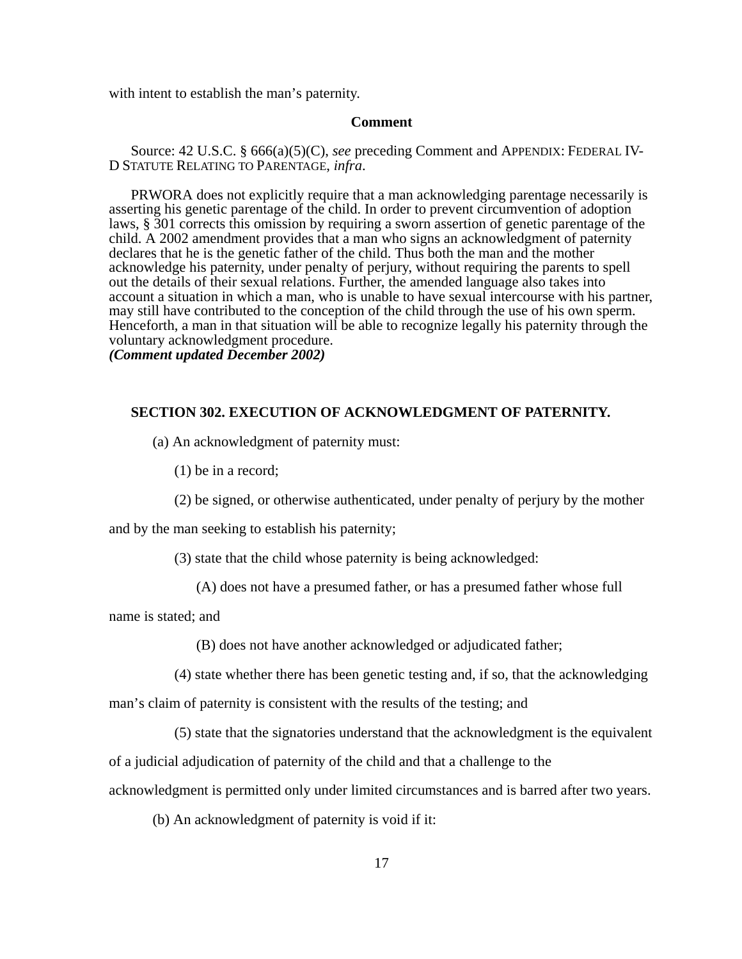<span id="page-21-0"></span>with intent to establish the man's paternity.

### **Comment**

Source: 42 U.S.C. § 666(a)(5)(C), *see* preceding Comment and APPENDIX: FEDERAL IV-D STATUTE RELATING TO PARENTAGE, *infra*.

PRWORA does not explicitly require that a man acknowledging parentage necessarily is asserting his genetic parentage of the child. In order to prevent circumvention of adoption laws, § 301 corrects this omission by requiring a sworn assertion of genetic parentage of the child. A 2002 amendment provides that a man who signs an acknowledgment of paternity declares that he is the genetic father of the child. Thus both the man and the mother acknowledge his paternity, under penalty of perjury, without requiring the parents to spell out the details of their sexual relations. Further, the amended language also takes into account a situation in which a man, who is unable to have sexual intercourse with his partner, may still have contributed to the conception of the child through the use of his own sperm. Henceforth, a man in that situation will be able to recognize legally his paternity through the voluntary acknowledgment procedure. *(Comment updated December 2002)* 

# **SECTION 302. EXECUTION OF ACKNOWLEDGMENT OF PATERNITY.**

(a) An acknowledgment of paternity must:

(1) be in a record;

(2) be signed, or otherwise authenticated, under penalty of perjury by the mother

and by the man seeking to establish his paternity;

(3) state that the child whose paternity is being acknowledged:

(A) does not have a presumed father, or has a presumed father whose full

name is stated; and

(B) does not have another acknowledged or adjudicated father;

(4) state whether there has been genetic testing and, if so, that the acknowledging

man's claim of paternity is consistent with the results of the testing; and

(5) state that the signatories understand that the acknowledgment is the equivalent

of a judicial adjudication of paternity of the child and that a challenge to the

acknowledgment is permitted only under limited circumstances and is barred after two years.

(b) An acknowledgment of paternity is void if it: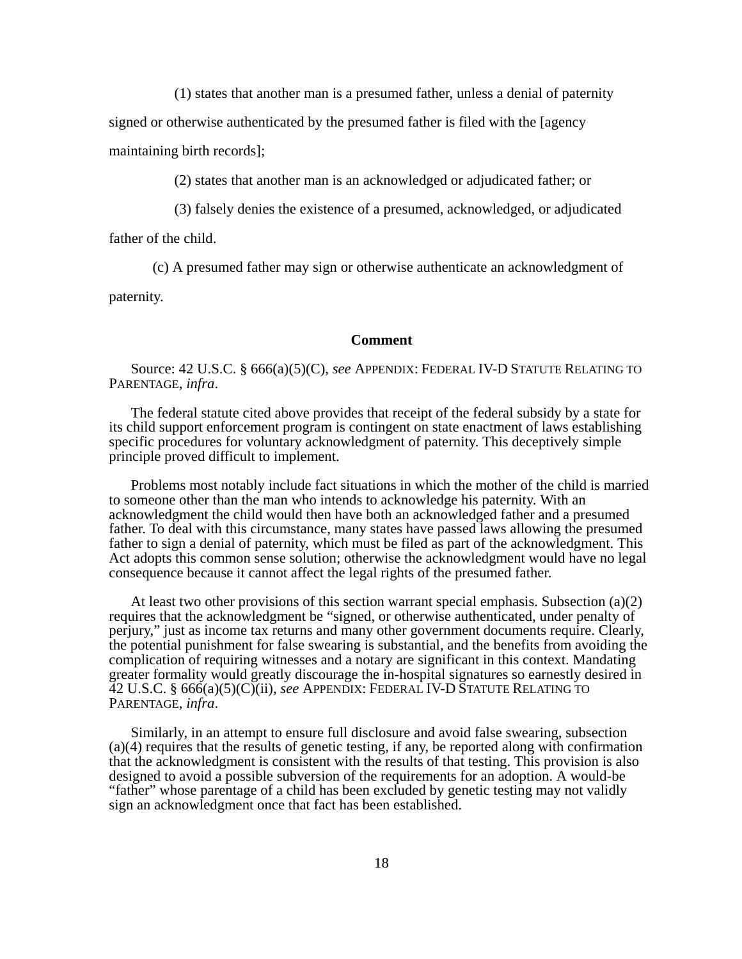(1) states that another man is a presumed father, unless a denial of paternity

<span id="page-22-0"></span>signed or otherwise authenticated by the presumed father is filed with the [agency

maintaining birth records];

(2) states that another man is an acknowledged or adjudicated father; or

(3) falsely denies the existence of a presumed, acknowledged, or adjudicated

father of the child.

(c) A presumed father may sign or otherwise authenticate an acknowledgment of

paternity.

#### **Comment**

Source: 42 U.S.C. § 666(a)(5)(C), *see* APPENDIX: FEDERAL IV-D STATUTE RELATING TO PARENTAGE, *infra*.

The federal statute cited above provides that receipt of the federal subsidy by a state for its child support enforcement program is contingent on state enactment of laws establishing specific procedures for voluntary acknowledgment of paternity. This deceptively simple principle proved difficult to implement.

Problems most notably include fact situations in which the mother of the child is married to someone other than the man who intends to acknowledge his paternity. With an acknowledgment the child would then have both an acknowledged father and a presumed father. To deal with this circumstance, many states have passed laws allowing the presumed father to sign a denial of paternity, which must be filed as part of the acknowledgment. This Act adopts this common sense solution; otherwise the acknowledgment would have no legal consequence because it cannot affect the legal rights of the presumed father.

At least two other provisions of this section warrant special emphasis. Subsection  $(a)(2)$ requires that the acknowledgment be "signed, or otherwise authenticated, under penalty of perjury," just as income tax returns and many other government documents require. Clearly, the potential punishment for false swearing is substantial, and the benefits from avoiding the complication of requiring witnesses and a notary are significant in this context. Mandating greater formality would greatly discourage the in-hospital signatures so earnestly desired in 42 U.S.C. § 666(a)(5)(C)(ii), *see* APPENDIX: FEDERAL IV-D STATUTE RELATING TO PARENTAGE, *infra*.

Similarly, in an attempt to ensure full disclosure and avoid false swearing, subsection (a)(4) requires that the results of genetic testing, if any, be reported along with confirmation that the acknowledgment is consistent with the results of that testing. This provision is also designed to avoid a possible subversion of the requirements for an adoption. A would-be "father" whose parentage of a child has been excluded by genetic testing may not validly sign an acknowledgment once that fact has been established.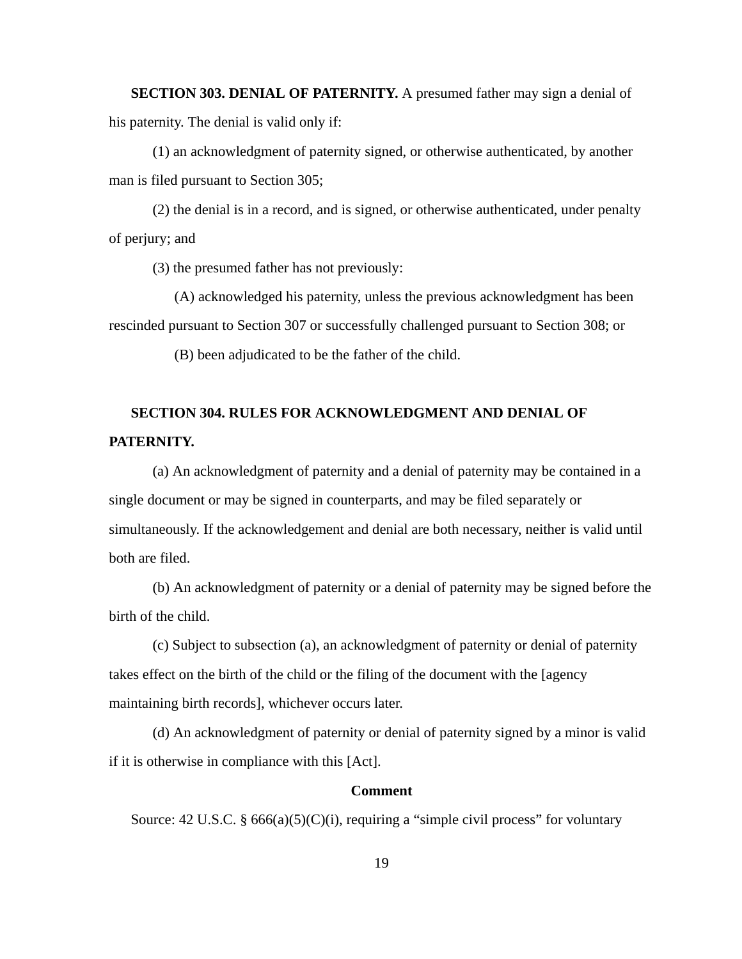<span id="page-23-0"></span>**SECTION 303. DENIAL OF PATERNITY.** A presumed father may sign a denial of his paternity. The denial is valid only if:

(1) an acknowledgment of paternity signed, or otherwise authenticated, by another man is filed pursuant to Section 305;

(2) the denial is in a record, and is signed, or otherwise authenticated, under penalty of perjury; and

(3) the presumed father has not previously:

(A) acknowledged his paternity, unless the previous acknowledgment has been rescinded pursuant to Section 307 or successfully challenged pursuant to Section 308; or

(B) been adjudicated to be the father of the child.

# **SECTION 304. RULES FOR ACKNOWLEDGMENT AND DENIAL OF PATERNITY.**

(a) An acknowledgment of paternity and a denial of paternity may be contained in a single document or may be signed in counterparts, and may be filed separately or simultaneously. If the acknowledgement and denial are both necessary, neither is valid until both are filed.

(b) An acknowledgment of paternity or a denial of paternity may be signed before the birth of the child.

(c) Subject to subsection (a), an acknowledgment of paternity or denial of paternity takes effect on the birth of the child or the filing of the document with the [agency maintaining birth records], whichever occurs later.

(d) An acknowledgment of paternity or denial of paternity signed by a minor is valid if it is otherwise in compliance with this [Act].

# **Comment**

Source: 42 U.S.C. §  $666(a)(5)(C)(i)$ , requiring a "simple civil process" for voluntary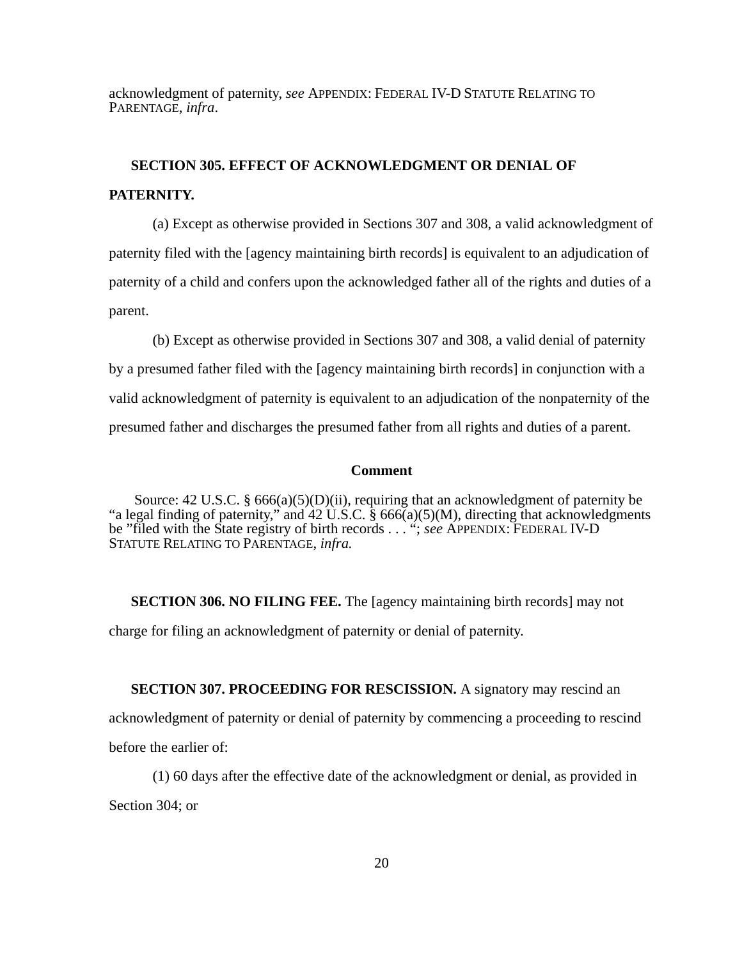<span id="page-24-0"></span>acknowledgment of paternity, *see* APPENDIX: FEDERAL IV-D STATUTE RELATING TO PARENTAGE, *infra*.

# **SECTION 305. EFFECT OF ACKNOWLEDGMENT OR DENIAL OF PATERNITY.**

(a) Except as otherwise provided in Sections 307 and 308, a valid acknowledgment of paternity filed with the [agency maintaining birth records] is equivalent to an adjudication of paternity of a child and confers upon the acknowledged father all of the rights and duties of a parent.

(b) Except as otherwise provided in Sections 307 and 308, a valid denial of paternity by a presumed father filed with the [agency maintaining birth records] in conjunction with a valid acknowledgment of paternity is equivalent to an adjudication of the nonpaternity of the presumed father and discharges the presumed father from all rights and duties of a parent.

# **Comment**

Source: 42 U.S.C. § 666(a)(5)(D)(ii), requiring that an acknowledgment of paternity be "a legal finding of paternity," and  $42 \text{ U.S.C.}$  §  $666(a)(5)(M)$ , directing that acknowledgments be "filed with the State registry of birth records . . . "; *see* APPENDIX: FEDERAL IV-D STATUTE RELATING TO PARENTAGE, *infra.* 

**SECTION 306. NO FILING FEE.** The [agency maintaining birth records] may not charge for filing an acknowledgment of paternity or denial of paternity.

**SECTION 307. PROCEEDING FOR RESCISSION.** A signatory may rescind an

acknowledgment of paternity or denial of paternity by commencing a proceeding to rescind before the earlier of:

(1) 60 days after the effective date of the acknowledgment or denial, as provided in

Section 304; or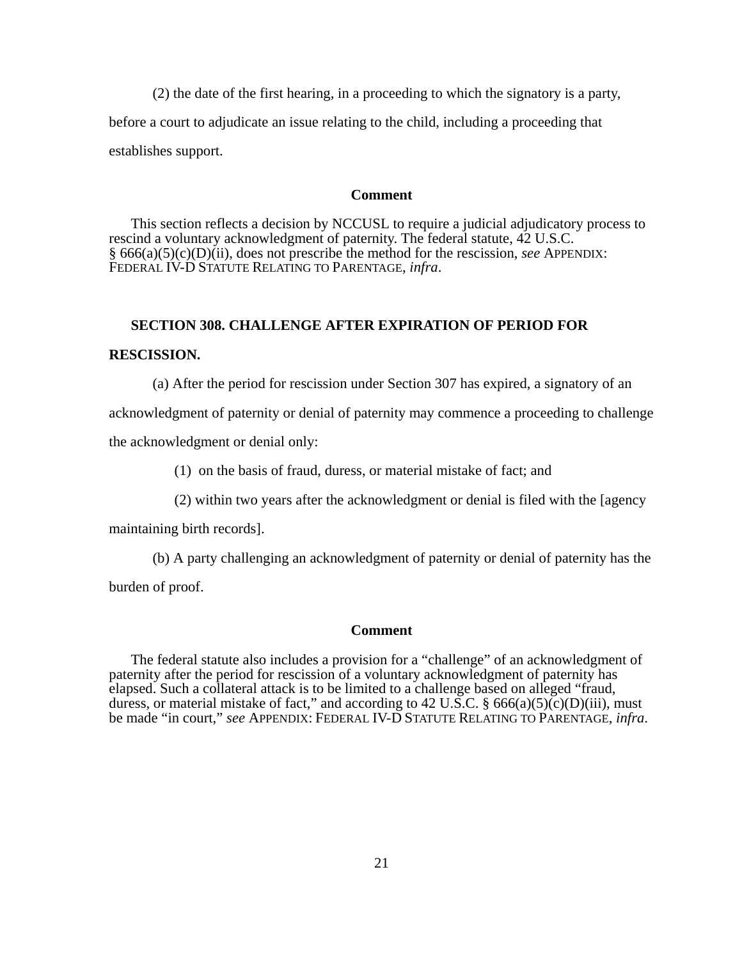<span id="page-25-0"></span>(2) the date of the first hearing, in a proceeding to which the signatory is a party, before a court to adjudicate an issue relating to the child, including a proceeding that establishes support.

# **Comment**

This section reflects a decision by NCCUSL to require a judicial adjudicatory process to rescind a voluntary acknowledgment of paternity. The federal statute, 42 U.S.C. § 666(a)(5)(c)(D)(ii), does not prescribe the method for the rescission, *see* APPENDIX: FEDERAL IV-D STATUTE RELATING TO PARENTAGE, *infra*.

# **SECTION 308. CHALLENGE AFTER EXPIRATION OF PERIOD FOR**

# **RESCISSION.**

(a) After the period for rescission under Section 307 has expired, a signatory of an

acknowledgment of paternity or denial of paternity may commence a proceeding to challenge

the acknowledgment or denial only:

(1) on the basis of fraud, duress, or material mistake of fact; and

(2) within two years after the acknowledgment or denial is filed with the [agency

maintaining birth records].

(b) A party challenging an acknowledgment of paternity or denial of paternity has the burden of proof.

# **Comment**

The federal statute also includes a provision for a "challenge" of an acknowledgment of paternity after the period for rescission of a voluntary acknowledgment of paternity has elapsed. Such a collateral attack is to be limited to a challenge based on alleged "fraud, duress, or material mistake of fact," and according to 42 U.S.C. § 666(a)(5)(c)(D)(iii), must be made "in court," *see* APPENDIX: FEDERAL IV-D STATUTE RELATING TO PARENTAGE, *infra*.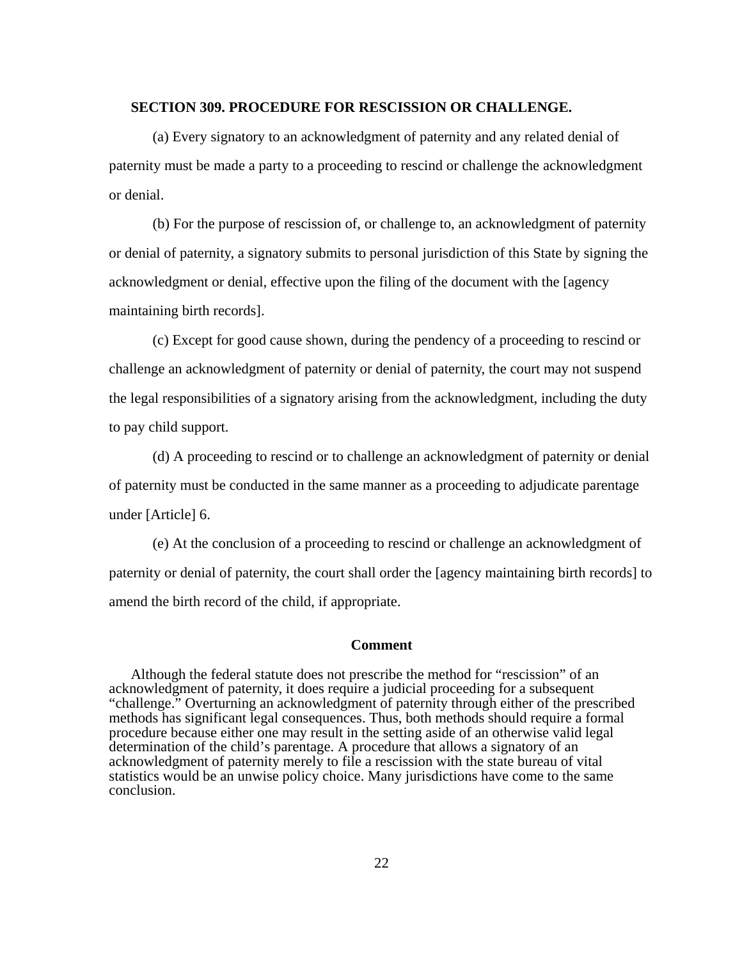# <span id="page-26-0"></span>**SECTION 309. PROCEDURE FOR RESCISSION OR CHALLENGE.**

(a) Every signatory to an acknowledgment of paternity and any related denial of paternity must be made a party to a proceeding to rescind or challenge the acknowledgment or denial.

(b) For the purpose of rescission of, or challenge to, an acknowledgment of paternity or denial of paternity, a signatory submits to personal jurisdiction of this State by signing the acknowledgment or denial, effective upon the filing of the document with the [agency maintaining birth records].

(c) Except for good cause shown, during the pendency of a proceeding to rescind or challenge an acknowledgment of paternity or denial of paternity, the court may not suspend the legal responsibilities of a signatory arising from the acknowledgment, including the duty to pay child support.

(d) A proceeding to rescind or to challenge an acknowledgment of paternity or denial of paternity must be conducted in the same manner as a proceeding to adjudicate parentage under [Article] 6.

(e) At the conclusion of a proceeding to rescind or challenge an acknowledgment of paternity or denial of paternity, the court shall order the [agency maintaining birth records] to amend the birth record of the child, if appropriate.

# **Comment**

Although the federal statute does not prescribe the method for "rescission" of an acknowledgment of paternity, it does require a judicial proceeding for a subsequent "challenge." Overturning an acknowledgment of paternity through either of the prescribed methods has significant legal consequences. Thus, both methods should require a formal procedure because either one may result in the setting aside of an otherwise valid legal determination of the child's parentage. A procedure that allows a signatory of an acknowledgment of paternity merely to file a rescission with the state bureau of vital statistics would be an unwise policy choice. Many jurisdictions have come to the same conclusion.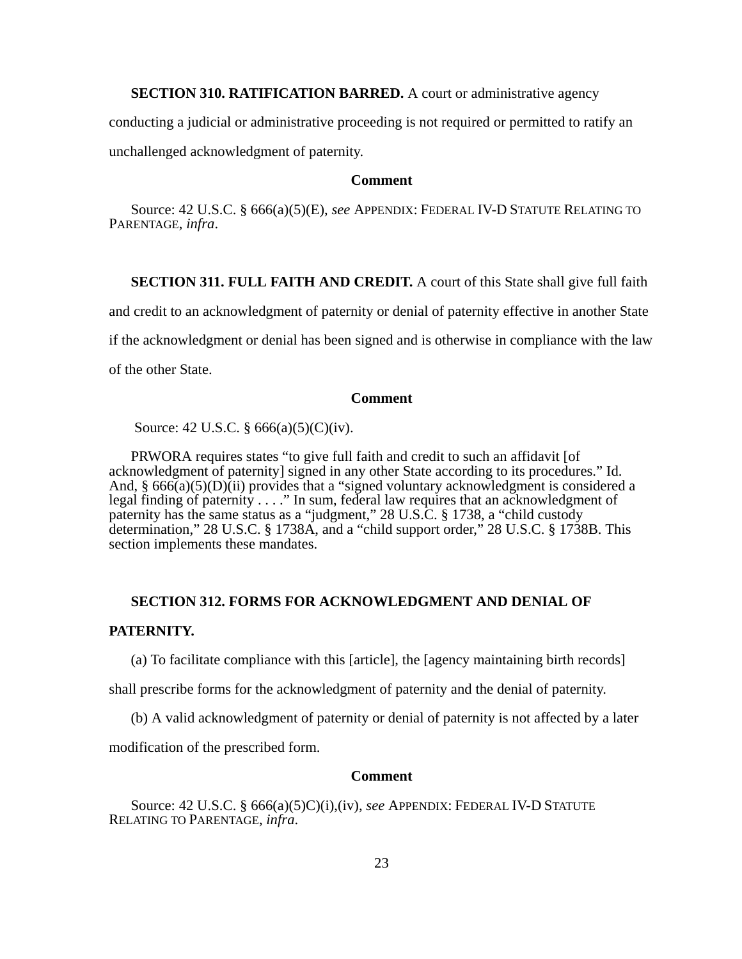<span id="page-27-0"></span>**SECTION 310. RATIFICATION BARRED.** A court or administrative agency

conducting a judicial or administrative proceeding is not required or permitted to ratify an

unchallenged acknowledgment of paternity.

# **Comment**

Source: 42 U.S.C. § 666(a)(5)(E), *see* APPENDIX: FEDERAL IV-D STATUTE RELATING TO PARENTAGE, *infra*.

#### **SECTION 311. FULL FAITH AND CREDIT.** A court of this State shall give full faith

and credit to an acknowledgment of paternity or denial of paternity effective in another State if the acknowledgment or denial has been signed and is otherwise in compliance with the law

of the other State.

# **Comment**

Source: 42 U.S.C. § 666(a)(5)(C)(iv).

PRWORA requires states "to give full faith and credit to such an affidavit [of acknowledgment of paternity] signed in any other State according to its procedures." Id. And,  $§ 666(a)(5)(D)(ii)$  provides that a "signed voluntary acknowledgment is considered a legal finding of paternity . . . ." In sum, federal law requires that an acknowledgment of paternity has the same status as a "judgment," 28 U.S.C. § 1738, a "child custody determination," 28 U.S.C. § 1738A, and a "child support order," 28 U.S.C. § 1738B. This section implements these mandates.

# **SECTION 312. FORMS FOR ACKNOWLEDGMENT AND DENIAL OF**

# **PATERNITY.**

(a) To facilitate compliance with this [article], the [agency maintaining birth records]

shall prescribe forms for the acknowledgment of paternity and the denial of paternity.

(b) A valid acknowledgment of paternity or denial of paternity is not affected by a later

modification of the prescribed form.

#### **Comment**

Source: 42 U.S.C. § 666(a)(5)C)(i),(iv), *see* APPENDIX: FEDERAL IV-D STATUTE RELATING TO PARENTAGE, *infra*.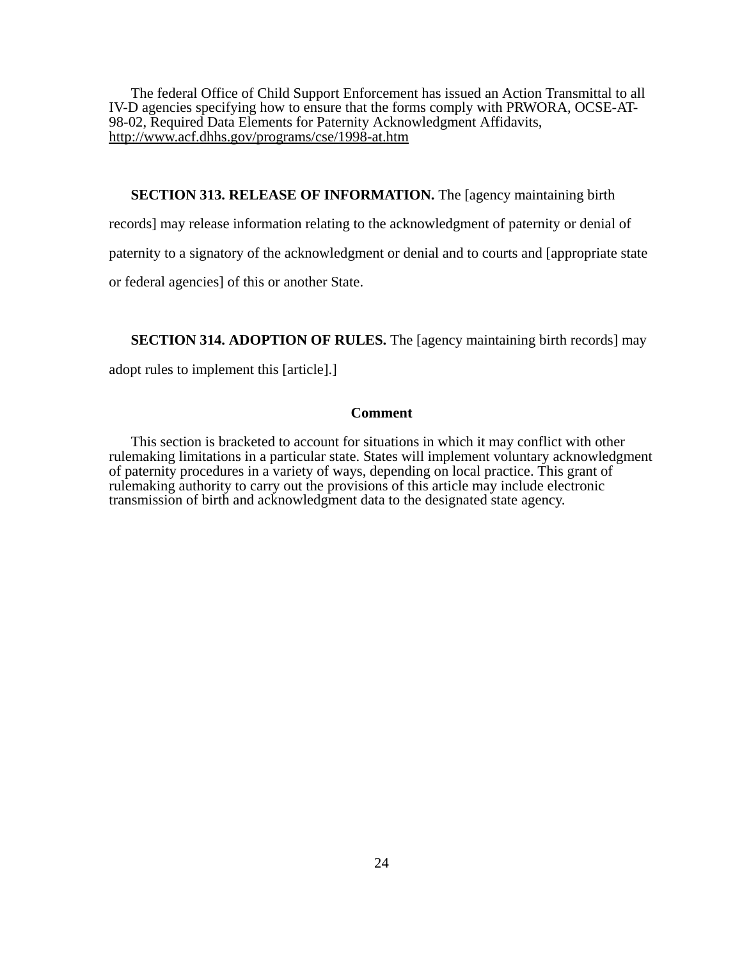<span id="page-28-0"></span>The federal Office of Child Support Enforcement has issued an Action Transmittal to all IV-D agencies specifying how to ensure that the forms comply with PRWORA, OCSE-AT-98-02, Required Data Elements for Paternity Acknowledgment Affidavits, http://www.acf.dhhs.gov/programs/cse/1998-at.htm

# **SECTION 313. RELEASE OF INFORMATION.** The [agency maintaining birth

records] may release information relating to the acknowledgment of paternity or denial of

paternity to a signatory of the acknowledgment or denial and to courts and [appropriate state

or federal agencies] of this or another State.

**SECTION 314. ADOPTION OF RULES.** The [agency maintaining birth records] may

adopt rules to implement this [article].]

# **Comment**

This section is bracketed to account for situations in which it may conflict with other rulemaking limitations in a particular state. States will implement voluntary acknowledgment of paternity procedures in a variety of ways, depending on local practice. This grant of rulemaking authority to carry out the provisions of this article may include electronic transmission of birth and acknowledgment data to the designated state agency.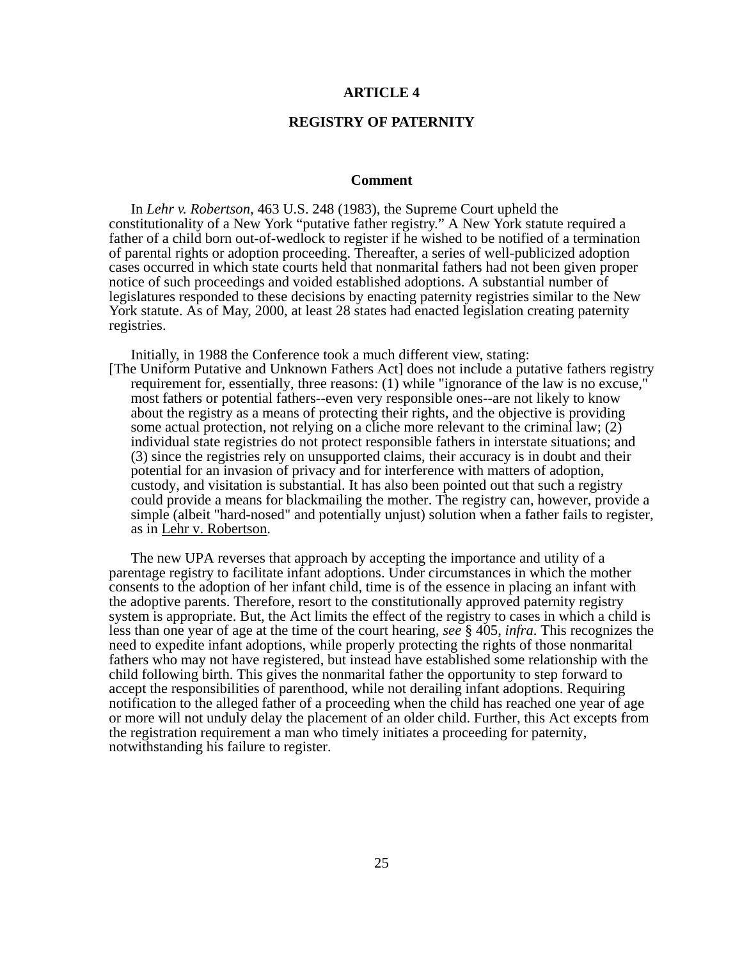## **ARTICLE 4**

# **REGISTRY OF PATERNITY**

#### **Comment**

In *Lehr v. Robertson*, 463 U.S. 248 (1983), the Supreme Court upheld the constitutionality of a New York "putative father registry." A New York statute required a father of a child born out-of-wedlock to register if he wished to be notified of a termination of parental rights or adoption proceeding. Thereafter, a series of well-publicized adoption cases occurred in which state courts held that nonmarital fathers had not been given proper notice of such proceedings and voided established adoptions. A substantial number of legislatures responded to these decisions by enacting paternity registries similar to the New York statute. As of May, 2000, at least 28 states had enacted legislation creating paternity registries.

Initially, in 1988 the Conference took a much different view, stating:

[The Uniform Putative and Unknown Fathers Act] does not include a putative fathers registry requirement for, essentially, three reasons: (1) while "ignorance of the law is no excuse," most fathers or potential fathers--even very responsible ones--are not likely to know about the registry as a means of protecting their rights, and the objective is providing some actual protection, not relying on a cliche more relevant to the criminal law; (2) individual state registries do not protect responsible fathers in interstate situations; and (3) since the registries rely on unsupported claims, their accuracy is in doubt and their potential for an invasion of privacy and for interference with matters of adoption, custody, and visitation is substantial. It has also been pointed out that such a registry could provide a means for blackmailing the mother. The registry can, however, provide a simple (albeit "hard-nosed" and potentially unjust) solution when a father fails to register, as in Lehr v. Robertson.

The new UPA reverses that approach by accepting the importance and utility of a parentage registry to facilitate infant adoptions. Under circumstances in which the mother consents to the adoption of her infant child, time is of the essence in placing an infant with the adoptive parents. Therefore, resort to the constitutionally approved paternity registry system is appropriate. But, the Act limits the effect of the registry to cases in which a child is less than one year of age at the time of the court hearing, *see* § 405, *infra*. This recognizes the need to expedite infant adoptions, while properly protecting the rights of those nonmarital fathers who may not have registered, but instead have established some relationship with the child following birth. This gives the nonmarital father the opportunity to step forward to accept the responsibilities of parenthood, while not derailing infant adoptions. Requiring notification to the alleged father of a proceeding when the child has reached one year of age or more will not unduly delay the placement of an older child. Further, this Act excepts from the registration requirement a man who timely initiates a proceeding for paternity, notwithstanding his failure to register.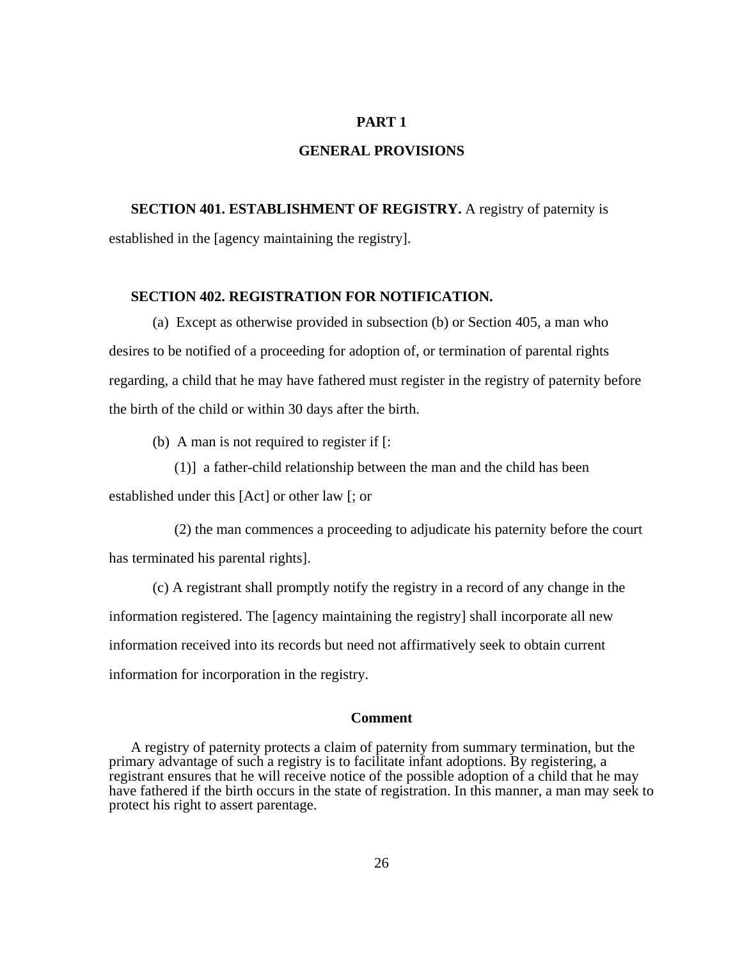# **PART 1**

# **GENERAL PROVISIONS**

# <span id="page-30-0"></span>**SECTION 401. ESTABLISHMENT OF REGISTRY.** A registry of paternity is established in the [agency maintaining the registry].

# **SECTION 402. REGISTRATION FOR NOTIFICATION.**

(a) Except as otherwise provided in subsection (b) or Section 405, a man who desires to be notified of a proceeding for adoption of, or termination of parental rights regarding, a child that he may have fathered must register in the registry of paternity before the birth of the child or within 30 days after the birth.

(b) A man is not required to register if [:

(1)] a father-child relationship between the man and the child has been established under this [Act] or other law [; or

(2) the man commences a proceeding to adjudicate his paternity before the court has terminated his parental rights].

(c) A registrant shall promptly notify the registry in a record of any change in the information registered. The [agency maintaining the registry] shall incorporate all new information received into its records but need not affirmatively seek to obtain current information for incorporation in the registry.

# **Comment**

A registry of paternity protects a claim of paternity from summary termination, but the primary advantage of such a registry is to facilitate infant adoptions. By registering, a registrant ensures that he will receive notice of the possible adoption of a child that he may have fathered if the birth occurs in the state of registration. In this manner, a man may seek to protect his right to assert parentage.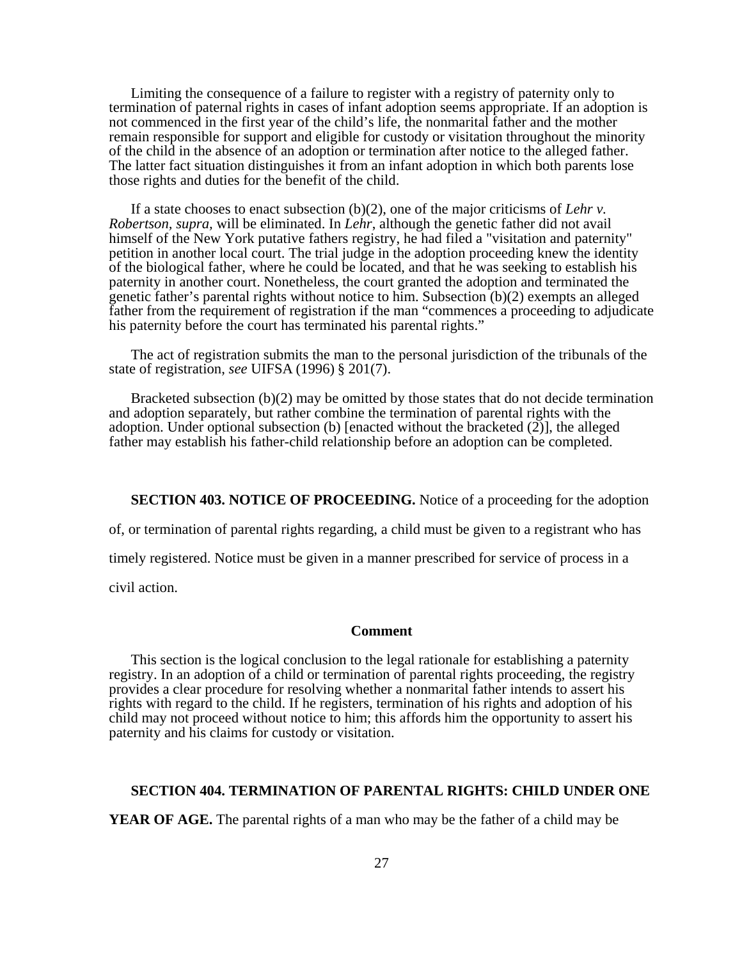<span id="page-31-0"></span>Limiting the consequence of a failure to register with a registry of paternity only to termination of paternal rights in cases of infant adoption seems appropriate. If an adoption is not commenced in the first year of the child's life, the nonmarital father and the mother remain responsible for support and eligible for custody or visitation throughout the minority of the child in the absence of an adoption or termination after notice to the alleged father. The latter fact situation distinguishes it from an infant adoption in which both parents lose those rights and duties for the benefit of the child.

If a state chooses to enact subsection (b)(2), one of the major criticisms of *Lehr v. Robertson, supra,* will be eliminated. In *Lehr*, although the genetic father did not avail himself of the New York putative fathers registry, he had filed a "visitation and paternity" petition in another local court. The trial judge in the adoption proceeding knew the identity of the biological father, where he could be located, and that he was seeking to establish his paternity in another court. Nonetheless, the court granted the adoption and terminated the genetic father's parental rights without notice to him. Subsection (b)(2) exempts an alleged father from the requirement of registration if the man "commences a proceeding to adjudicate his paternity before the court has terminated his parental rights."

The act of registration submits the man to the personal jurisdiction of the tribunals of the state of registration, *see* UIFSA (1996) § 201(7).

Bracketed subsection (b)(2) may be omitted by those states that do not decide termination and adoption separately, but rather combine the termination of parental rights with the adoption. Under optional subsection (b) [enacted without the bracketed  $(2)$ ], the alleged father may establish his father-child relationship before an adoption can be completed.

**SECTION 403. NOTICE OF PROCEEDING.** Notice of a proceeding for the adoption

of, or termination of parental rights regarding, a child must be given to a registrant who has

timely registered. Notice must be given in a manner prescribed for service of process in a

civil action.

#### **Comment**

This section is the logical conclusion to the legal rationale for establishing a paternity registry. In an adoption of a child or termination of parental rights proceeding, the registry provides a clear procedure for resolving whether a nonmarital father intends to assert his rights with regard to the child. If he registers, termination of his rights and adoption of his child may not proceed without notice to him; this affords him the opportunity to assert his paternity and his claims for custody or visitation.

## **SECTION 404. TERMINATION OF PARENTAL RIGHTS: CHILD UNDER ONE**

**YEAR OF AGE.** The parental rights of a man who may be the father of a child may be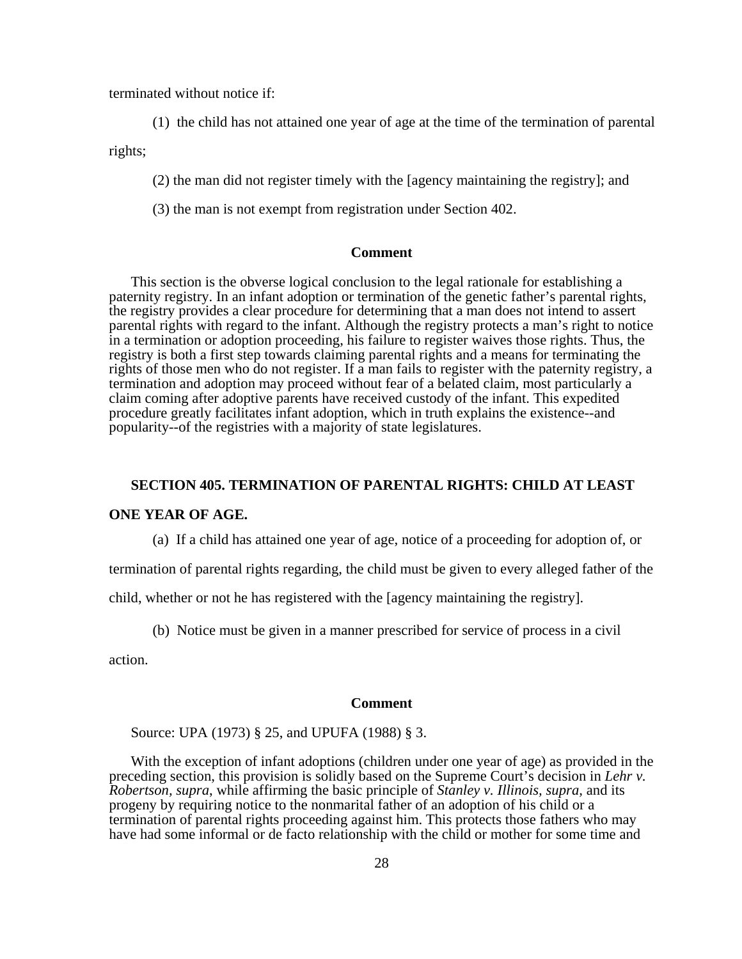<span id="page-32-0"></span>terminated without notice if:

(1) the child has not attained one year of age at the time of the termination of parental

rights;

(2) the man did not register timely with the [agency maintaining the registry]; and

(3) the man is not exempt from registration under Section 402.

# **Comment**

This section is the obverse logical conclusion to the legal rationale for establishing a paternity registry. In an infant adoption or termination of the genetic father's parental rights, the registry provides a clear procedure for determining that a man does not intend to assert parental rights with regard to the infant. Although the registry protects a man's right to notice in a termination or adoption proceeding, his failure to register waives those rights. Thus, the registry is both a first step towards claiming parental rights and a means for terminating the rights of those men who do not register. If a man fails to register with the paternity registry, a termination and adoption may proceed without fear of a belated claim, most particularly a claim coming after adoptive parents have received custody of the infant. This expedited procedure greatly facilitates infant adoption, which in truth explains the existence--and popularity--of the registries with a majority of state legislatures.

# **SECTION 405. TERMINATION OF PARENTAL RIGHTS: CHILD AT LEAST**

#### **ONE YEAR OF AGE.**

(a) If a child has attained one year of age, notice of a proceeding for adoption of, or

termination of parental rights regarding, the child must be given to every alleged father of the

child, whether or not he has registered with the [agency maintaining the registry].

(b) Notice must be given in a manner prescribed for service of process in a civil

action.

#### **Comment**

Source: UPA (1973) § 25, and UPUFA (1988) § 3.

With the exception of infant adoptions (children under one year of age) as provided in the preceding section, this provision is solidly based on the Supreme Court's decision in *Lehr v. Robertson, supra*, while affirming the basic principle of *Stanley v. Illinois, supra,* and its progeny by requiring notice to the nonmarital father of an adoption of his child or a termination of parental rights proceeding against him. This protects those fathers who may have had some informal or de facto relationship with the child or mother for some time and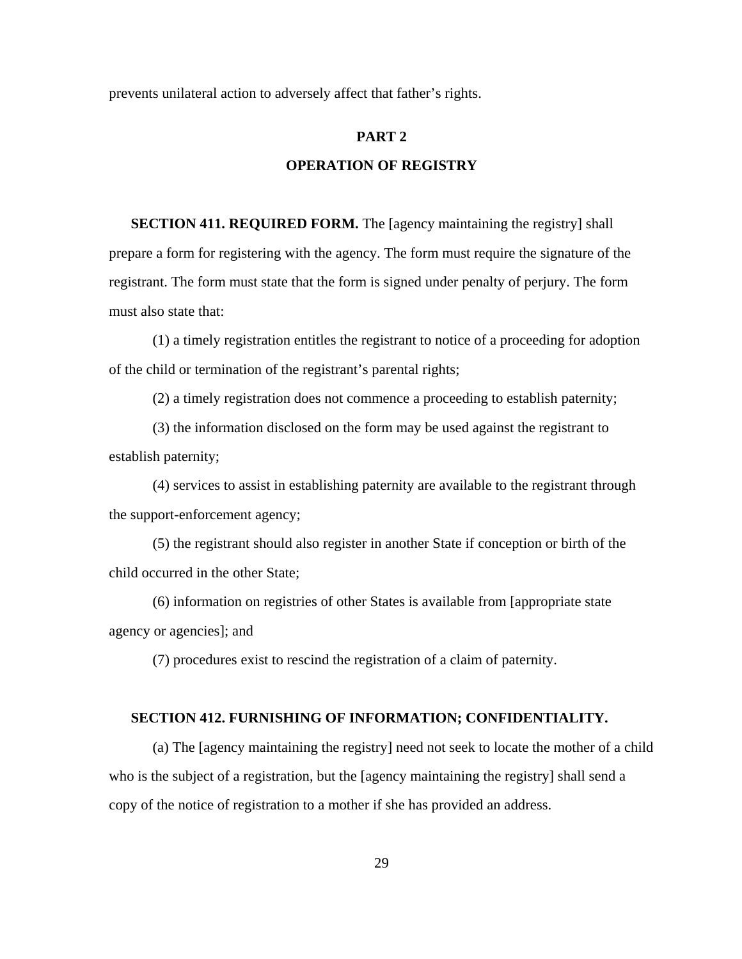<span id="page-33-0"></span>prevents unilateral action to adversely affect that father's rights.

# **PART 2**

# **OPERATION OF REGISTRY**

**SECTION 411. REQUIRED FORM.** The [agency maintaining the registry] shall prepare a form for registering with the agency. The form must require the signature of the registrant. The form must state that the form is signed under penalty of perjury. The form must also state that:

(1) a timely registration entitles the registrant to notice of a proceeding for adoption of the child or termination of the registrant's parental rights;

(2) a timely registration does not commence a proceeding to establish paternity;

(3) the information disclosed on the form may be used against the registrant to establish paternity;

(4) services to assist in establishing paternity are available to the registrant through the support-enforcement agency;

(5) the registrant should also register in another State if conception or birth of the child occurred in the other State;

(6) information on registries of other States is available from [appropriate state agency or agencies]; and

(7) procedures exist to rescind the registration of a claim of paternity.

# **SECTION 412. FURNISHING OF INFORMATION; CONFIDENTIALITY.**

(a) The [agency maintaining the registry] need not seek to locate the mother of a child who is the subject of a registration, but the [agency maintaining the registry] shall send a copy of the notice of registration to a mother if she has provided an address.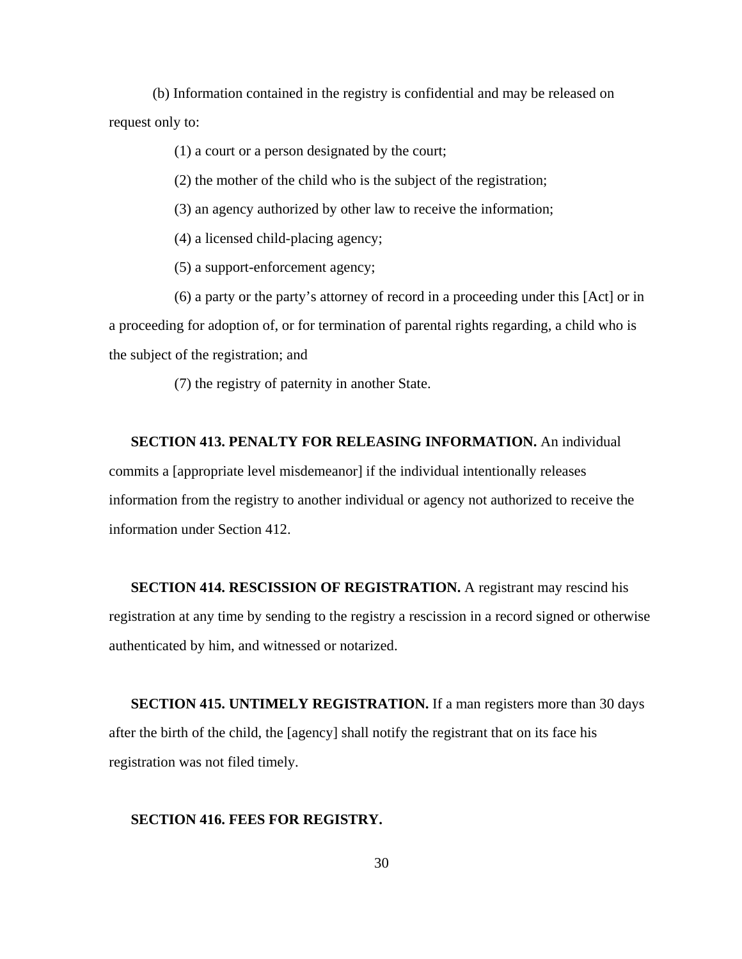<span id="page-34-0"></span>(b) Information contained in the registry is confidential and may be released on request only to:

(1) a court or a person designated by the court;

(2) the mother of the child who is the subject of the registration;

(3) an agency authorized by other law to receive the information;

(4) a licensed child-placing agency;

(5) a support-enforcement agency;

(6) a party or the party's attorney of record in a proceeding under this [Act] or in a proceeding for adoption of, or for termination of parental rights regarding, a child who is the subject of the registration; and

(7) the registry of paternity in another State.

# **SECTION 413. PENALTY FOR RELEASING INFORMATION.** An individual

commits a [appropriate level misdemeanor] if the individual intentionally releases information from the registry to another individual or agency not authorized to receive the information under Section 412.

**SECTION 414. RESCISSION OF REGISTRATION.** A registrant may rescind his registration at any time by sending to the registry a rescission in a record signed or otherwise authenticated by him, and witnessed or notarized.

**SECTION 415. UNTIMELY REGISTRATION.** If a man registers more than 30 days after the birth of the child, the [agency] shall notify the registrant that on its face his registration was not filed timely.

# **SECTION 416. FEES FOR REGISTRY.**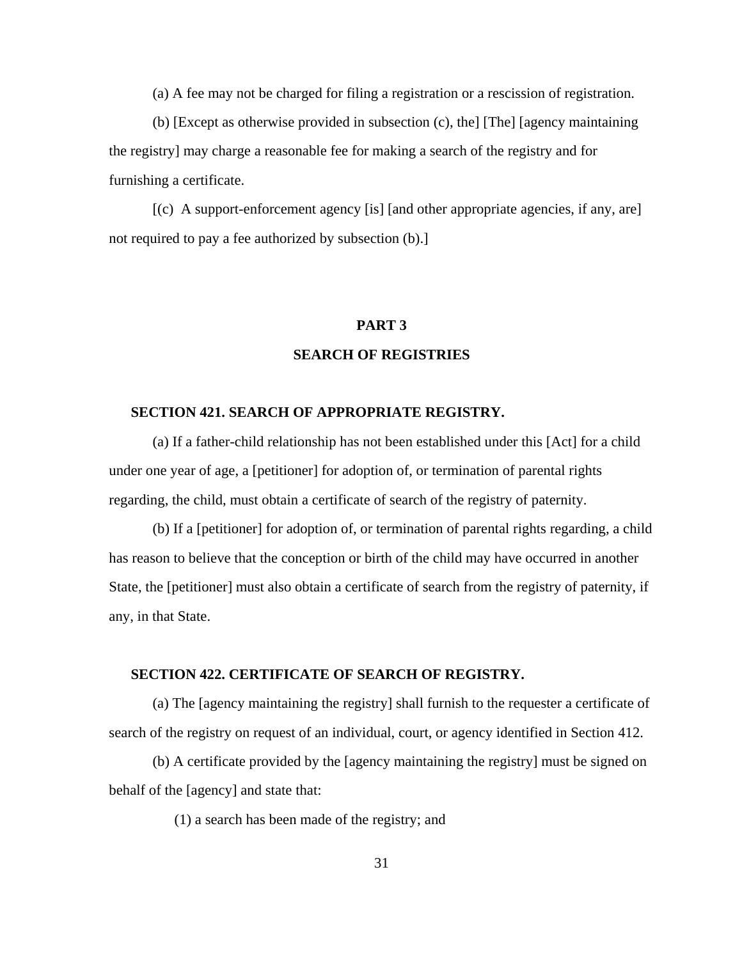(a) A fee may not be charged for filing a registration or a rescission of registration.

<span id="page-35-0"></span>(b) [Except as otherwise provided in subsection (c), the] [The] [agency maintaining the registry] may charge a reasonable fee for making a search of the registry and for furnishing a certificate.

[(c) A support-enforcement agency [is] [and other appropriate agencies, if any, are] not required to pay a fee authorized by subsection (b).]

# **PART 3**

# **SEARCH OF REGISTRIES**

# **SECTION 421. SEARCH OF APPROPRIATE REGISTRY.**

(a) If a father-child relationship has not been established under this [Act] for a child under one year of age, a [petitioner] for adoption of, or termination of parental rights regarding, the child, must obtain a certificate of search of the registry of paternity.

(b) If a [petitioner] for adoption of, or termination of parental rights regarding, a child has reason to believe that the conception or birth of the child may have occurred in another State, the [petitioner] must also obtain a certificate of search from the registry of paternity, if any, in that State.

# **SECTION 422. CERTIFICATE OF SEARCH OF REGISTRY.**

(a) The [agency maintaining the registry] shall furnish to the requester a certificate of search of the registry on request of an individual, court, or agency identified in Section 412.

(b) A certificate provided by the [agency maintaining the registry] must be signed on behalf of the [agency] and state that:

(1) a search has been made of the registry; and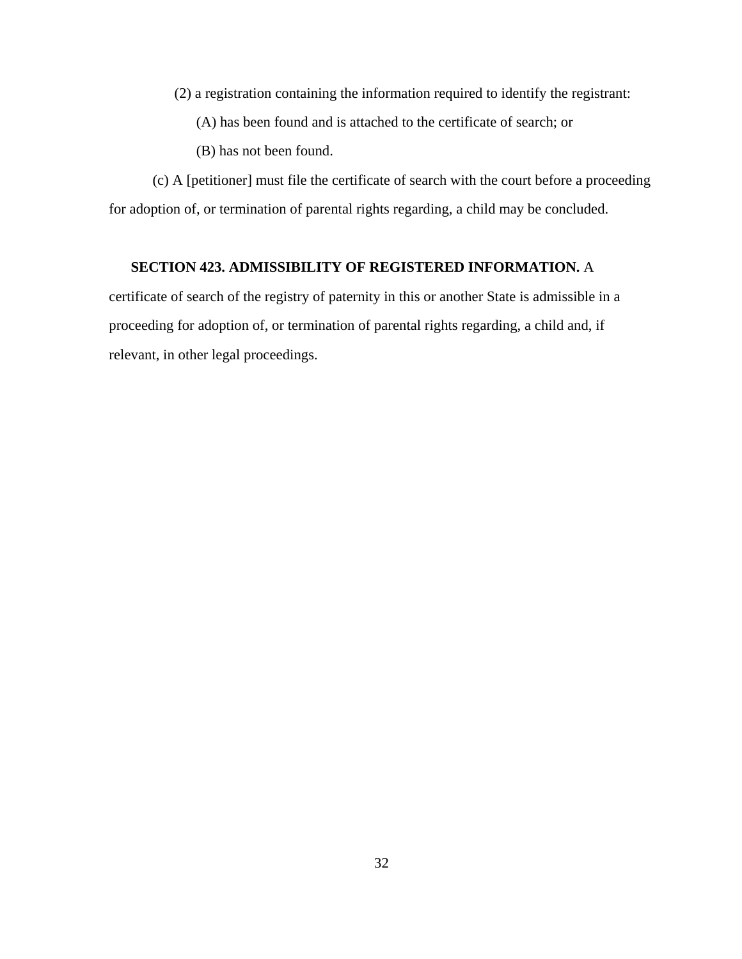- (2) a registration containing the information required to identify the registrant:
	- (A) has been found and is attached to the certificate of search; or
	- (B) has not been found.

(c) A [petitioner] must file the certificate of search with the court before a proceeding for adoption of, or termination of parental rights regarding, a child may be concluded.

# **SECTION 423. ADMISSIBILITY OF REGISTERED INFORMATION.** A

certificate of search of the registry of paternity in this or another State is admissible in a proceeding for adoption of, or termination of parental rights regarding, a child and, if relevant, in other legal proceedings.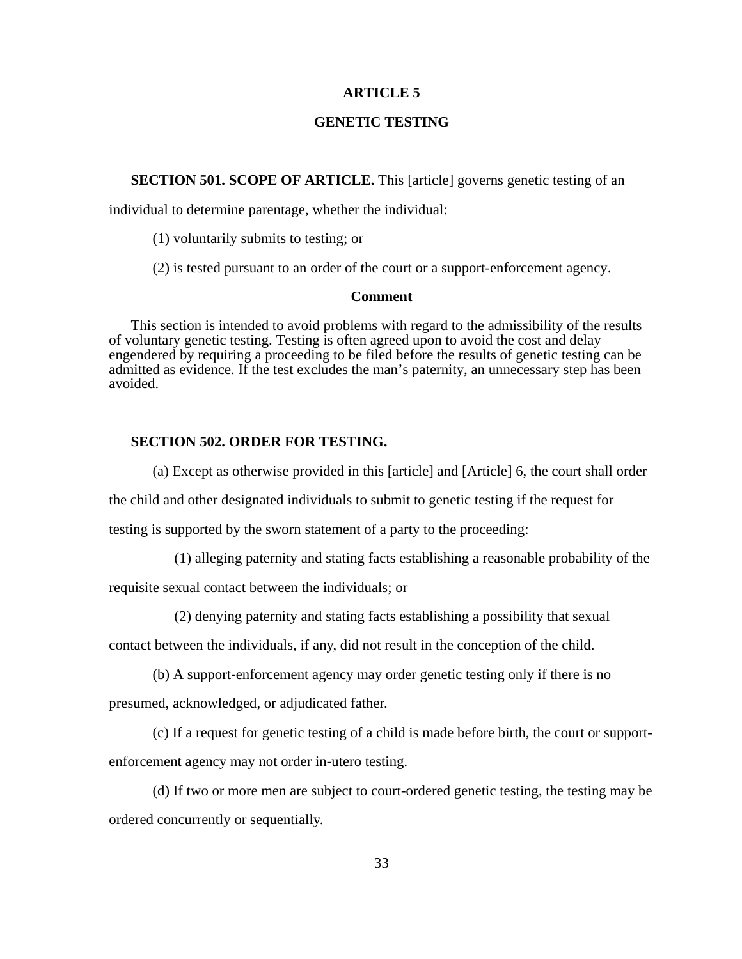# **ARTICLE 5**

# **GENETIC TESTING**

**SECTION 501. SCOPE OF ARTICLE.** This [article] governs genetic testing of an

individual to determine parentage, whether the individual:

(1) voluntarily submits to testing; or

(2) is tested pursuant to an order of the court or a support-enforcement agency.

# **Comment**

This section is intended to avoid problems with regard to the admissibility of the results of voluntary genetic testing. Testing is often agreed upon to avoid the cost and delay engendered by requiring a proceeding to be filed before the results of genetic testing can be admitted as evidence. If the test excludes the man's paternity, an unnecessary step has been avoided.

# **SECTION 502. ORDER FOR TESTING.**

(a) Except as otherwise provided in this [article] and [Article] 6, the court shall order

the child and other designated individuals to submit to genetic testing if the request for

testing is supported by the sworn statement of a party to the proceeding:

(1) alleging paternity and stating facts establishing a reasonable probability of the

requisite sexual contact between the individuals; or

(2) denying paternity and stating facts establishing a possibility that sexual

contact between the individuals, if any, did not result in the conception of the child.

(b) A support-enforcement agency may order genetic testing only if there is no presumed, acknowledged, or adjudicated father.

(c) If a request for genetic testing of a child is made before birth, the court or supportenforcement agency may not order in-utero testing.

(d) If two or more men are subject to court-ordered genetic testing, the testing may be ordered concurrently or sequentially.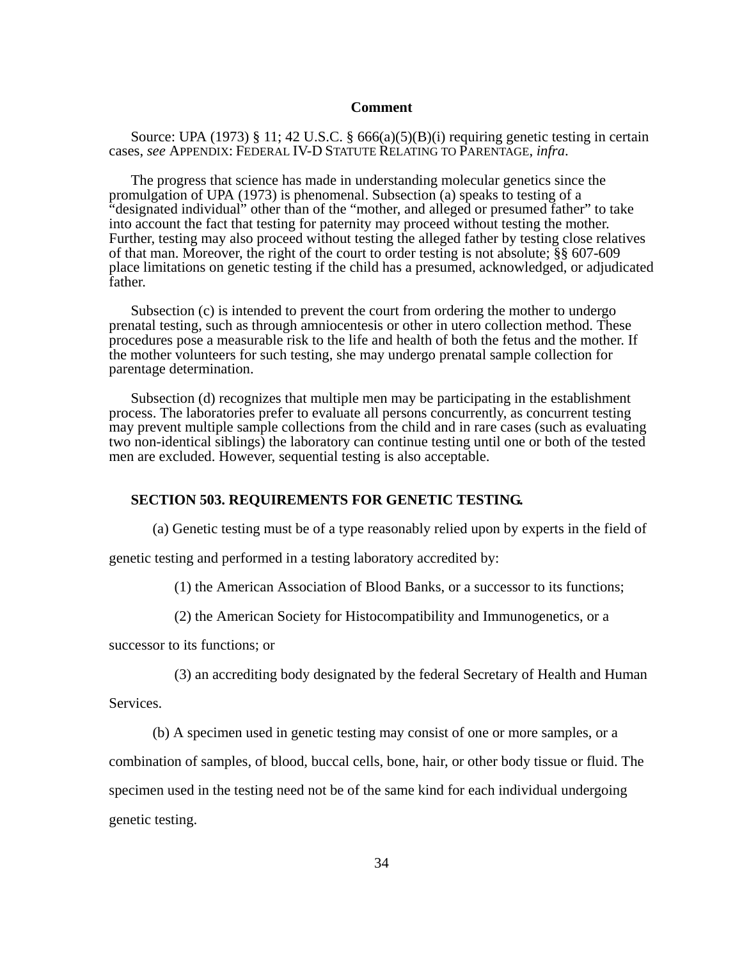#### **Comment**

Source: UPA (1973) § 11; 42 U.S.C. § 666(a)(5)(B)(i) requiring genetic testing in certain cases, *see* APPENDIX: FEDERAL IV-D STATUTE RELATING TO PARENTAGE, *infra*.

The progress that science has made in understanding molecular genetics since the promulgation of UPA (1973) is phenomenal. Subsection (a) speaks to testing of a "designated individual" other than of the "mother, and alleged or presumed father" to take into account the fact that testing for paternity may proceed without testing the mother. Further, testing may also proceed without testing the alleged father by testing close relatives of that man. Moreover, the right of the court to order testing is not absolute; §§ 607-609 place limitations on genetic testing if the child has a presumed, acknowledged, or adjudicated father.

Subsection (c) is intended to prevent the court from ordering the mother to undergo prenatal testing, such as through amniocentesis or other in utero collection method. These procedures pose a measurable risk to the life and health of both the fetus and the mother. If the mother volunteers for such testing, she may undergo prenatal sample collection for parentage determination.

Subsection (d) recognizes that multiple men may be participating in the establishment process. The laboratories prefer to evaluate all persons concurrently, as concurrent testing may prevent multiple sample collections from the child and in rare cases (such as evaluating two non-identical siblings) the laboratory can continue testing until one or both of the tested men are excluded. However, sequential testing is also acceptable.

# **SECTION 503. REQUIREMENTS FOR GENETIC TESTING.**

(a) Genetic testing must be of a type reasonably relied upon by experts in the field of

genetic testing and performed in a testing laboratory accredited by:

(1) the American Association of Blood Banks, or a successor to its functions;

(2) the American Society for Histocompatibility and Immunogenetics, or a

successor to its functions; or

(3) an accrediting body designated by the federal Secretary of Health and Human

Services.

(b) A specimen used in genetic testing may consist of one or more samples, or a

combination of samples, of blood, buccal cells, bone, hair, or other body tissue or fluid. The specimen used in the testing need not be of the same kind for each individual undergoing genetic testing.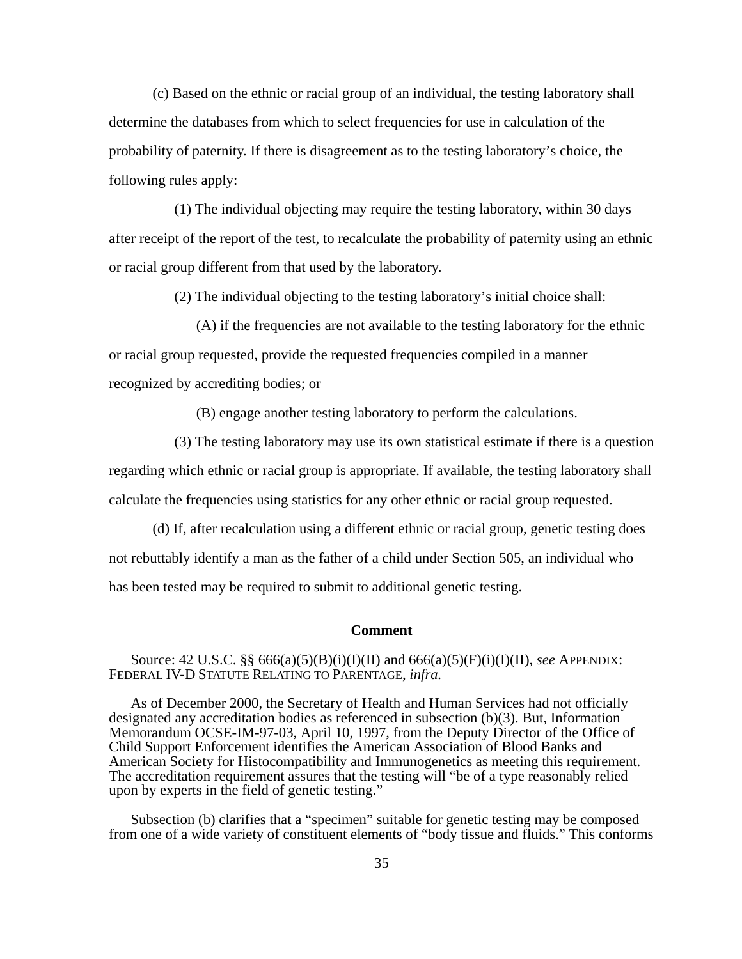(c) Based on the ethnic or racial group of an individual, the testing laboratory shall determine the databases from which to select frequencies for use in calculation of the probability of paternity. If there is disagreement as to the testing laboratory's choice, the following rules apply:

(1) The individual objecting may require the testing laboratory, within 30 days after receipt of the report of the test, to recalculate the probability of paternity using an ethnic or racial group different from that used by the laboratory.

(2) The individual objecting to the testing laboratory's initial choice shall:

(A) if the frequencies are not available to the testing laboratory for the ethnic or racial group requested, provide the requested frequencies compiled in a manner recognized by accrediting bodies; or

(B) engage another testing laboratory to perform the calculations.

(3) The testing laboratory may use its own statistical estimate if there is a question regarding which ethnic or racial group is appropriate. If available, the testing laboratory shall calculate the frequencies using statistics for any other ethnic or racial group requested.

(d) If, after recalculation using a different ethnic or racial group, genetic testing does not rebuttably identify a man as the father of a child under Section 505, an individual who has been tested may be required to submit to additional genetic testing.

# **Comment**

Source: 42 U.S.C. §§ 666(a)(5)(B)(i)(I)(II) and 666(a)(5)(F)(i)(I)(II), *see* APPENDIX: FEDERAL IV-D STATUTE RELATING TO PARENTAGE, *infra.* 

As of December 2000, the Secretary of Health and Human Services had not officially designated any accreditation bodies as referenced in subsection (b)(3). But, Information Memorandum OCSE-IM-97-03, April 10, 1997, from the Deputy Director of the Office of Child Support Enforcement identifies the American Association of Blood Banks and American Society for Histocompatibility and Immunogenetics as meeting this requirement. The accreditation requirement assures that the testing will "be of a type reasonably relied upon by experts in the field of genetic testing."

Subsection (b) clarifies that a "specimen" suitable for genetic testing may be composed from one of a wide variety of constituent elements of "body tissue and fluids." This conforms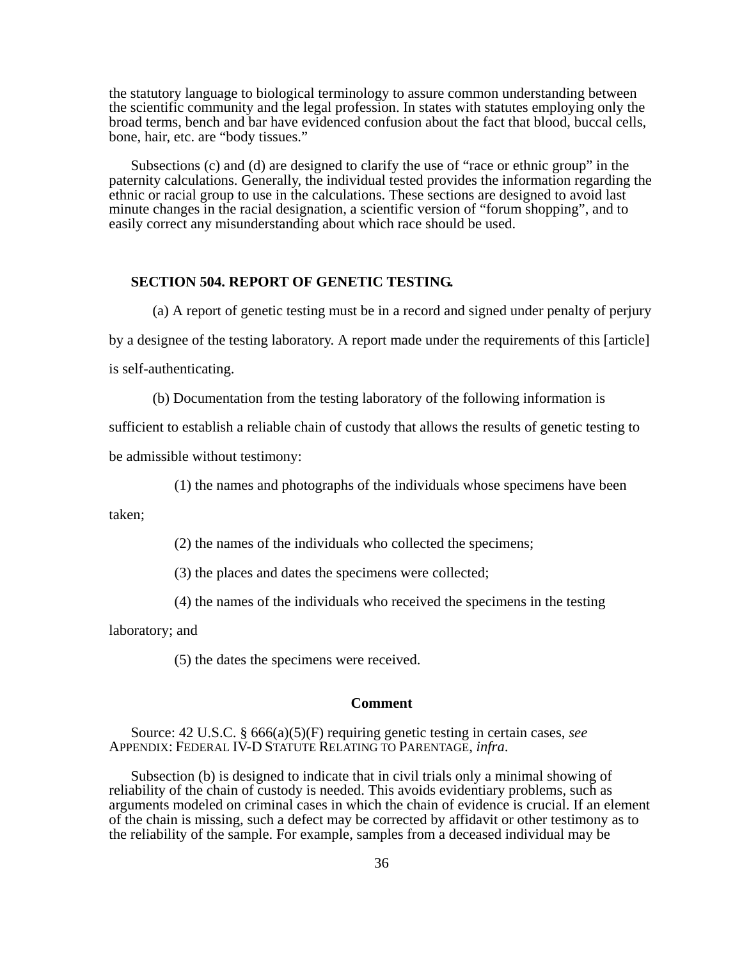the statutory language to biological terminology to assure common understanding between the scientific community and the legal profession. In states with statutes employing only the broad terms, bench and bar have evidenced confusion about the fact that blood, buccal cells, bone, hair, etc. are "body tissues."

Subsections (c) and (d) are designed to clarify the use of "race or ethnic group" in the paternity calculations. Generally, the individual tested provides the information regarding the ethnic or racial group to use in the calculations. These sections are designed to avoid last minute changes in the racial designation, a scientific version of "forum shopping", and to easily correct any misunderstanding about which race should be used.

# **SECTION 504. REPORT OF GENETIC TESTING.**

(a) A report of genetic testing must be in a record and signed under penalty of perjury

by a designee of the testing laboratory. A report made under the requirements of this [article]

is self-authenticating.

(b) Documentation from the testing laboratory of the following information is

sufficient to establish a reliable chain of custody that allows the results of genetic testing to

be admissible without testimony:

(1) the names and photographs of the individuals whose specimens have been

taken;

(2) the names of the individuals who collected the specimens;

(3) the places and dates the specimens were collected;

(4) the names of the individuals who received the specimens in the testing

laboratory; and

(5) the dates the specimens were received.

#### **Comment**

Source: 42 U.S.C. § 666(a)(5)(F) requiring genetic testing in certain cases, *see*  APPENDIX: FEDERAL IV-D STATUTE RELATING TO PARENTAGE, *infra*.

Subsection (b) is designed to indicate that in civil trials only a minimal showing of reliability of the chain of custody is needed. This avoids evidentiary problems, such as arguments modeled on criminal cases in which the chain of evidence is crucial. If an element of the chain is missing, such a defect may be corrected by affidavit or other testimony as to the reliability of the sample. For example, samples from a deceased individual may be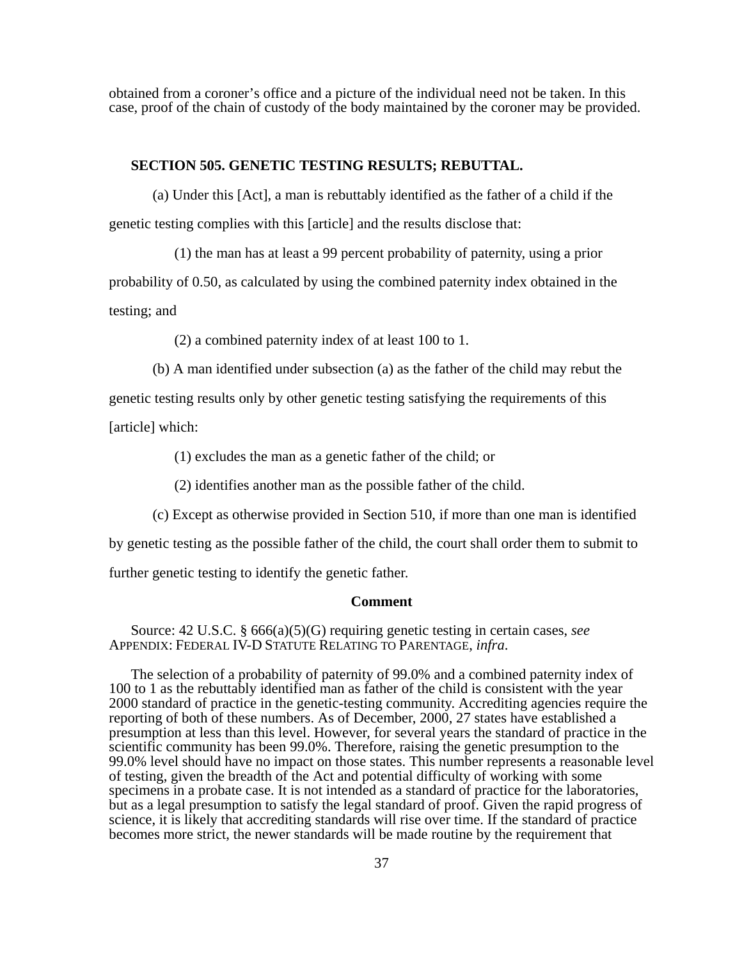obtained from a coroner's office and a picture of the individual need not be taken. In this case, proof of the chain of custody of the body maintained by the coroner may be provided.

# **SECTION 505. GENETIC TESTING RESULTS; REBUTTAL.**

(a) Under this [Act], a man is rebuttably identified as the father of a child if the genetic testing complies with this [article] and the results disclose that:

(1) the man has at least a 99 percent probability of paternity, using a prior

probability of 0.50, as calculated by using the combined paternity index obtained in the testing; and

(2) a combined paternity index of at least 100 to 1.

(b) A man identified under subsection (a) as the father of the child may rebut the

genetic testing results only by other genetic testing satisfying the requirements of this

[article] which:

(1) excludes the man as a genetic father of the child; or

(2) identifies another man as the possible father of the child.

(c) Except as otherwise provided in Section 510, if more than one man is identified

by genetic testing as the possible father of the child, the court shall order them to submit to

further genetic testing to identify the genetic father.

# **Comment**

Source: 42 U.S.C. § 666(a)(5)(G) requiring genetic testing in certain cases, *see*  APPENDIX: FEDERAL IV-D STATUTE RELATING TO PARENTAGE, *infra*.

The selection of a probability of paternity of 99.0% and a combined paternity index of 100 to 1 as the rebuttably identified man as father of the child is consistent with the year 2000 standard of practice in the genetic-testing community. Accrediting agencies require the reporting of both of these numbers. As of December, 2000, 27 states have established a presumption at less than this level. However, for several years the standard of practice in the scientific community has been 99.0%. Therefore, raising the genetic presumption to the 99.0% level should have no impact on those states. This number represents a reasonable level of testing, given the breadth of the Act and potential difficulty of working with some specimens in a probate case. It is not intended as a standard of practice for the laboratories, but as a legal presumption to satisfy the legal standard of proof. Given the rapid progress of science, it is likely that accrediting standards will rise over time. If the standard of practice becomes more strict, the newer standards will be made routine by the requirement that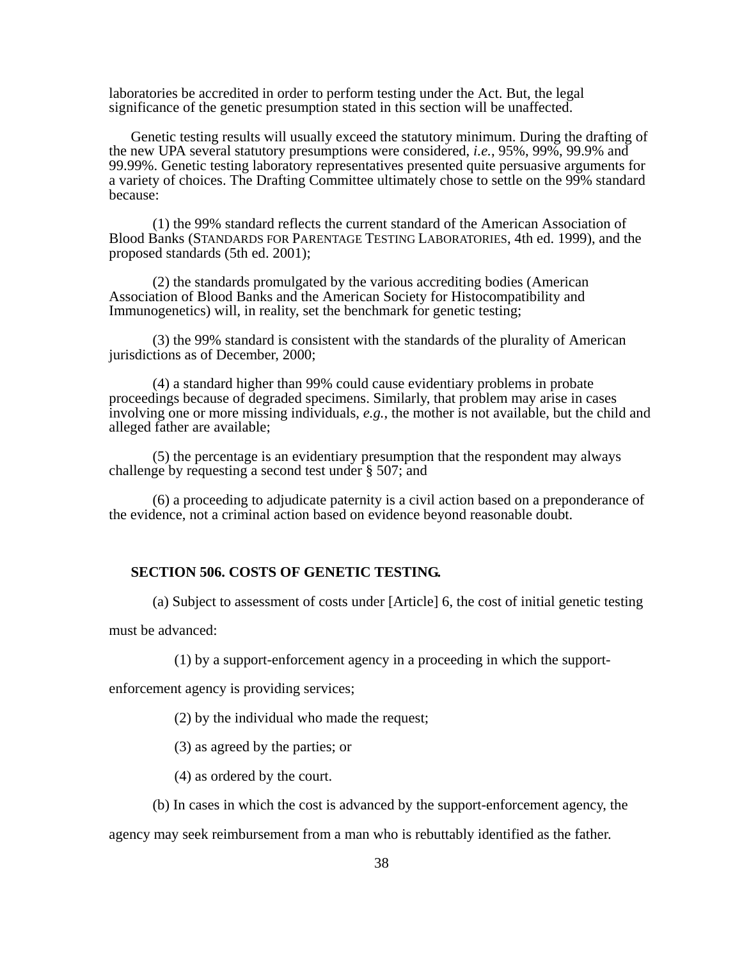laboratories be accredited in order to perform testing under the Act. But, the legal significance of the genetic presumption stated in this section will be unaffected.

Genetic testing results will usually exceed the statutory minimum. During the drafting of the new UPA several statutory presumptions were considered, *i.e.*, 95%, 99%, 99.9% and 99.99%. Genetic testing laboratory representatives presented quite persuasive arguments for a variety of choices. The Drafting Committee ultimately chose to settle on the 99% standard because:

(1) the 99% standard reflects the current standard of the American Association of Blood Banks (STANDARDS FOR PARENTAGE TESTING LABORATORIES, 4th ed. 1999), and the proposed standards (5th ed. 2001);

(2) the standards promulgated by the various accrediting bodies (American Association of Blood Banks and the American Society for Histocompatibility and Immunogenetics) will, in reality, set the benchmark for genetic testing;

(3) the 99% standard is consistent with the standards of the plurality of American jurisdictions as of December, 2000;

(4) a standard higher than 99% could cause evidentiary problems in probate proceedings because of degraded specimens. Similarly, that problem may arise in cases involving one or more missing individuals, *e.g.*, the mother is not available, but the child and alleged father are available;

(5) the percentage is an evidentiary presumption that the respondent may always challenge by requesting a second test under § 507; and

(6) a proceeding to adjudicate paternity is a civil action based on a preponderance of the evidence, not a criminal action based on evidence beyond reasonable doubt.

# **SECTION 506. COSTS OF GENETIC TESTING.**

(a) Subject to assessment of costs under [Article] 6, the cost of initial genetic testing

must be advanced:

(1) by a support-enforcement agency in a proceeding in which the support-

enforcement agency is providing services;

(2) by the individual who made the request;

(3) as agreed by the parties; or

(4) as ordered by the court.

(b) In cases in which the cost is advanced by the support-enforcement agency, the

agency may seek reimbursement from a man who is rebuttably identified as the father.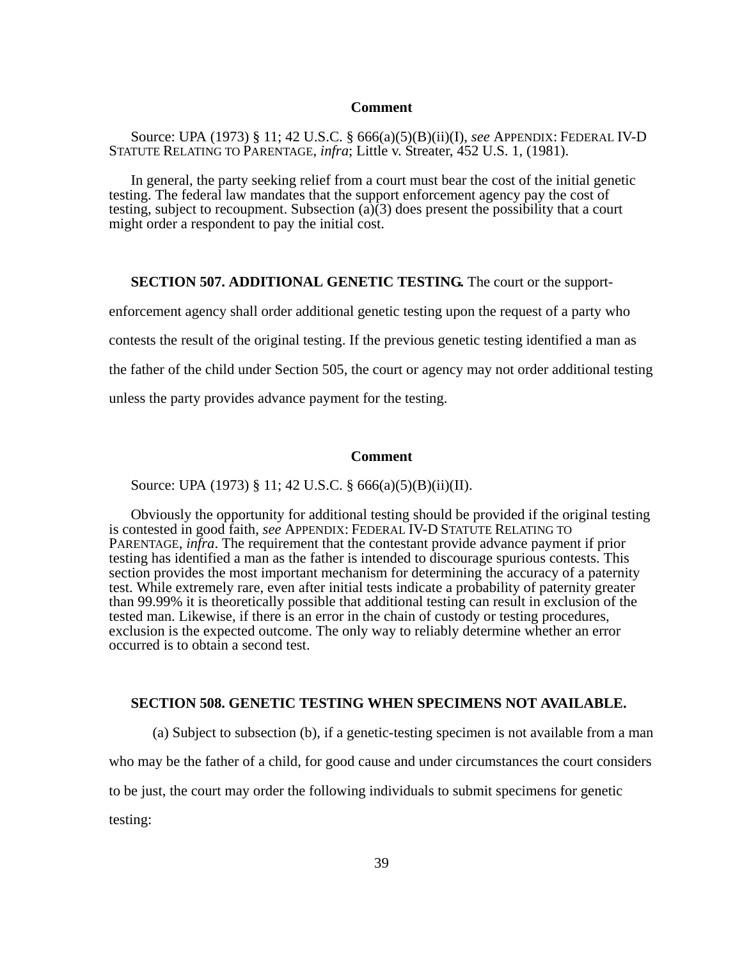#### **Comment**

Source: UPA (1973) § 11; 42 U.S.C. § 666(a)(5)(B)(ii)(I), *see* APPENDIX: FEDERAL IV-D STATUTE RELATING TO PARENTAGE, *infra*; Little v. Streater, 452 U.S. 1, (1981).

In general, the party seeking relief from a court must bear the cost of the initial genetic testing. The federal law mandates that the support enforcement agency pay the cost of testing, subject to recoupment. Subsection  $(a)(3)$  does present the possibility that a court might order a respondent to pay the initial cost.

#### **SECTION 507. ADDITIONAL GENETIC TESTING.** The court or the support-

enforcement agency shall order additional genetic testing upon the request of a party who

contests the result of the original testing. If the previous genetic testing identified a man as

the father of the child under Section 505, the court or agency may not order additional testing

unless the party provides advance payment for the testing.

#### **Comment**

Source: UPA (1973) § 11; 42 U.S.C. § 666(a)(5)(B)(ii)(II).

Obviously the opportunity for additional testing should be provided if the original testing is contested in good faith, *see* APPENDIX: FEDERAL IV-D STATUTE RELATING TO PARENTAGE, *infra*. The requirement that the contestant provide advance payment if prior testing has identified a man as the father is intended to discourage spurious contests. This section provides the most important mechanism for determining the accuracy of a paternity test. While extremely rare, even after initial tests indicate a probability of paternity greater than 99.99% it is theoretically possible that additional testing can result in exclusion of the tested man. Likewise, if there is an error in the chain of custody or testing procedures, exclusion is the expected outcome. The only way to reliably determine whether an error occurred is to obtain a second test.

#### **SECTION 508. GENETIC TESTING WHEN SPECIMENS NOT AVAILABLE.**

(a) Subject to subsection (b), if a genetic-testing specimen is not available from a man

who may be the father of a child, for good cause and under circumstances the court considers

to be just, the court may order the following individuals to submit specimens for genetic

testing: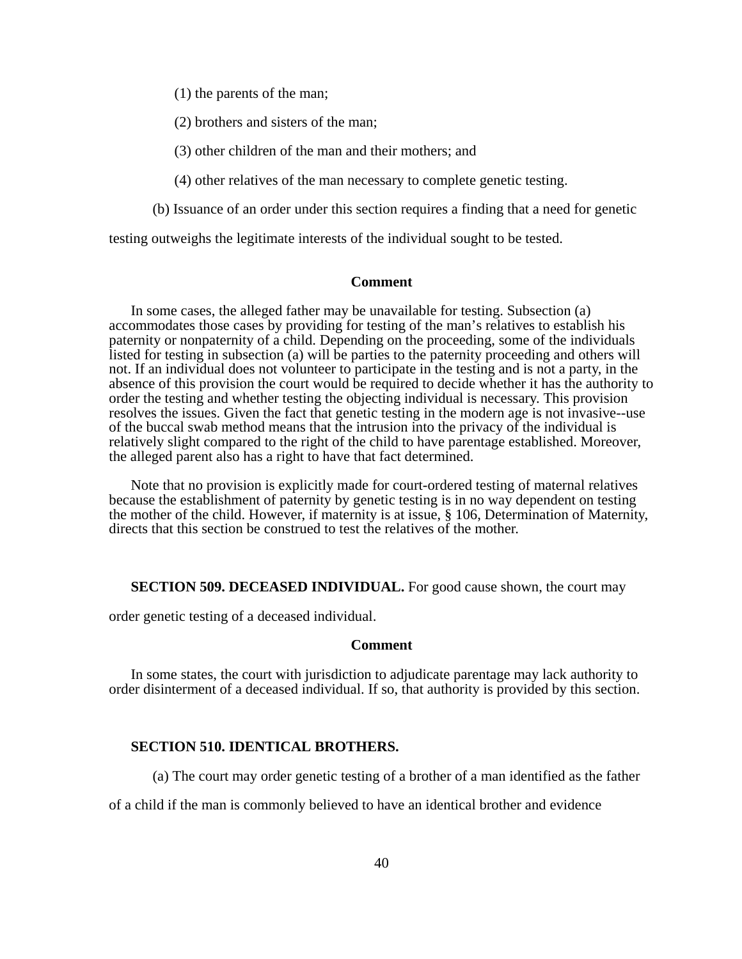- (1) the parents of the man;
- (2) brothers and sisters of the man;
- (3) other children of the man and their mothers; and
- (4) other relatives of the man necessary to complete genetic testing.
- (b) Issuance of an order under this section requires a finding that a need for genetic

testing outweighs the legitimate interests of the individual sought to be tested.

# **Comment**

In some cases, the alleged father may be unavailable for testing. Subsection (a) accommodates those cases by providing for testing of the man's relatives to establish his paternity or nonpaternity of a child. Depending on the proceeding, some of the individuals listed for testing in subsection (a) will be parties to the paternity proceeding and others will not. If an individual does not volunteer to participate in the testing and is not a party, in the absence of this provision the court would be required to decide whether it has the authority to order the testing and whether testing the objecting individual is necessary. This provision resolves the issues. Given the fact that genetic testing in the modern age is not invasive--use of the buccal swab method means that the intrusion into the privacy of the individual is relatively slight compared to the right of the child to have parentage established. Moreover, the alleged parent also has a right to have that fact determined.

Note that no provision is explicitly made for court-ordered testing of maternal relatives because the establishment of paternity by genetic testing is in no way dependent on testing the mother of the child. However, if maternity is at issue, § 106, Determination of Maternity, directs that this section be construed to test the relatives of the mother.

#### **SECTION 509. DECEASED INDIVIDUAL.** For good cause shown, the court may

order genetic testing of a deceased individual.

#### **Comment**

In some states, the court with jurisdiction to adjudicate parentage may lack authority to order disinterment of a deceased individual. If so, that authority is provided by this section.

# **SECTION 510. IDENTICAL BROTHERS.**

(a) The court may order genetic testing of a brother of a man identified as the father

of a child if the man is commonly believed to have an identical brother and evidence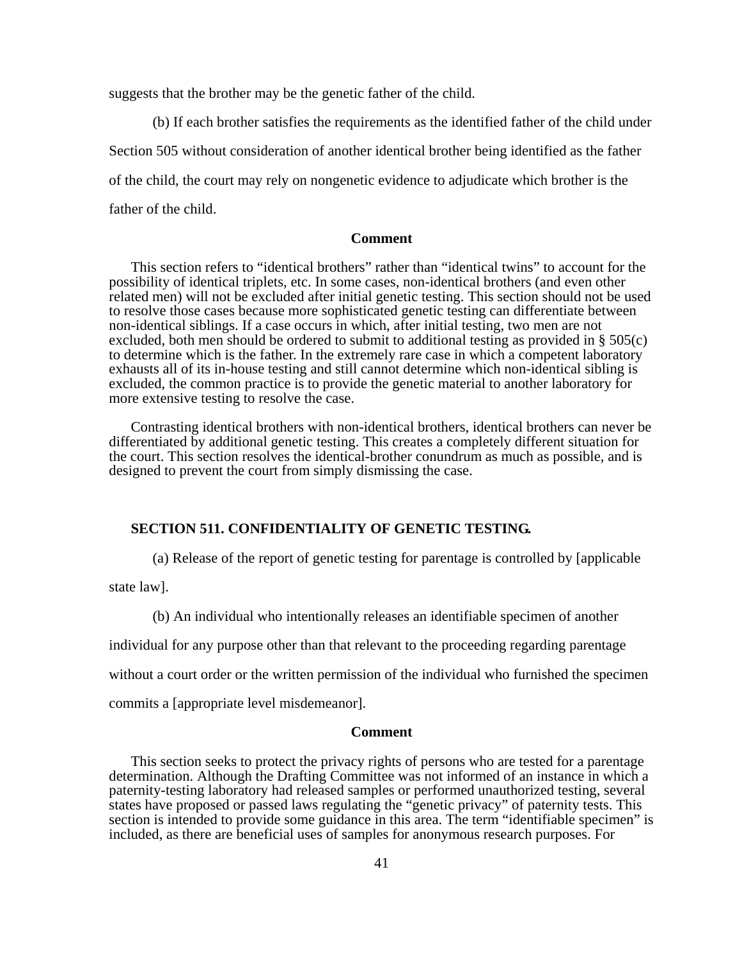suggests that the brother may be the genetic father of the child.

(b) If each brother satisfies the requirements as the identified father of the child under Section 505 without consideration of another identical brother being identified as the father of the child, the court may rely on nongenetic evidence to adjudicate which brother is the father of the child.

# **Comment**

This section refers to "identical brothers" rather than "identical twins" to account for the possibility of identical triplets, etc. In some cases, non-identical brothers (and even other related men) will not be excluded after initial genetic testing. This section should not be used to resolve those cases because more sophisticated genetic testing can differentiate between non-identical siblings. If a case occurs in which, after initial testing, two men are not excluded, both men should be ordered to submit to additional testing as provided in § 505(c) to determine which is the father. In the extremely rare case in which a competent laboratory exhausts all of its in-house testing and still cannot determine which non-identical sibling is excluded, the common practice is to provide the genetic material to another laboratory for more extensive testing to resolve the case.

Contrasting identical brothers with non-identical brothers, identical brothers can never be differentiated by additional genetic testing. This creates a completely different situation for the court. This section resolves the identical-brother conundrum as much as possible, and is designed to prevent the court from simply dismissing the case.

# **SECTION 511. CONFIDENTIALITY OF GENETIC TESTING.**

(a) Release of the report of genetic testing for parentage is controlled by [applicable

state law].

(b) An individual who intentionally releases an identifiable specimen of another

individual for any purpose other than that relevant to the proceeding regarding parentage

without a court order or the written permission of the individual who furnished the specimen

commits a [appropriate level misdemeanor].

# **Comment**

This section seeks to protect the privacy rights of persons who are tested for a parentage determination. Although the Drafting Committee was not informed of an instance in which a paternity-testing laboratory had released samples or performed unauthorized testing, several states have proposed or passed laws regulating the "genetic privacy" of paternity tests. This section is intended to provide some guidance in this area. The term "identifiable specimen" is included, as there are beneficial uses of samples for anonymous research purposes. For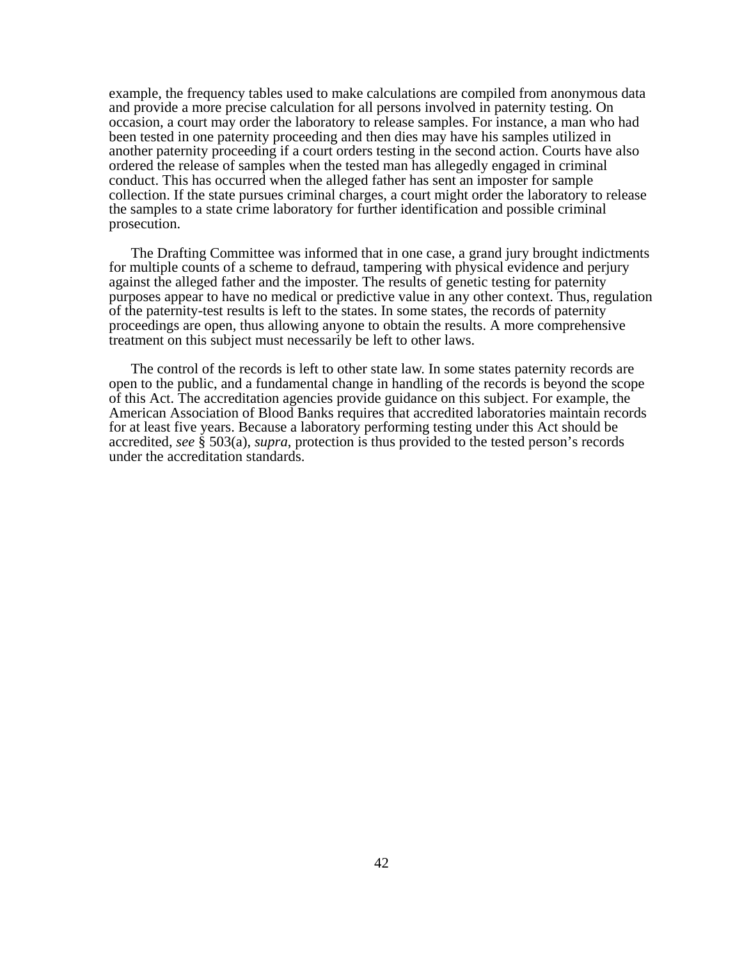example, the frequency tables used to make calculations are compiled from anonymous data and provide a more precise calculation for all persons involved in paternity testing. On occasion, a court may order the laboratory to release samples. For instance, a man who had been tested in one paternity proceeding and then dies may have his samples utilized in another paternity proceeding if a court orders testing in the second action. Courts have also ordered the release of samples when the tested man has allegedly engaged in criminal conduct. This has occurred when the alleged father has sent an imposter for sample collection. If the state pursues criminal charges, a court might order the laboratory to release the samples to a state crime laboratory for further identification and possible criminal prosecution.

The Drafting Committee was informed that in one case, a grand jury brought indictments for multiple counts of a scheme to defraud, tampering with physical evidence and perjury against the alleged father and the imposter. The results of genetic testing for paternity purposes appear to have no medical or predictive value in any other context. Thus, regulation of the paternity-test results is left to the states. In some states, the records of paternity proceedings are open, thus allowing anyone to obtain the results. A more comprehensive treatment on this subject must necessarily be left to other laws.

The control of the records is left to other state law. In some states paternity records are open to the public, and a fundamental change in handling of the records is beyond the scope of this Act. The accreditation agencies provide guidance on this subject. For example, the American Association of Blood Banks requires that accredited laboratories maintain records for at least five years. Because a laboratory performing testing under this Act should be accredited, *see* § 503(a), *supra*, protection is thus provided to the tested person's records under the accreditation standards.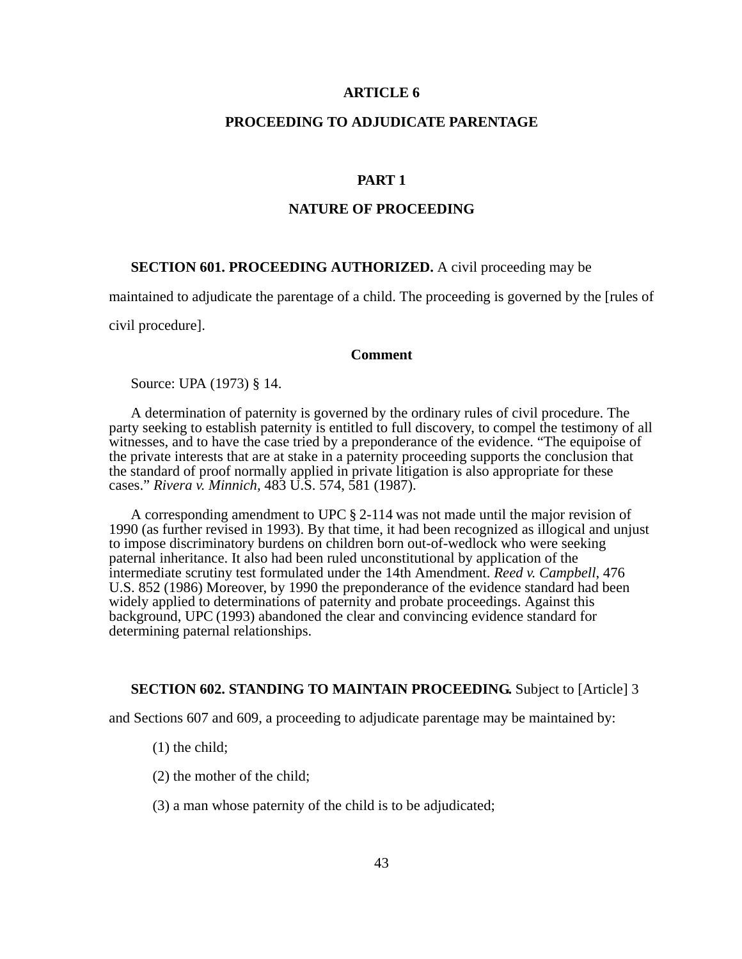#### **ARTICLE 6**

# **PROCEEDING TO ADJUDICATE PARENTAGE**

# **PART 1**

# **NATURE OF PROCEEDING**

#### **SECTION 601. PROCEEDING AUTHORIZED.** A civil proceeding may be

maintained to adjudicate the parentage of a child. The proceeding is governed by the [rules of

civil procedure].

#### **Comment**

Source: UPA (1973) § 14.

A determination of paternity is governed by the ordinary rules of civil procedure. The party seeking to establish paternity is entitled to full discovery, to compel the testimony of all witnesses, and to have the case tried by a preponderance of the evidence. "The equipoise of the private interests that are at stake in a paternity proceeding supports the conclusion that the standard of proof normally applied in private litigation is also appropriate for these cases." *Rivera v. Minnich,* 483 U.S. 574, 581 (1987).

A corresponding amendment to UPC § 2-114 was not made until the major revision of 1990 (as further revised in 1993). By that time, it had been recognized as illogical and unjust to impose discriminatory burdens on children born out-of-wedlock who were seeking paternal inheritance. It also had been ruled unconstitutional by application of the intermediate scrutiny test formulated under the 14th Amendment. *Reed v. Campbell*, 476 U.S. 852 (1986) Moreover, by 1990 the preponderance of the evidence standard had been widely applied to determinations of paternity and probate proceedings. Against this background, UPC (1993) abandoned the clear and convincing evidence standard for determining paternal relationships.

# **SECTION 602. STANDING TO MAINTAIN PROCEEDING.** Subject to [Article] 3

and Sections 607 and 609, a proceeding to adjudicate parentage may be maintained by:

(1) the child;

(2) the mother of the child;

(3) a man whose paternity of the child is to be adjudicated;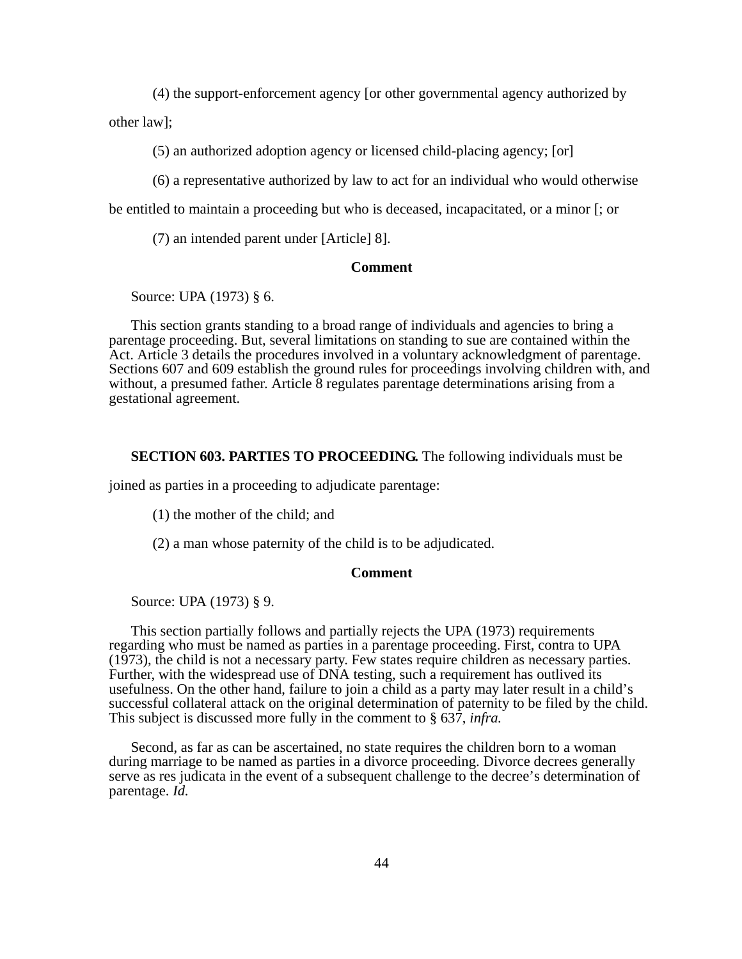(4) the support-enforcement agency [or other governmental agency authorized by

other law];

(5) an authorized adoption agency or licensed child-placing agency; [or]

(6) a representative authorized by law to act for an individual who would otherwise

be entitled to maintain a proceeding but who is deceased, incapacitated, or a minor [; or

(7) an intended parent under [Article] 8].

# **Comment**

Source: UPA (1973) § 6.

This section grants standing to a broad range of individuals and agencies to bring a parentage proceeding. But, several limitations on standing to sue are contained within the Act. Article 3 details the procedures involved in a voluntary acknowledgment of parentage. Sections 607 and 609 establish the ground rules for proceedings involving children with, and without, a presumed father. Article 8 regulates parentage determinations arising from a gestational agreement.

# **SECTION 603. PARTIES TO PROCEEDING.** The following individuals must be

joined as parties in a proceeding to adjudicate parentage:

(1) the mother of the child; and

(2) a man whose paternity of the child is to be adjudicated.

#### **Comment**

Source: UPA (1973) § 9.

This section partially follows and partially rejects the UPA (1973) requirements regarding who must be named as parties in a parentage proceeding. First, contra to UPA (1973), the child is not a necessary party. Few states require children as necessary parties. Further, with the widespread use of DNA testing, such a requirement has outlived its usefulness. On the other hand, failure to join a child as a party may later result in a child's successful collateral attack on the original determination of paternity to be filed by the child. This subject is discussed more fully in the comment to § 637, *infra.* 

Second, as far as can be ascertained, no state requires the children born to a woman during marriage to be named as parties in a divorce proceeding. Divorce decrees generally serve as res judicata in the event of a subsequent challenge to the decree's determination of parentage. *Id.*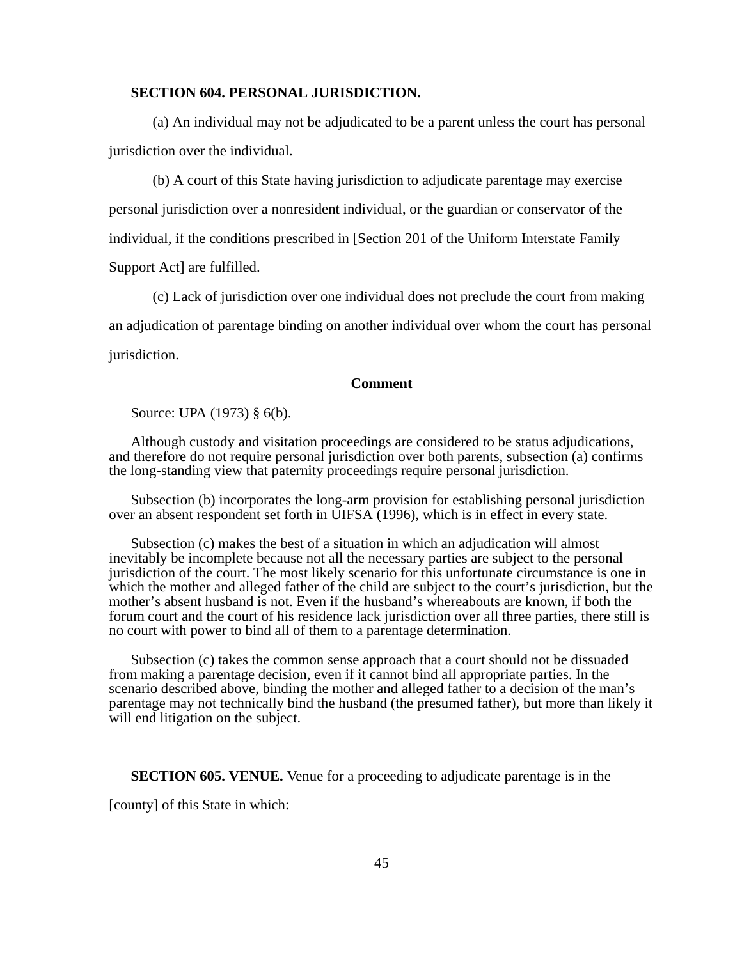# **SECTION 604. PERSONAL JURISDICTION.**

(a) An individual may not be adjudicated to be a parent unless the court has personal jurisdiction over the individual.

(b) A court of this State having jurisdiction to adjudicate parentage may exercise personal jurisdiction over a nonresident individual, or the guardian or conservator of the individual, if the conditions prescribed in [Section 201 of the Uniform Interstate Family Support Act] are fulfilled.

(c) Lack of jurisdiction over one individual does not preclude the court from making an adjudication of parentage binding on another individual over whom the court has personal jurisdiction.

# **Comment**

# Source: UPA (1973) § 6(b).

Although custody and visitation proceedings are considered to be status adjudications, and therefore do not require personal jurisdiction over both parents, subsection (a) confirms the long-standing view that paternity proceedings require personal jurisdiction.

Subsection (b) incorporates the long-arm provision for establishing personal jurisdiction over an absent respondent set forth in UIFSA (1996), which is in effect in every state.

Subsection (c) makes the best of a situation in which an adjudication will almost inevitably be incomplete because not all the necessary parties are subject to the personal jurisdiction of the court. The most likely scenario for this unfortunate circumstance is one in which the mother and alleged father of the child are subject to the court's jurisdiction, but the mother's absent husband is not. Even if the husband's whereabouts are known, if both the forum court and the court of his residence lack jurisdiction over all three parties, there still is no court with power to bind all of them to a parentage determination.

Subsection (c) takes the common sense approach that a court should not be dissuaded from making a parentage decision, even if it cannot bind all appropriate parties. In the scenario described above, binding the mother and alleged father to a decision of the man's parentage may not technically bind the husband (the presumed father), but more than likely it will end litigation on the subject.

**SECTION 605. VENUE.** Venue for a proceeding to adjudicate parentage is in the

[county] of this State in which: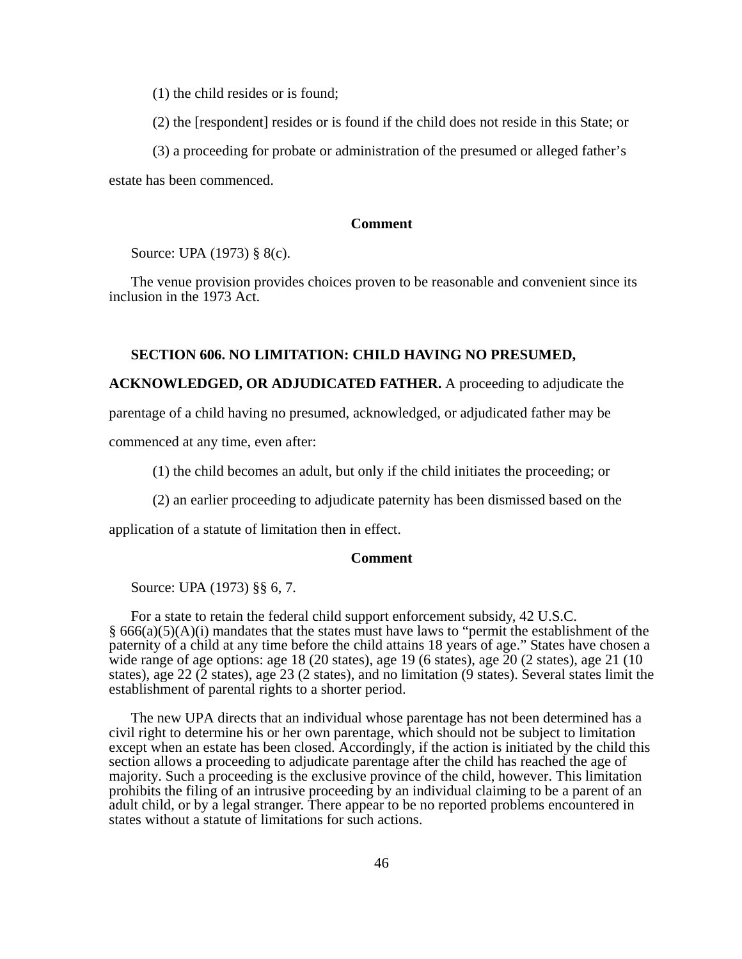(1) the child resides or is found;

(2) the [respondent] resides or is found if the child does not reside in this State; or

(3) a proceeding for probate or administration of the presumed or alleged father's

estate has been commenced.

#### **Comment**

Source: UPA (1973) § 8(c).

The venue provision provides choices proven to be reasonable and convenient since its inclusion in the 1973 Act.

# **SECTION 606. NO LIMITATION: CHILD HAVING NO PRESUMED,**

#### **ACKNOWLEDGED, OR ADJUDICATED FATHER.** A proceeding to adjudicate the

parentage of a child having no presumed, acknowledged, or adjudicated father may be

commenced at any time, even after:

(1) the child becomes an adult, but only if the child initiates the proceeding; or

(2) an earlier proceeding to adjudicate paternity has been dismissed based on the

application of a statute of limitation then in effect.

# **Comment**

Source: UPA (1973) §§ 6, 7.

For a state to retain the federal child support enforcement subsidy, 42 U.S.C.  $§ 666(a)(5)(A)(i)$  mandates that the states must have laws to "permit the establishment of the paternity of a child at any time before the child attains 18 years of age." States have chosen a wide range of age options: age 18 (20 states), age 19 (6 states), age  $\overline{20}$  (2 states), age 21 (10) states), age 22 (2 states), age 23 (2 states), and no limitation (9 states). Several states limit the establishment of parental rights to a shorter period.

The new UPA directs that an individual whose parentage has not been determined has a civil right to determine his or her own parentage, which should not be subject to limitation except when an estate has been closed. Accordingly, if the action is initiated by the child this section allows a proceeding to adjudicate parentage after the child has reached the age of majority. Such a proceeding is the exclusive province of the child, however. This limitation prohibits the filing of an intrusive proceeding by an individual claiming to be a parent of an adult child, or by a legal stranger. There appear to be no reported problems encountered in states without a statute of limitations for such actions.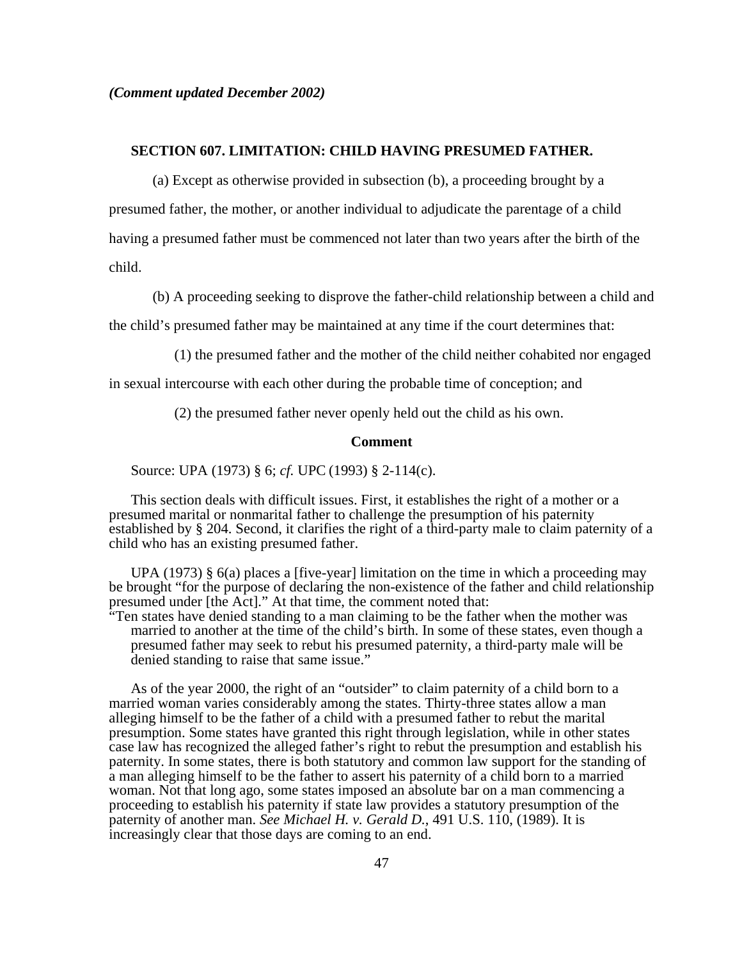#### **SECTION 607. LIMITATION: CHILD HAVING PRESUMED FATHER.**

(a) Except as otherwise provided in subsection (b), a proceeding brought by a presumed father, the mother, or another individual to adjudicate the parentage of a child having a presumed father must be commenced not later than two years after the birth of the child.

(b) A proceeding seeking to disprove the father-child relationship between a child and

the child's presumed father may be maintained at any time if the court determines that:

(1) the presumed father and the mother of the child neither cohabited nor engaged

in sexual intercourse with each other during the probable time of conception; and

(2) the presumed father never openly held out the child as his own.

# **Comment**

Source: UPA (1973) § 6; *cf.* UPC (1993) § 2-114(c).

This section deals with difficult issues. First, it establishes the right of a mother or a presumed marital or nonmarital father to challenge the presumption of his paternity established by § 204. Second, it clarifies the right of a third-party male to claim paternity of a child who has an existing presumed father.

UPA (1973) § 6(a) places a [five-year] limitation on the time in which a proceeding may be brought "for the purpose of declaring the non-existence of the father and child relationship presumed under [the Act]." At that time, the comment noted that:

"Ten states have denied standing to a man claiming to be the father when the mother was married to another at the time of the child's birth. In some of these states, even though a presumed father may seek to rebut his presumed paternity, a third-party male will be denied standing to raise that same issue."

As of the year 2000, the right of an "outsider" to claim paternity of a child born to a married woman varies considerably among the states. Thirty-three states allow a man alleging himself to be the father of a child with a presumed father to rebut the marital presumption. Some states have granted this right through legislation, while in other states case law has recognized the alleged father's right to rebut the presumption and establish his paternity. In some states, there is both statutory and common law support for the standing of a man alleging himself to be the father to assert his paternity of a child born to a married woman. Not that long ago, some states imposed an absolute bar on a man commencing a proceeding to establish his paternity if state law provides a statutory presumption of the paternity of another man. *See Michael H. v. Gerald D.*, 491 U.S. 110, (1989). It is increasingly clear that those days are coming to an end.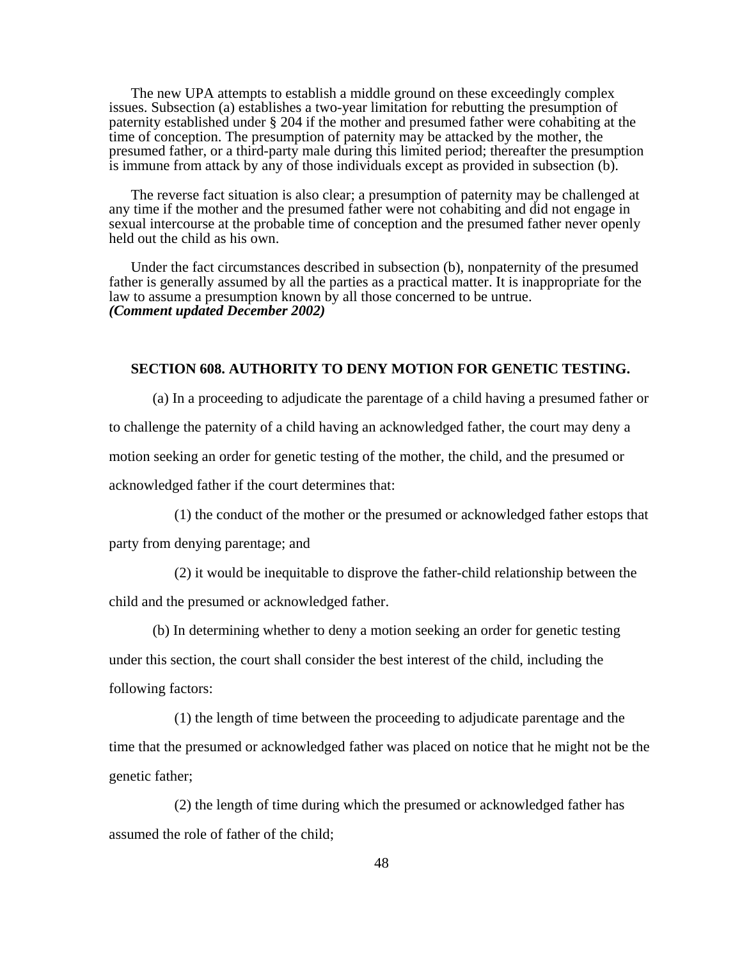The new UPA attempts to establish a middle ground on these exceedingly complex issues. Subsection (a) establishes a two-year limitation for rebutting the presumption of paternity established under § 204 if the mother and presumed father were cohabiting at the time of conception. The presumption of paternity may be attacked by the mother, the presumed father, or a third-party male during this limited period; thereafter the presumption is immune from attack by any of those individuals except as provided in subsection (b).

The reverse fact situation is also clear; a presumption of paternity may be challenged at any time if the mother and the presumed father were not cohabiting and did not engage in sexual intercourse at the probable time of conception and the presumed father never openly held out the child as his own.

Under the fact circumstances described in subsection (b), nonpaternity of the presumed father is generally assumed by all the parties as a practical matter. It is inappropriate for the law to assume a presumption known by all those concerned to be untrue. *(Comment updated December 2002)* 

# **SECTION 608. AUTHORITY TO DENY MOTION FOR GENETIC TESTING.**

(a) In a proceeding to adjudicate the parentage of a child having a presumed father or to challenge the paternity of a child having an acknowledged father, the court may deny a motion seeking an order for genetic testing of the mother, the child, and the presumed or acknowledged father if the court determines that:

(1) the conduct of the mother or the presumed or acknowledged father estops that

party from denying parentage; and

(2) it would be inequitable to disprove the father-child relationship between the child and the presumed or acknowledged father.

(b) In determining whether to deny a motion seeking an order for genetic testing under this section, the court shall consider the best interest of the child, including the following factors:

(1) the length of time between the proceeding to adjudicate parentage and the time that the presumed or acknowledged father was placed on notice that he might not be the genetic father;

(2) the length of time during which the presumed or acknowledged father has assumed the role of father of the child;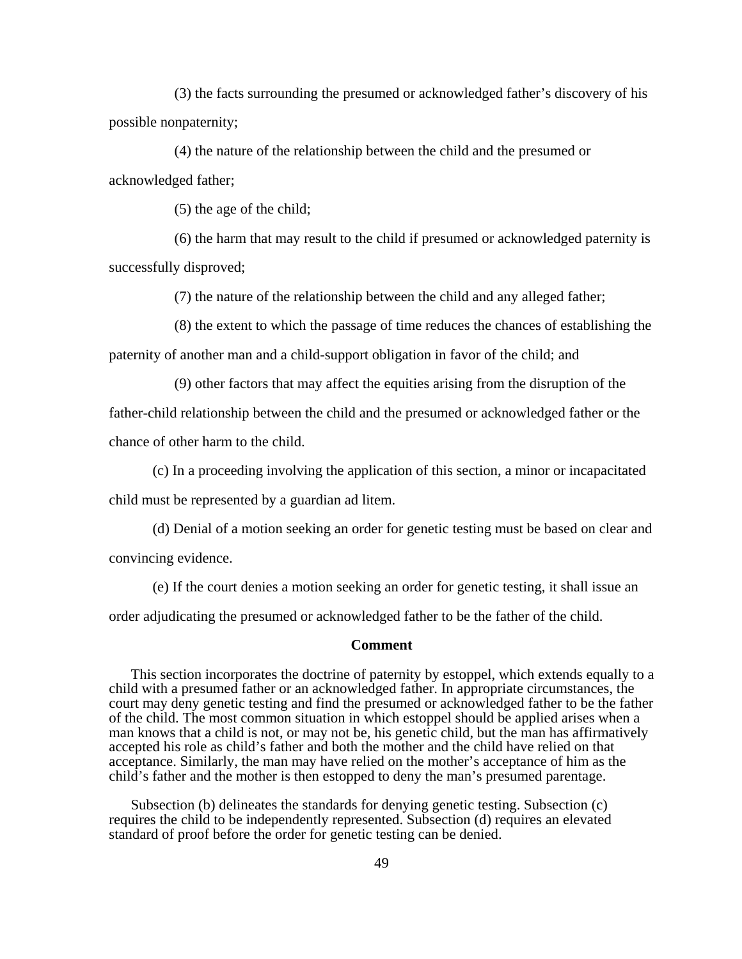(3) the facts surrounding the presumed or acknowledged father's discovery of his possible nonpaternity;

(4) the nature of the relationship between the child and the presumed or acknowledged father;

(5) the age of the child;

(6) the harm that may result to the child if presumed or acknowledged paternity is successfully disproved;

(7) the nature of the relationship between the child and any alleged father;

(8) the extent to which the passage of time reduces the chances of establishing the paternity of another man and a child-support obligation in favor of the child; and

(9) other factors that may affect the equities arising from the disruption of the father-child relationship between the child and the presumed or acknowledged father or the chance of other harm to the child.

(c) In a proceeding involving the application of this section, a minor or incapacitated

child must be represented by a guardian ad litem.

(d) Denial of a motion seeking an order for genetic testing must be based on clear and convincing evidence.

(e) If the court denies a motion seeking an order for genetic testing, it shall issue an

order adjudicating the presumed or acknowledged father to be the father of the child.

# **Comment**

This section incorporates the doctrine of paternity by estoppel, which extends equally to a child with a presumed father or an acknowledged father. In appropriate circumstances, the court may deny genetic testing and find the presumed or acknowledged father to be the father of the child. The most common situation in which estoppel should be applied arises when a man knows that a child is not, or may not be, his genetic child, but the man has affirmatively accepted his role as child's father and both the mother and the child have relied on that acceptance. Similarly, the man may have relied on the mother's acceptance of him as the child's father and the mother is then estopped to deny the man's presumed parentage.

Subsection (b) delineates the standards for denying genetic testing. Subsection (c) requires the child to be independently represented. Subsection (d) requires an elevated standard of proof before the order for genetic testing can be denied.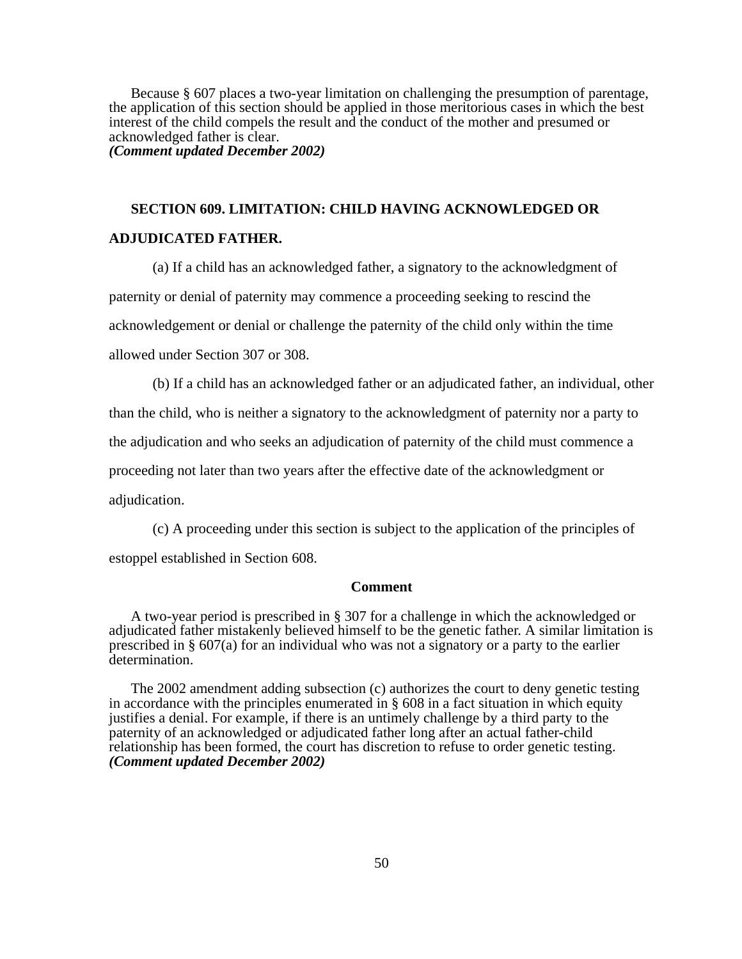Because § 607 places a two-year limitation on challenging the presumption of parentage, the application of this section should be applied in those meritorious cases in which the best interest of the child compels the result and the conduct of the mother and presumed or acknowledged father is clear.

*(Comment updated December 2002)* 

# **SECTION 609. LIMITATION: CHILD HAVING ACKNOWLEDGED OR**

# **ADJUDICATED FATHER.**

(a) If a child has an acknowledged father, a signatory to the acknowledgment of paternity or denial of paternity may commence a proceeding seeking to rescind the acknowledgement or denial or challenge the paternity of the child only within the time allowed under Section 307 or 308.

(b) If a child has an acknowledged father or an adjudicated father, an individual, other

than the child, who is neither a signatory to the acknowledgment of paternity nor a party to

the adjudication and who seeks an adjudication of paternity of the child must commence a

proceeding not later than two years after the effective date of the acknowledgment or

adjudication.

(c) A proceeding under this section is subject to the application of the principles of estoppel established in Section 608.

# **Comment**

A two-year period is prescribed in § 307 for a challenge in which the acknowledged or adjudicated father mistakenly believed himself to be the genetic father. A similar limitation is prescribed in § 607(a) for an individual who was not a signatory or a party to the earlier determination.

The 2002 amendment adding subsection (c) authorizes the court to deny genetic testing in accordance with the principles enumerated in § 608 in a fact situation in which equity justifies a denial. For example, if there is an untimely challenge by a third party to the paternity of an acknowledged or adjudicated father long after an actual father-child relationship has been formed, the court has discretion to refuse to order genetic testing. *(Comment updated December 2002)*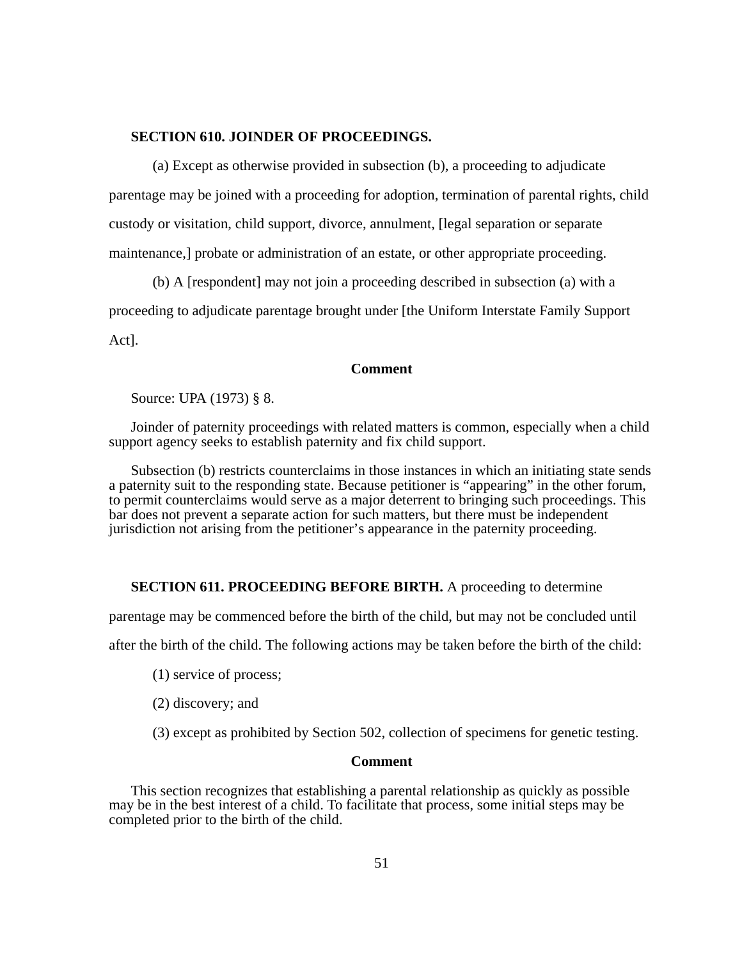# **SECTION 610. JOINDER OF PROCEEDINGS.**

(a) Except as otherwise provided in subsection (b), a proceeding to adjudicate parentage may be joined with a proceeding for adoption, termination of parental rights, child custody or visitation, child support, divorce, annulment, [legal separation or separate maintenance,] probate or administration of an estate, or other appropriate proceeding.

(b) A [respondent] may not join a proceeding described in subsection (a) with a proceeding to adjudicate parentage brought under [the Uniform Interstate Family Support Act].

#### **Comment**

Source: UPA (1973) § 8.

Joinder of paternity proceedings with related matters is common, especially when a child support agency seeks to establish paternity and fix child support.

Subsection (b) restricts counterclaims in those instances in which an initiating state sends a paternity suit to the responding state. Because petitioner is "appearing" in the other forum, to permit counterclaims would serve as a major deterrent to bringing such proceedings. This bar does not prevent a separate action for such matters, but there must be independent jurisdiction not arising from the petitioner's appearance in the paternity proceeding.

# **SECTION 611. PROCEEDING BEFORE BIRTH.** A proceeding to determine

parentage may be commenced before the birth of the child, but may not be concluded until

after the birth of the child. The following actions may be taken before the birth of the child:

- (1) service of process;
- (2) discovery; and
- (3) except as prohibited by Section 502, collection of specimens for genetic testing.

# **Comment**

This section recognizes that establishing a parental relationship as quickly as possible may be in the best interest of a child. To facilitate that process, some initial steps may be completed prior to the birth of the child.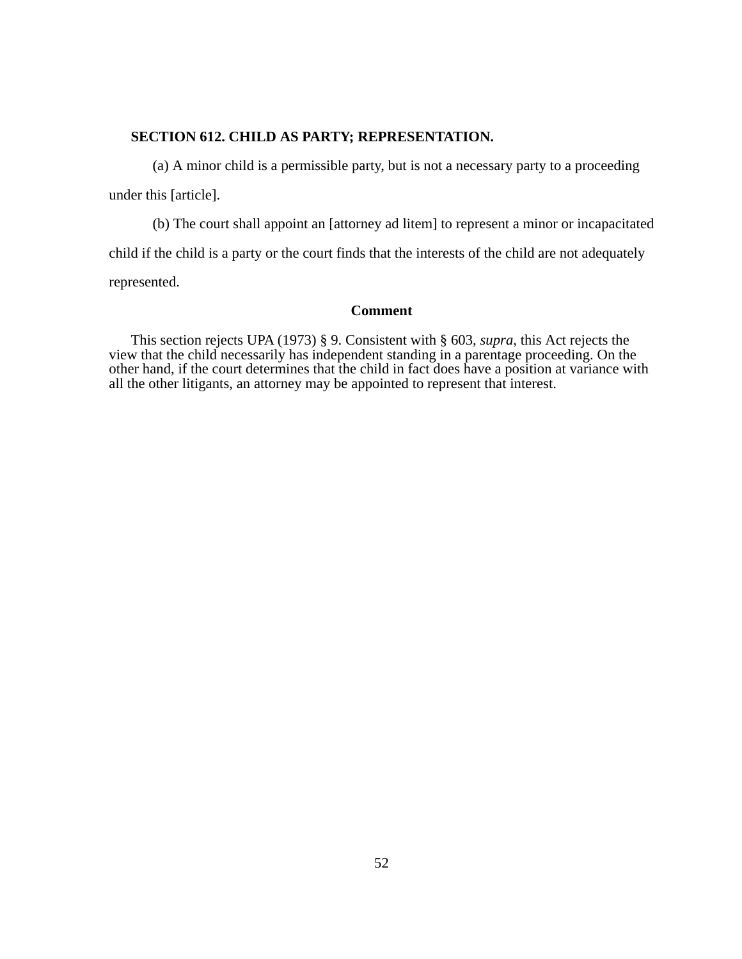# **SECTION 612. CHILD AS PARTY; REPRESENTATION.**

(a) A minor child is a permissible party, but is not a necessary party to a proceeding under this [article].

(b) The court shall appoint an [attorney ad litem] to represent a minor or incapacitated child if the child is a party or the court finds that the interests of the child are not adequately represented.

# **Comment**

This section rejects UPA (1973) § 9. Consistent with § 603, *supra*, this Act rejects the view that the child necessarily has independent standing in a parentage proceeding. On the other hand, if the court determines that the child in fact does have a position at variance with all the other litigants, an attorney may be appointed to represent that interest.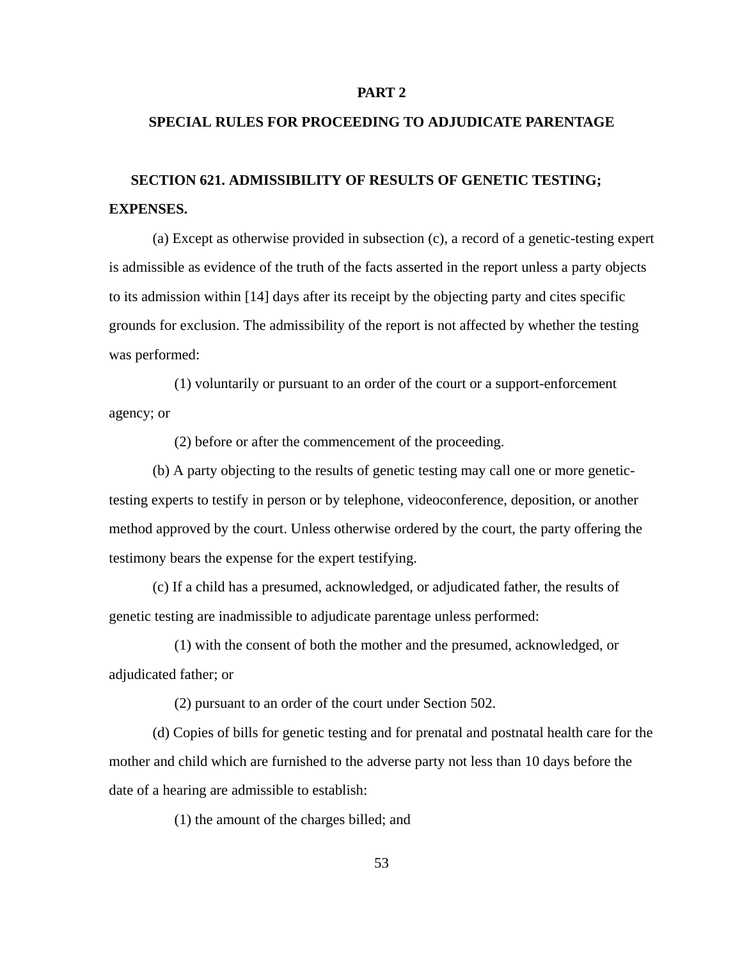#### **PART 2**

# **SPECIAL RULES FOR PROCEEDING TO ADJUDICATE PARENTAGE**

# **SECTION 621. ADMISSIBILITY OF RESULTS OF GENETIC TESTING; EXPENSES.**

(a) Except as otherwise provided in subsection (c), a record of a genetic-testing expert is admissible as evidence of the truth of the facts asserted in the report unless a party objects to its admission within [14] days after its receipt by the objecting party and cites specific grounds for exclusion. The admissibility of the report is not affected by whether the testing was performed:

(1) voluntarily or pursuant to an order of the court or a support-enforcement agency; or

(2) before or after the commencement of the proceeding.

(b) A party objecting to the results of genetic testing may call one or more genetictesting experts to testify in person or by telephone, videoconference, deposition, or another method approved by the court. Unless otherwise ordered by the court, the party offering the testimony bears the expense for the expert testifying.

(c) If a child has a presumed, acknowledged, or adjudicated father, the results of genetic testing are inadmissible to adjudicate parentage unless performed:

(1) with the consent of both the mother and the presumed, acknowledged, or adjudicated father; or

(2) pursuant to an order of the court under Section 502.

(d) Copies of bills for genetic testing and for prenatal and postnatal health care for the mother and child which are furnished to the adverse party not less than 10 days before the date of a hearing are admissible to establish:

(1) the amount of the charges billed; and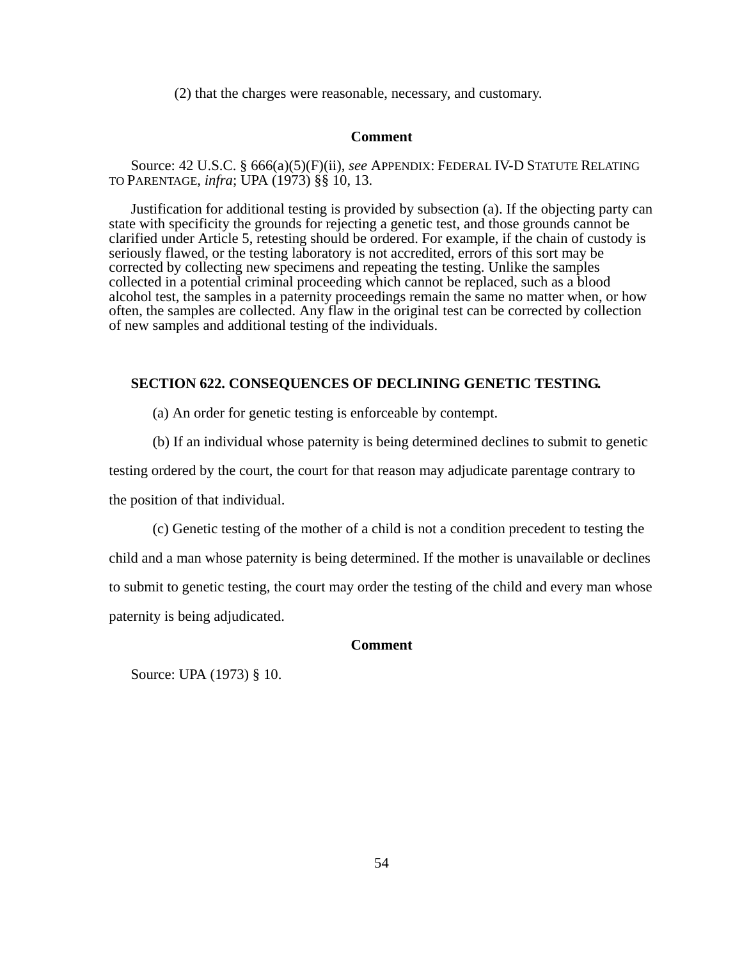(2) that the charges were reasonable, necessary, and customary.

#### **Comment**

Source: 42 U.S.C. § 666(a)(5)(F)(ii), *see* APPENDIX: FEDERAL IV-D STATUTE RELATING TO PARENTAGE, *infra*; UPA (1973) §§ 10, 13.

Justification for additional testing is provided by subsection (a). If the objecting party can state with specificity the grounds for rejecting a genetic test, and those grounds cannot be clarified under Article 5, retesting should be ordered. For example, if the chain of custody is seriously flawed, or the testing laboratory is not accredited, errors of this sort may be corrected by collecting new specimens and repeating the testing. Unlike the samples collected in a potential criminal proceeding which cannot be replaced, such as a blood alcohol test, the samples in a paternity proceedings remain the same no matter when, or how often, the samples are collected. Any flaw in the original test can be corrected by collection of new samples and additional testing of the individuals.

#### **SECTION 622. CONSEQUENCES OF DECLINING GENETIC TESTING.**

(a) An order for genetic testing is enforceable by contempt.

(b) If an individual whose paternity is being determined declines to submit to genetic

testing ordered by the court, the court for that reason may adjudicate parentage contrary to

the position of that individual.

(c) Genetic testing of the mother of a child is not a condition precedent to testing the

child and a man whose paternity is being determined. If the mother is unavailable or declines to submit to genetic testing, the court may order the testing of the child and every man whose paternity is being adjudicated.

# **Comment**

Source: UPA (1973) § 10.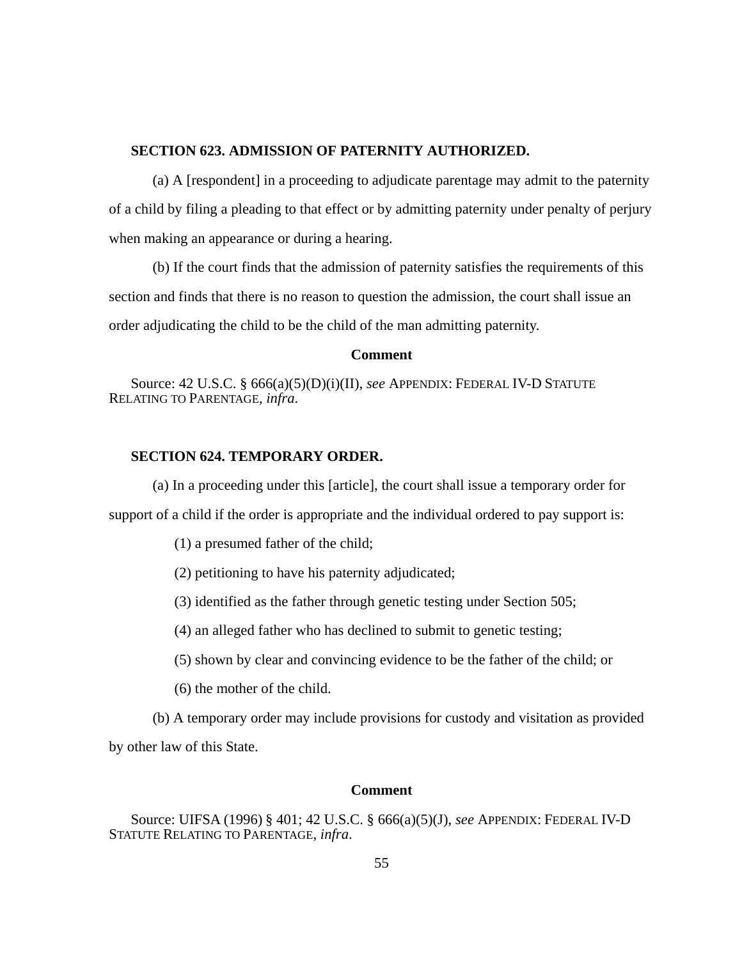#### **SECTION 623. ADMISSION OF PATERNITY AUTHORIZED.**

(a) A [respondent] in a proceeding to adjudicate parentage may admit to the paternity of a child by filing a pleading to that effect or by admitting paternity under penalty of perjury when making an appearance or during a hearing.

(b) If the court finds that the admission of paternity satisfies the requirements of this section and finds that there is no reason to question the admission, the court shall issue an order adjudicating the child to be the child of the man admitting paternity.

#### **Comment**

Source: 42 U.S.C. § 666(a)(5)(D)(i)(II), *see* APPENDIX: FEDERAL IV-D STATUTE RELATING TO PARENTAGE, *infra*.

# **SECTION 624. TEMPORARY ORDER.**

(a) In a proceeding under this [article], the court shall issue a temporary order for support of a child if the order is appropriate and the individual ordered to pay support is:

(1) a presumed father of the child;

(2) petitioning to have his paternity adjudicated;

(3) identified as the father through genetic testing under Section 505;

(4) an alleged father who has declined to submit to genetic testing;

(5) shown by clear and convincing evidence to be the father of the child; or

(6) the mother of the child.

(b) A temporary order may include provisions for custody and visitation as provided by other law of this State.

# **Comment**

Source: UIFSA (1996) § 401; 42 U.S.C. § 666(a)(5)(J), *see* APPENDIX: FEDERAL IV-D STATUTE RELATING TO PARENTAGE, *infra*.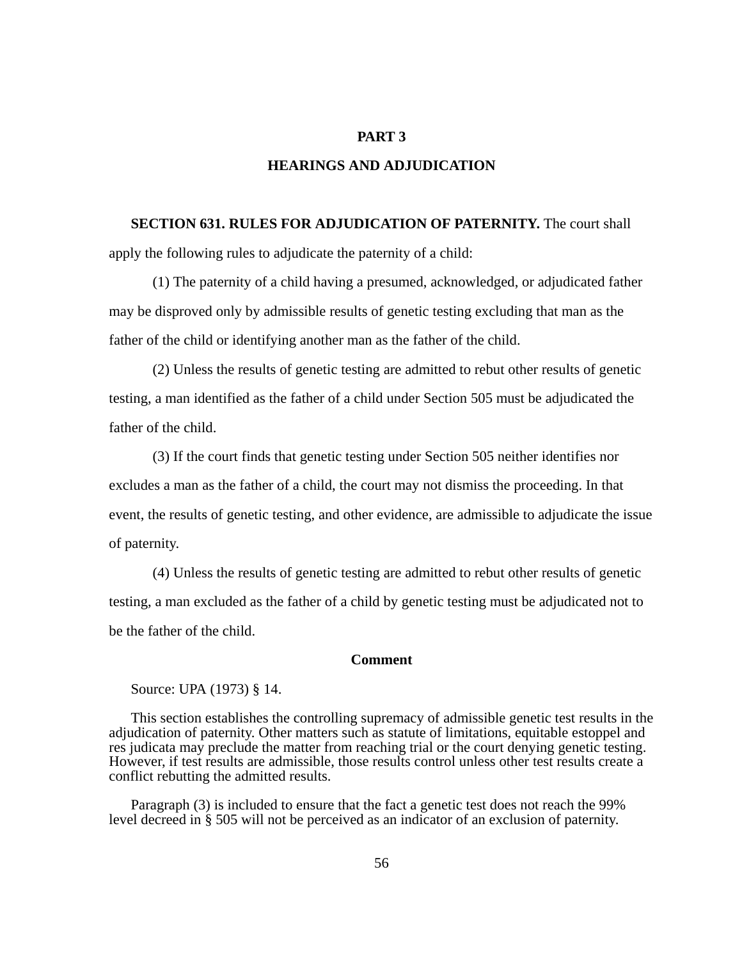#### **PART 3**

# **HEARINGS AND ADJUDICATION**

#### **SECTION 631. RULES FOR ADJUDICATION OF PATERNITY.** The court shall

apply the following rules to adjudicate the paternity of a child:

(1) The paternity of a child having a presumed, acknowledged, or adjudicated father may be disproved only by admissible results of genetic testing excluding that man as the father of the child or identifying another man as the father of the child.

(2) Unless the results of genetic testing are admitted to rebut other results of genetic testing, a man identified as the father of a child under Section 505 must be adjudicated the father of the child.

(3) If the court finds that genetic testing under Section 505 neither identifies nor excludes a man as the father of a child, the court may not dismiss the proceeding. In that event, the results of genetic testing, and other evidence, are admissible to adjudicate the issue of paternity.

(4) Unless the results of genetic testing are admitted to rebut other results of genetic testing, a man excluded as the father of a child by genetic testing must be adjudicated not to be the father of the child.

# **Comment**

Source: UPA (1973) § 14.

This section establishes the controlling supremacy of admissible genetic test results in the adjudication of paternity. Other matters such as statute of limitations, equitable estoppel and res judicata may preclude the matter from reaching trial or the court denying genetic testing. However, if test results are admissible, those results control unless other test results create a conflict rebutting the admitted results.

Paragraph (3) is included to ensure that the fact a genetic test does not reach the 99% level decreed in § 505 will not be perceived as an indicator of an exclusion of paternity.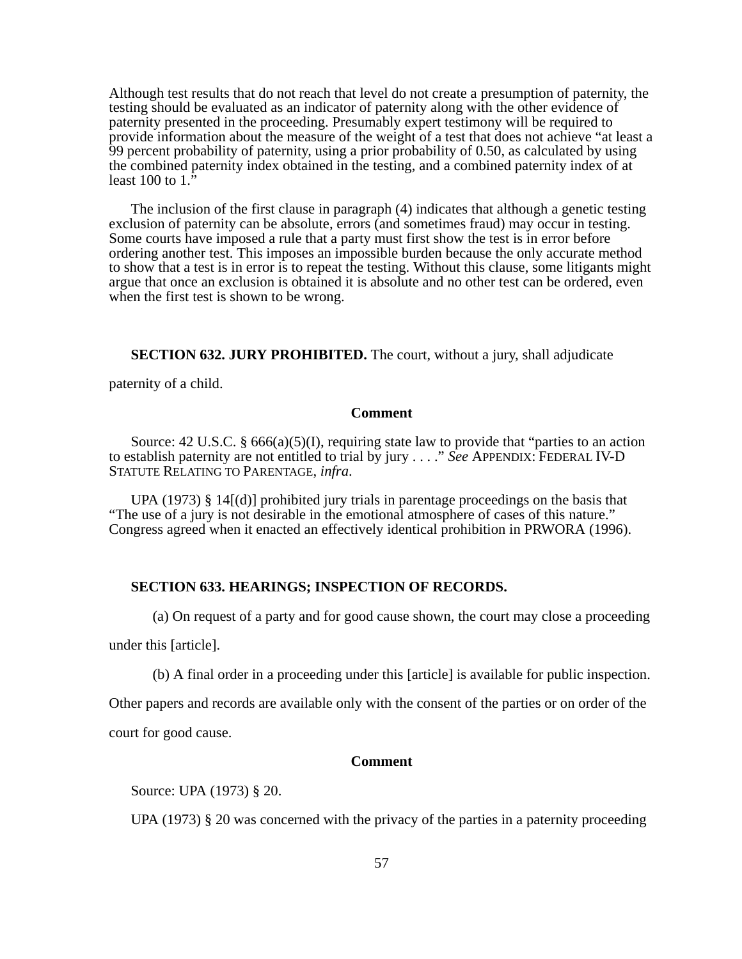Although test results that do not reach that level do not create a presumption of paternity, the testing should be evaluated as an indicator of paternity along with the other evidence of paternity presented in the proceeding. Presumably expert testimony will be required to provide information about the measure of the weight of a test that does not achieve "at least a 99 percent probability of paternity, using a prior probability of 0.50, as calculated by using the combined paternity index obtained in the testing, and a combined paternity index of at least 100 to  $1.^{\overline{\hspace{-.1ex} \cdot \hspace{-.1ex} \cdot}}$ 

The inclusion of the first clause in paragraph (4) indicates that although a genetic testing exclusion of paternity can be absolute, errors (and sometimes fraud) may occur in testing. Some courts have imposed a rule that a party must first show the test is in error before ordering another test. This imposes an impossible burden because the only accurate method to show that a test is in error is to repeat the testing. Without this clause, some litigants might argue that once an exclusion is obtained it is absolute and no other test can be ordered, even when the first test is shown to be wrong.

**SECTION 632. JURY PROHIBITED.** The court, without a jury, shall adjudicate

paternity of a child.

# **Comment**

Source: 42 U.S.C. § 666(a)(5)(I), requiring state law to provide that "parties to an action to establish paternity are not entitled to trial by jury . . . ." *See* APPENDIX: FEDERAL IV-D STATUTE RELATING TO PARENTAGE, *infra*.

UPA (1973) § 14[(d)] prohibited jury trials in parentage proceedings on the basis that "The use of a jury is not desirable in the emotional atmosphere of cases of this nature." Congress agreed when it enacted an effectively identical prohibition in PRWORA (1996).

# **SECTION 633. HEARINGS; INSPECTION OF RECORDS.**

(a) On request of a party and for good cause shown, the court may close a proceeding

under this [article].

(b) A final order in a proceeding under this [article] is available for public inspection.

Other papers and records are available only with the consent of the parties or on order of the court for good cause.

# **Comment**

Source: UPA (1973) § 20.

UPA (1973)  $\S$  20 was concerned with the privacy of the parties in a paternity proceeding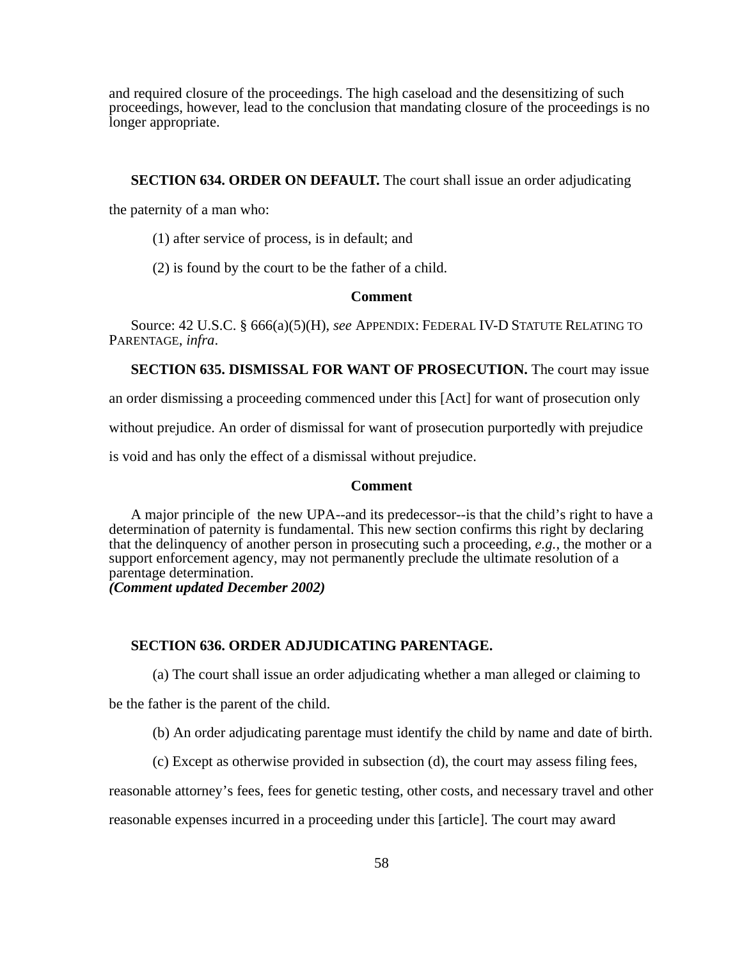and required closure of the proceedings. The high caseload and the desensitizing of such proceedings, however, lead to the conclusion that mandating closure of the proceedings is no longer appropriate.

# **SECTION 634. ORDER ON DEFAULT.** The court shall issue an order adjudicating

the paternity of a man who:

- (1) after service of process, is in default; and
- (2) is found by the court to be the father of a child.

#### **Comment**

Source: 42 U.S.C. § 666(a)(5)(H), *see* APPENDIX: FEDERAL IV-D STATUTE RELATING TO PARENTAGE, *infra*.

# **SECTION 635. DISMISSAL FOR WANT OF PROSECUTION.** The court may issue

an order dismissing a proceeding commenced under this [Act] for want of prosecution only

without prejudice. An order of dismissal for want of prosecution purportedly with prejudice

is void and has only the effect of a dismissal without prejudice.

# **Comment**

A major principle of the new UPA--and its predecessor--is that the child's right to have a determination of paternity is fundamental. This new section confirms this right by declaring that the delinquency of another person in prosecuting such a proceeding, *e.g.*, the mother or a support enforcement agency, may not permanently preclude the ultimate resolution of a parentage determination.

*(Comment updated December 2002)* 

# **SECTION 636. ORDER ADJUDICATING PARENTAGE.**

(a) The court shall issue an order adjudicating whether a man alleged or claiming to

be the father is the parent of the child.

(b) An order adjudicating parentage must identify the child by name and date of birth.

(c) Except as otherwise provided in subsection (d), the court may assess filing fees,

reasonable attorney's fees, fees for genetic testing, other costs, and necessary travel and other

reasonable expenses incurred in a proceeding under this [article]. The court may award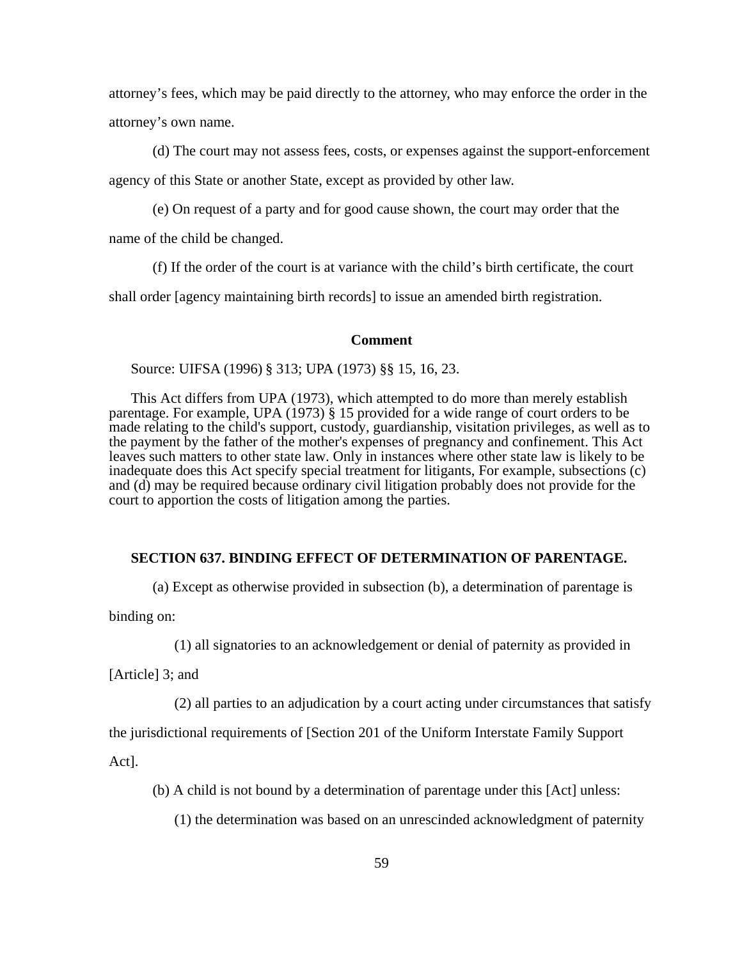attorney's fees, which may be paid directly to the attorney, who may enforce the order in the attorney's own name.

(d) The court may not assess fees, costs, or expenses against the support-enforcement

agency of this State or another State, except as provided by other law.

(e) On request of a party and for good cause shown, the court may order that the

name of the child be changed.

(f) If the order of the court is at variance with the child's birth certificate, the court

shall order [agency maintaining birth records] to issue an amended birth registration.

#### **Comment**

Source: UIFSA (1996) § 313; UPA (1973) §§ 15, 16, 23.

This Act differs from UPA (1973), which attempted to do more than merely establish parentage. For example, UPA (1973) § 15 provided for a wide range of court orders to be made relating to the child's support, custody, guardianship, visitation privileges, as well as to the payment by the father of the mother's expenses of pregnancy and confinement. This Act leaves such matters to other state law. Only in instances where other state law is likely to be inadequate does this Act specify special treatment for litigants, For example, subsections (c) and (d) may be required because ordinary civil litigation probably does not provide for the court to apportion the costs of litigation among the parties.

# **SECTION 637. BINDING EFFECT OF DETERMINATION OF PARENTAGE.**

(a) Except as otherwise provided in subsection (b), a determination of parentage is

binding on:

(1) all signatories to an acknowledgement or denial of paternity as provided in

[Article] 3; and

(2) all parties to an adjudication by a court acting under circumstances that satisfy

the jurisdictional requirements of [Section 201 of the Uniform Interstate Family Support

Act].

(b) A child is not bound by a determination of parentage under this [Act] unless:

(1) the determination was based on an unrescinded acknowledgment of paternity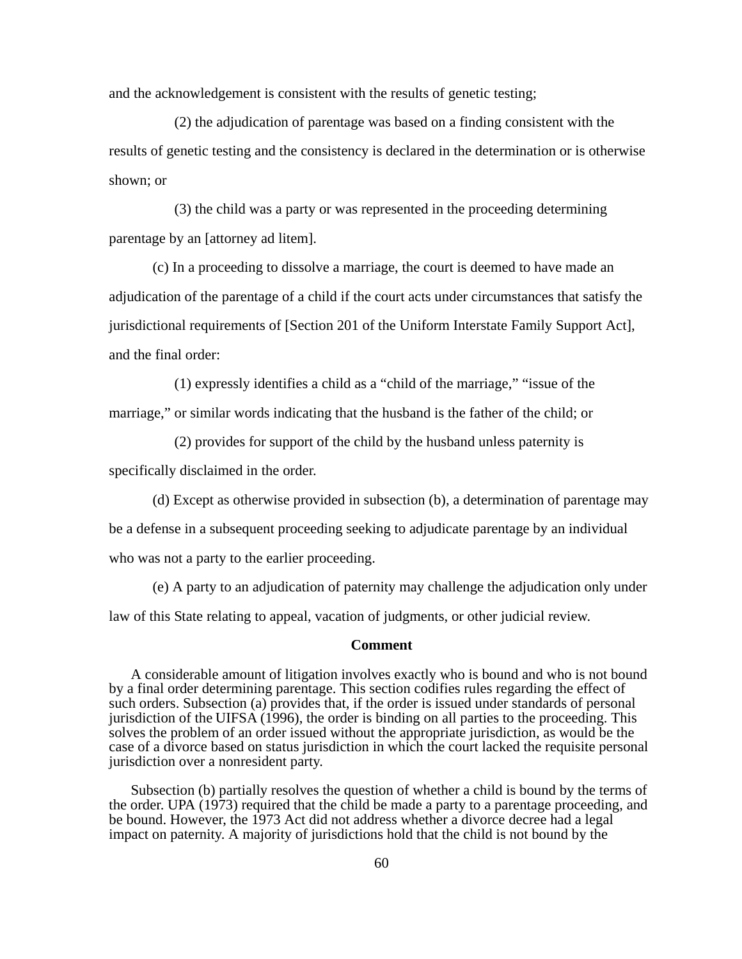and the acknowledgement is consistent with the results of genetic testing;

(2) the adjudication of parentage was based on a finding consistent with the results of genetic testing and the consistency is declared in the determination or is otherwise shown; or

(3) the child was a party or was represented in the proceeding determining parentage by an [attorney ad litem].

(c) In a proceeding to dissolve a marriage, the court is deemed to have made an adjudication of the parentage of a child if the court acts under circumstances that satisfy the jurisdictional requirements of [Section 201 of the Uniform Interstate Family Support Act], and the final order:

(1) expressly identifies a child as a "child of the marriage," "issue of the marriage," or similar words indicating that the husband is the father of the child; or

(2) provides for support of the child by the husband unless paternity is specifically disclaimed in the order.

(d) Except as otherwise provided in subsection (b), a determination of parentage may

be a defense in a subsequent proceeding seeking to adjudicate parentage by an individual who was not a party to the earlier proceeding.

(e) A party to an adjudication of paternity may challenge the adjudication only under law of this State relating to appeal, vacation of judgments, or other judicial review.

# **Comment**

A considerable amount of litigation involves exactly who is bound and who is not bound by a final order determining parentage. This section codifies rules regarding the effect of such orders. Subsection (a) provides that, if the order is issued under standards of personal jurisdiction of the UIFSA (1996), the order is binding on all parties to the proceeding. This solves the problem of an order issued without the appropriate jurisdiction, as would be the case of a divorce based on status jurisdiction in which the court lacked the requisite personal jurisdiction over a nonresident party.

Subsection (b) partially resolves the question of whether a child is bound by the terms of the order. UPA (1973) required that the child be made a party to a parentage proceeding, and be bound. However, the 1973 Act did not address whether a divorce decree had a legal impact on paternity. A majority of jurisdictions hold that the child is not bound by the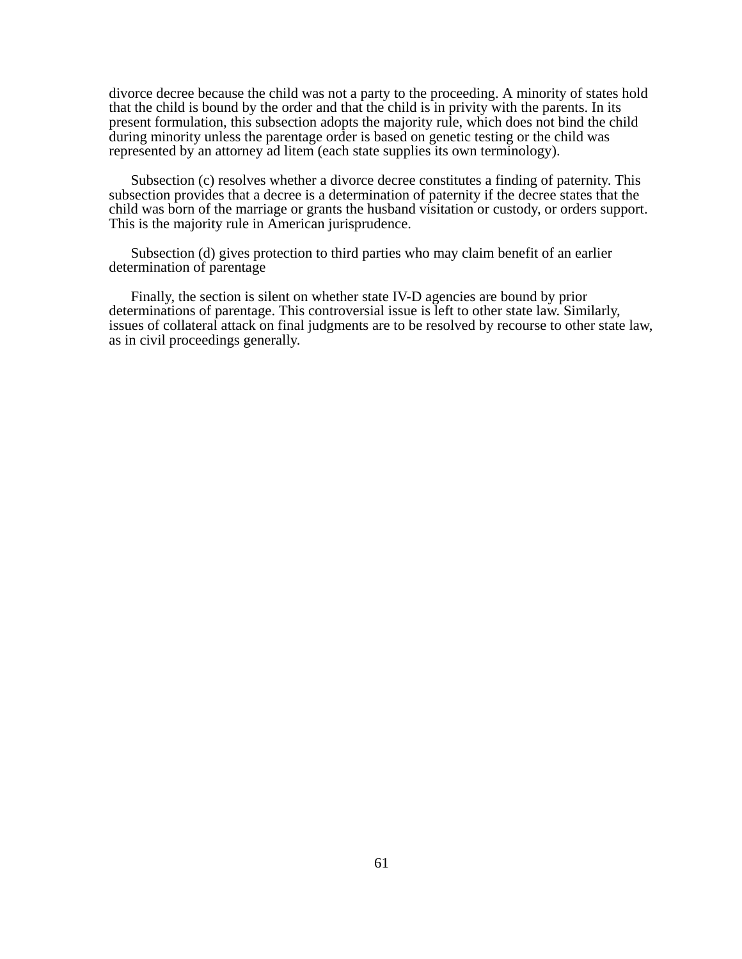divorce decree because the child was not a party to the proceeding. A minority of states hold that the child is bound by the order and that the child is in privity with the parents. In its present formulation, this subsection adopts the majority rule, which does not bind the child during minority unless the parentage order is based on genetic testing or the child was represented by an attorney ad litem (each state supplies its own terminology).

Subsection (c) resolves whether a divorce decree constitutes a finding of paternity. This subsection provides that a decree is a determination of paternity if the decree states that the child was born of the marriage or grants the husband visitation or custody, or orders support. This is the majority rule in American jurisprudence.

Subsection (d) gives protection to third parties who may claim benefit of an earlier determination of parentage

Finally, the section is silent on whether state IV-D agencies are bound by prior determinations of parentage. This controversial issue is left to other state law. Similarly, issues of collateral attack on final judgments are to be resolved by recourse to other state law, as in civil proceedings generally.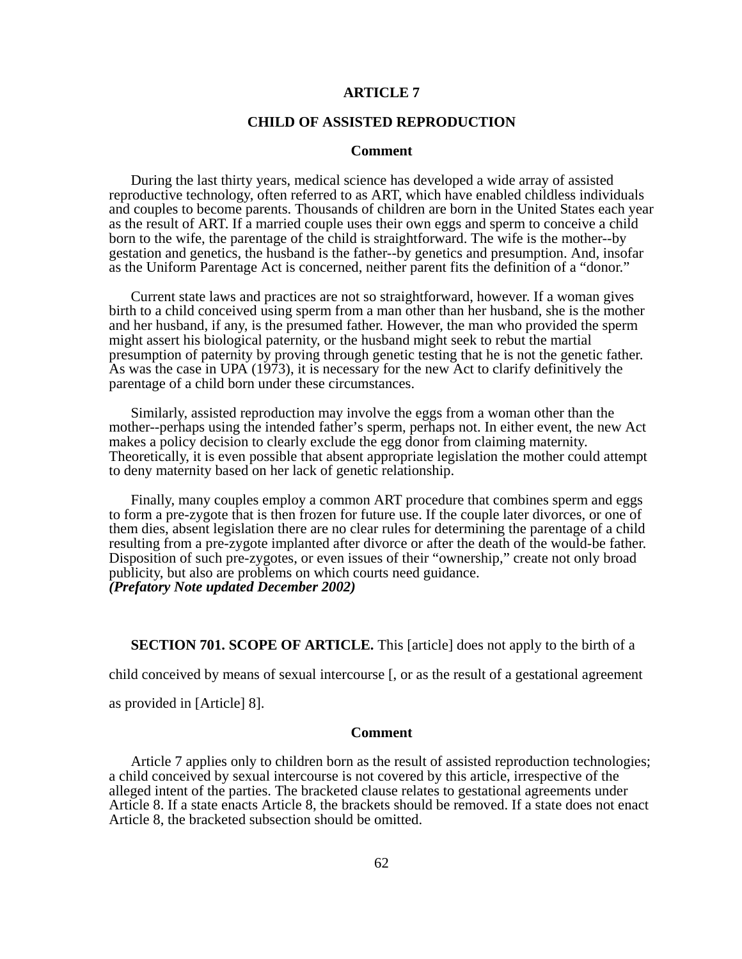# **ARTICLE 7**

## **CHILD OF ASSISTED REPRODUCTION**

#### **Comment**

During the last thirty years, medical science has developed a wide array of assisted reproductive technology, often referred to as ART, which have enabled childless individuals and couples to become parents. Thousands of children are born in the United States each year as the result of ART. If a married couple uses their own eggs and sperm to conceive a child born to the wife, the parentage of the child is straightforward. The wife is the mother--by gestation and genetics, the husband is the father--by genetics and presumption. And, insofar as the Uniform Parentage Act is concerned, neither parent fits the definition of a "donor."

Current state laws and practices are not so straightforward, however. If a woman gives birth to a child conceived using sperm from a man other than her husband, she is the mother and her husband, if any, is the presumed father. However, the man who provided the sperm might assert his biological paternity, or the husband might seek to rebut the martial presumption of paternity by proving through genetic testing that he is not the genetic father. As was the case in UPA (1973), it is necessary for the new Act to clarify definitively the parentage of a child born under these circumstances.

Similarly, assisted reproduction may involve the eggs from a woman other than the mother--perhaps using the intended father's sperm, perhaps not. In either event, the new Act makes a policy decision to clearly exclude the egg donor from claiming maternity. Theoretically, it is even possible that absent appropriate legislation the mother could attempt to deny maternity based on her lack of genetic relationship.

Finally, many couples employ a common ART procedure that combines sperm and eggs to form a pre-zygote that is then frozen for future use. If the couple later divorces, or one of them dies, absent legislation there are no clear rules for determining the parentage of a child resulting from a pre-zygote implanted after divorce or after the death of the would-be father. Disposition of such pre-zygotes, or even issues of their "ownership," create not only broad publicity, but also are problems on which courts need guidance. *(Prefatory Note updated December 2002)* 

**SECTION 701. SCOPE OF ARTICLE.** This [article] does not apply to the birth of a

child conceived by means of sexual intercourse [, or as the result of a gestational agreement

as provided in [Article] 8].

#### **Comment**

Article 7 applies only to children born as the result of assisted reproduction technologies; a child conceived by sexual intercourse is not covered by this article, irrespective of the alleged intent of the parties. The bracketed clause relates to gestational agreements under Article 8. If a state enacts Article 8, the brackets should be removed. If a state does not enact Article 8, the bracketed subsection should be omitted.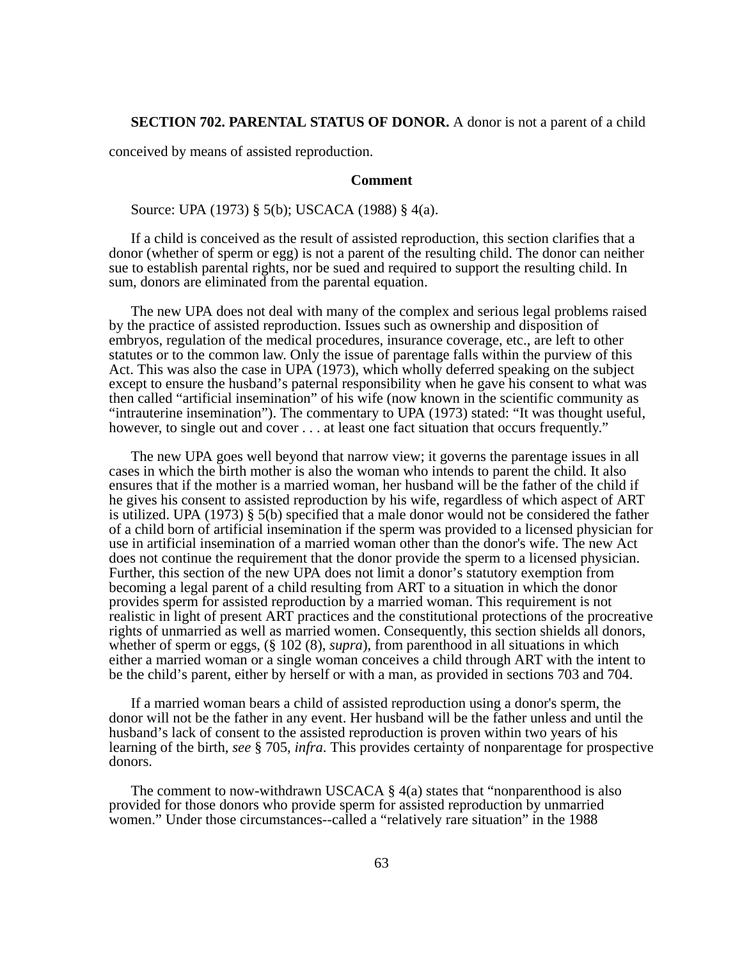#### **SECTION 702. PARENTAL STATUS OF DONOR.** A donor is not a parent of a child

conceived by means of assisted reproduction.

#### **Comment**

# Source: UPA (1973) § 5(b); USCACA (1988) § 4(a).

If a child is conceived as the result of assisted reproduction, this section clarifies that a donor (whether of sperm or egg) is not a parent of the resulting child. The donor can neither sue to establish parental rights, nor be sued and required to support the resulting child. In sum, donors are eliminated from the parental equation.

The new UPA does not deal with many of the complex and serious legal problems raised by the practice of assisted reproduction. Issues such as ownership and disposition of embryos, regulation of the medical procedures, insurance coverage, etc., are left to other statutes or to the common law. Only the issue of parentage falls within the purview of this Act. This was also the case in UPA (1973), which wholly deferred speaking on the subject except to ensure the husband's paternal responsibility when he gave his consent to what was then called "artificial insemination" of his wife (now known in the scientific community as "intrauterine insemination"). The commentary to UPA (1973) stated: "It was thought useful, however, to single out and cover . . . at least one fact situation that occurs frequently."

The new UPA goes well beyond that narrow view; it governs the parentage issues in all cases in which the birth mother is also the woman who intends to parent the child. It also ensures that if the mother is a married woman, her husband will be the father of the child if he gives his consent to assisted reproduction by his wife, regardless of which aspect of ART is utilized. UPA (1973) § 5(b) specified that a male donor would not be considered the father of a child born of artificial insemination if the sperm was provided to a licensed physician for use in artificial insemination of a married woman other than the donor's wife. The new Act does not continue the requirement that the donor provide the sperm to a licensed physician. Further, this section of the new UPA does not limit a donor's statutory exemption from becoming a legal parent of a child resulting from ART to a situation in which the donor provides sperm for assisted reproduction by a married woman. This requirement is not realistic in light of present ART practices and the constitutional protections of the procreative rights of unmarried as well as married women. Consequently, this section shields all donors, whether of sperm or eggs, (§ 102 (8), *supra*), from parenthood in all situations in which either a married woman or a single woman conceives a child through ART with the intent to be the child's parent, either by herself or with a man, as provided in sections 703 and 704.

If a married woman bears a child of assisted reproduction using a donor's sperm, the donor will not be the father in any event. Her husband will be the father unless and until the husband's lack of consent to the assisted reproduction is proven within two years of his learning of the birth, *see* § 705, *infra*. This provides certainty of nonparentage for prospective donors.

The comment to now-withdrawn USCACA  $\S$  4(a) states that "nonparenthood is also provided for those donors who provide sperm for assisted reproduction by unmarried women." Under those circumstances--called a "relatively rare situation" in the 1988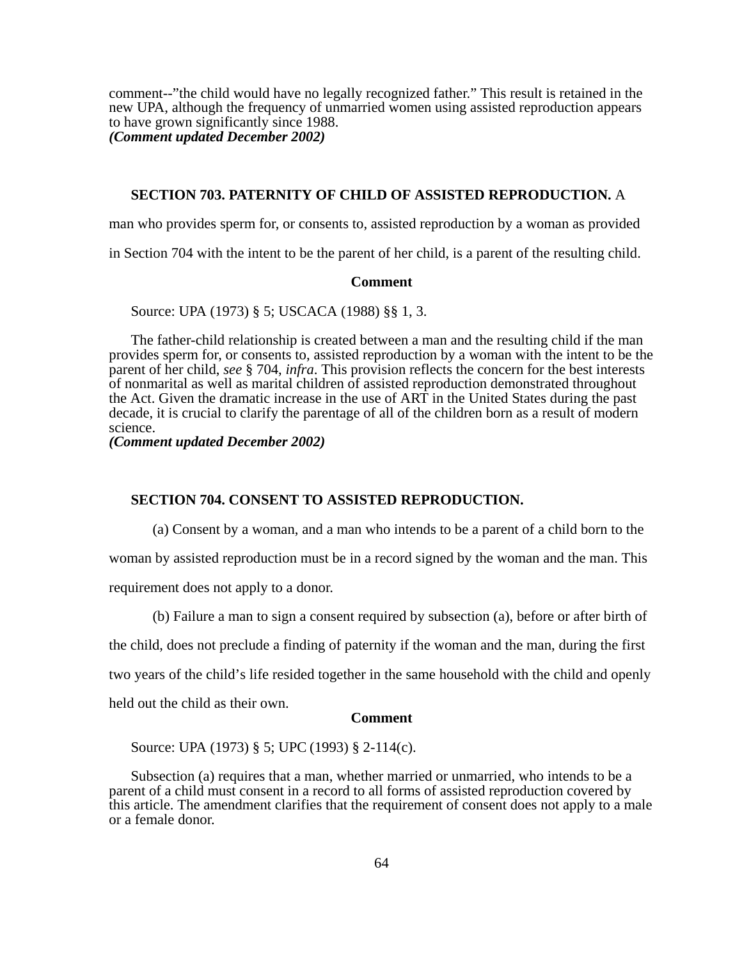comment--"the child would have no legally recognized father." This result is retained in the new UPA, although the frequency of unmarried women using assisted reproduction appears to have grown significantly since 1988. *(Comment updated December 2002)* 

#### **SECTION 703. PATERNITY OF CHILD OF ASSISTED REPRODUCTION.** A

man who provides sperm for, or consents to, assisted reproduction by a woman as provided

in Section 704 with the intent to be the parent of her child, is a parent of the resulting child.

# **Comment**

Source: UPA (1973) § 5; USCACA (1988) §§ 1, 3.

The father-child relationship is created between a man and the resulting child if the man provides sperm for, or consents to, assisted reproduction by a woman with the intent to be the parent of her child, *see* § 704, *infra*. This provision reflects the concern for the best interests of nonmarital as well as marital children of assisted reproduction demonstrated throughout the Act. Given the dramatic increase in the use of ART in the United States during the past decade, it is crucial to clarify the parentage of all of the children born as a result of modern science.

*(Comment updated December 2002)* 

# **SECTION 704. CONSENT TO ASSISTED REPRODUCTION.**

(a) Consent by a woman, and a man who intends to be a parent of a child born to the woman by assisted reproduction must be in a record signed by the woman and the man. This requirement does not apply to a donor.

(b) Failure a man to sign a consent required by subsection (a), before or after birth of the child, does not preclude a finding of paternity if the woman and the man, during the first two years of the child's life resided together in the same household with the child and openly held out the child as their own.

#### **Comment**

Source: UPA (1973) § 5; UPC (1993) § 2-114(c).

Subsection (a) requires that a man, whether married or unmarried, who intends to be a parent of a child must consent in a record to all forms of assisted reproduction covered by this article. The amendment clarifies that the requirement of consent does not apply to a male or a female donor.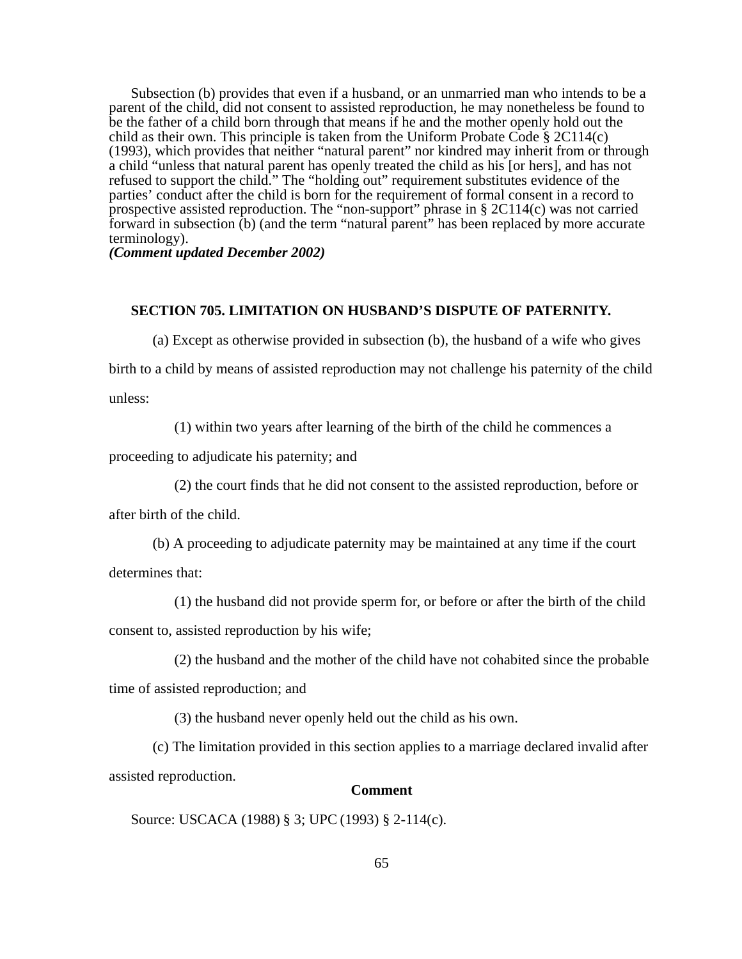Subsection (b) provides that even if a husband, or an unmarried man who intends to be a parent of the child, did not consent to assisted reproduction, he may nonetheless be found to be the father of a child born through that means if he and the mother openly hold out the child as their own. This principle is taken from the Uniform Probate Code § 2C114(c) (1993), which provides that neither "natural parent" nor kindred may inherit from or through a child "unless that natural parent has openly treated the child as his [or hers], and has not refused to support the child." The "holding out" requirement substitutes evidence of the parties' conduct after the child is born for the requirement of formal consent in a record to prospective assisted reproduction. The "non-support" phrase in § 2C114(c) was not carried forward in subsection (b) (and the term "natural parent" has been replaced by more accurate terminology).

*(Comment updated December 2002)* 

#### **SECTION 705. LIMITATION ON HUSBAND'S DISPUTE OF PATERNITY.**

(a) Except as otherwise provided in subsection (b), the husband of a wife who gives

birth to a child by means of assisted reproduction may not challenge his paternity of the child unless:

(1) within two years after learning of the birth of the child he commences a

proceeding to adjudicate his paternity; and

(2) the court finds that he did not consent to the assisted reproduction, before or after birth of the child.

(b) A proceeding to adjudicate paternity may be maintained at any time if the court determines that:

(1) the husband did not provide sperm for, or before or after the birth of the child

consent to, assisted reproduction by his wife;

(2) the husband and the mother of the child have not cohabited since the probable time of assisted reproduction; and

(3) the husband never openly held out the child as his own.

(c) The limitation provided in this section applies to a marriage declared invalid after assisted reproduction.

#### **Comment**

Source: USCACA (1988) § 3; UPC (1993) § 2-114(c).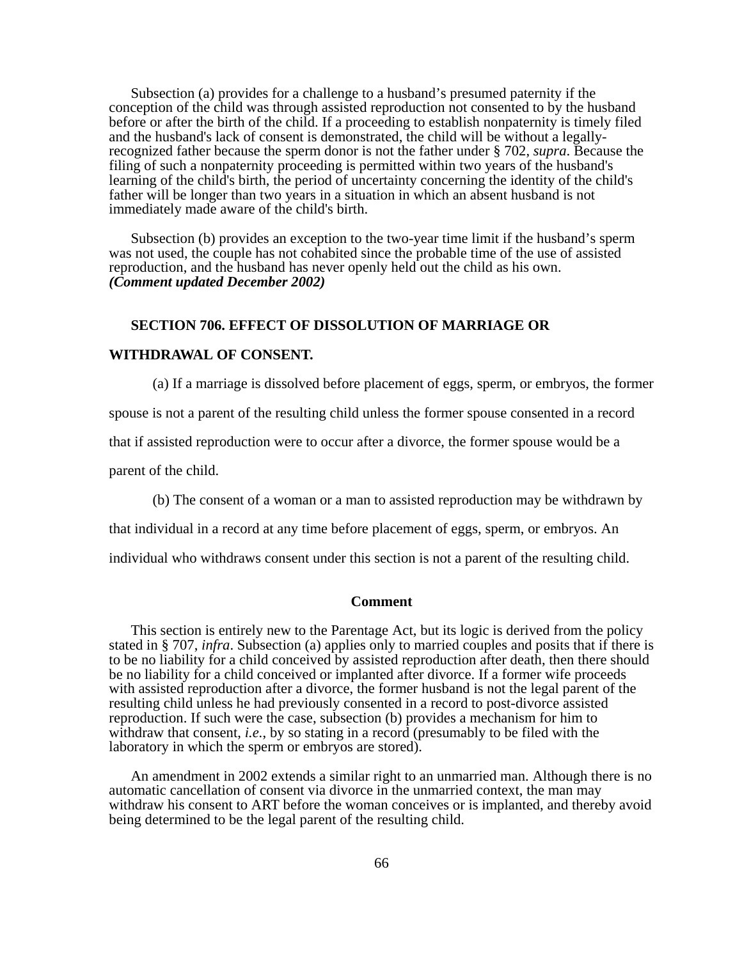Subsection (a) provides for a challenge to a husband's presumed paternity if the conception of the child was through assisted reproduction not consented to by the husband before or after the birth of the child. If a proceeding to establish nonpaternity is timely filed and the husband's lack of consent is demonstrated, the child will be without a legallyrecognized father because the sperm donor is not the father under § 702, *supra*. Because the filing of such a nonpaternity proceeding is permitted within two years of the husband's learning of the child's birth, the period of uncertainty concerning the identity of the child's father will be longer than two years in a situation in which an absent husband is not immediately made aware of the child's birth.

Subsection (b) provides an exception to the two-year time limit if the husband's sperm was not used, the couple has not cohabited since the probable time of the use of assisted reproduction, and the husband has never openly held out the child as his own. *(Comment updated December 2002)* 

# **SECTION 706. EFFECT OF DISSOLUTION OF MARRIAGE OR**

#### **WITHDRAWAL OF CONSENT.**

(a) If a marriage is dissolved before placement of eggs, sperm, or embryos, the former spouse is not a parent of the resulting child unless the former spouse consented in a record that if assisted reproduction were to occur after a divorce, the former spouse would be a parent of the child.

(b) The consent of a woman or a man to assisted reproduction may be withdrawn by

that individual in a record at any time before placement of eggs, sperm, or embryos. An

individual who withdraws consent under this section is not a parent of the resulting child.

#### **Comment**

This section is entirely new to the Parentage Act, but its logic is derived from the policy stated in § 707, *infra*. Subsection (a) applies only to married couples and posits that if there is to be no liability for a child conceived by assisted reproduction after death, then there should be no liability for a child conceived or implanted after divorce. If a former wife proceeds with assisted reproduction after a divorce, the former husband is not the legal parent of the resulting child unless he had previously consented in a record to post-divorce assisted reproduction. If such were the case, subsection (b) provides a mechanism for him to withdraw that consent, *i.e.*, by so stating in a record (presumably to be filed with the laboratory in which the sperm or embryos are stored).

An amendment in 2002 extends a similar right to an unmarried man. Although there is no automatic cancellation of consent via divorce in the unmarried context, the man may withdraw his consent to ART before the woman conceives or is implanted, and thereby avoid being determined to be the legal parent of the resulting child.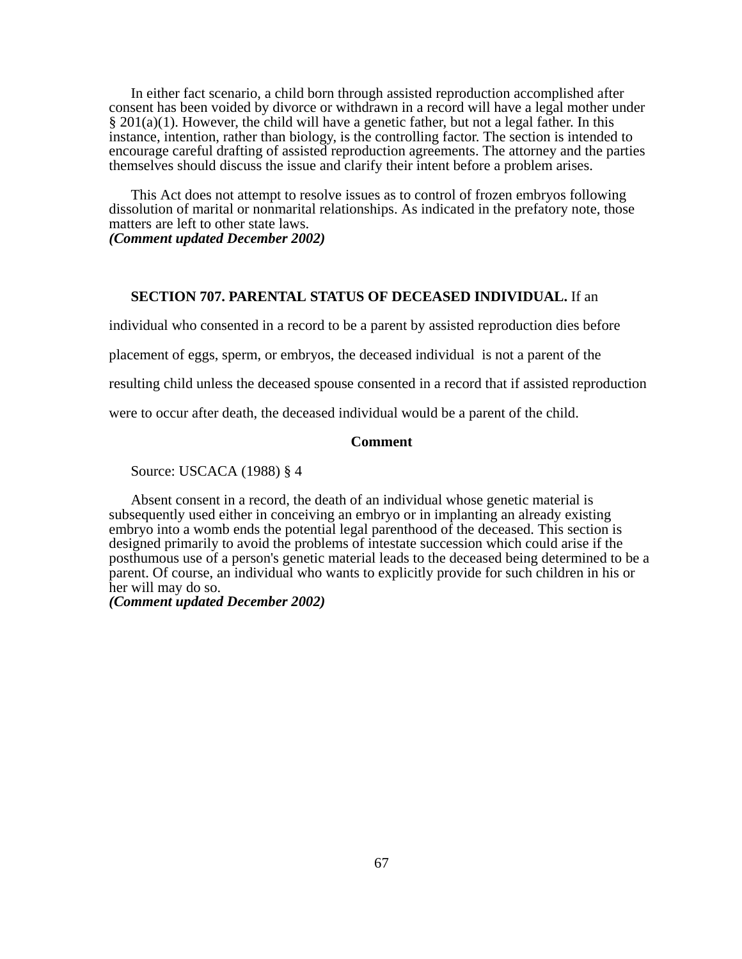In either fact scenario, a child born through assisted reproduction accomplished after consent has been voided by divorce or withdrawn in a record will have a legal mother under § 201(a)(1). However, the child will have a genetic father, but not a legal father. In this instance, intention, rather than biology, is the controlling factor. The section is intended to encourage careful drafting of assisted reproduction agreements. The attorney and the parties themselves should discuss the issue and clarify their intent before a problem arises.

This Act does not attempt to resolve issues as to control of frozen embryos following dissolution of marital or nonmarital relationships. As indicated in the prefatory note, those matters are left to other state laws. *(Comment updated December 2002)* 

# **SECTION 707. PARENTAL STATUS OF DECEASED INDIVIDUAL.** If an

individual who consented in a record to be a parent by assisted reproduction dies before

placement of eggs, sperm, or embryos, the deceased individual is not a parent of the

resulting child unless the deceased spouse consented in a record that if assisted reproduction

were to occur after death, the deceased individual would be a parent of the child.

# **Comment**

Source: USCACA (1988) § 4

Absent consent in a record, the death of an individual whose genetic material is subsequently used either in conceiving an embryo or in implanting an already existing embryo into a womb ends the potential legal parenthood of the deceased. This section is designed primarily to avoid the problems of intestate succession which could arise if the posthumous use of a person's genetic material leads to the deceased being determined to be a parent. Of course, an individual who wants to explicitly provide for such children in his or her will may do so.

*(Comment updated December 2002)*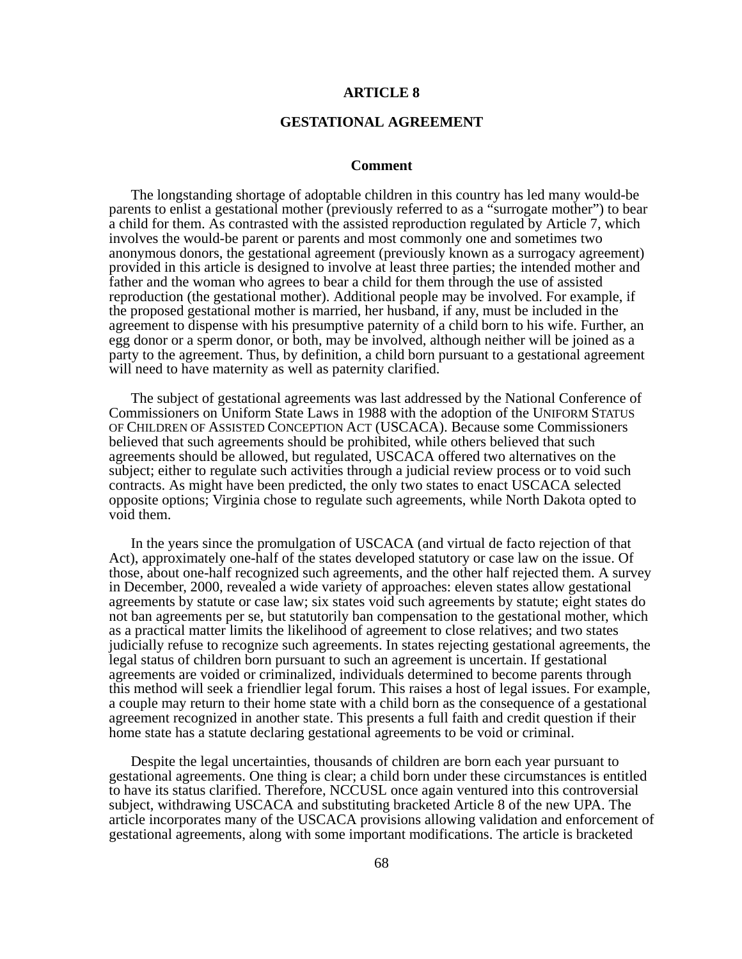#### **ARTICLE 8**

### **GESTATIONAL AGREEMENT**

#### **Comment**

The longstanding shortage of adoptable children in this country has led many would-be parents to enlist a gestational mother (previously referred to as a "surrogate mother") to bear a child for them. As contrasted with the assisted reproduction regulated by Article 7, which involves the would-be parent or parents and most commonly one and sometimes two anonymous donors, the gestational agreement (previously known as a surrogacy agreement) provided in this article is designed to involve at least three parties; the intended mother and father and the woman who agrees to bear a child for them through the use of assisted reproduction (the gestational mother). Additional people may be involved. For example, if the proposed gestational mother is married, her husband, if any, must be included in the agreement to dispense with his presumptive paternity of a child born to his wife. Further, an egg donor or a sperm donor, or both, may be involved, although neither will be joined as a party to the agreement. Thus, by definition, a child born pursuant to a gestational agreement will need to have maternity as well as paternity clarified.

The subject of gestational agreements was last addressed by the National Conference of Commissioners on Uniform State Laws in 1988 with the adoption of the UNIFORM STATUS OF CHILDREN OF ASSISTED CONCEPTION ACT (USCACA). Because some Commissioners believed that such agreements should be prohibited, while others believed that such agreements should be allowed, but regulated, USCACA offered two alternatives on the subject; either to regulate such activities through a judicial review process or to void such contracts. As might have been predicted, the only two states to enact USCACA selected opposite options; Virginia chose to regulate such agreements, while North Dakota opted to void them.

In the years since the promulgation of USCACA (and virtual de facto rejection of that Act), approximately one-half of the states developed statutory or case law on the issue. Of those, about one-half recognized such agreements, and the other half rejected them. A survey in December, 2000, revealed a wide variety of approaches: eleven states allow gestational agreements by statute or case law; six states void such agreements by statute; eight states do not ban agreements per se, but statutorily ban compensation to the gestational mother, which as a practical matter limits the likelihood of agreement to close relatives; and two states judicially refuse to recognize such agreements. In states rejecting gestational agreements, the legal status of children born pursuant to such an agreement is uncertain. If gestational agreements are voided or criminalized, individuals determined to become parents through this method will seek a friendlier legal forum. This raises a host of legal issues. For example, a couple may return to their home state with a child born as the consequence of a gestational agreement recognized in another state. This presents a full faith and credit question if their home state has a statute declaring gestational agreements to be void or criminal.

Despite the legal uncertainties, thousands of children are born each year pursuant to gestational agreements. One thing is clear; a child born under these circumstances is entitled to have its status clarified. Therefore, NCCUSL once again ventured into this controversial subject, withdrawing USCACA and substituting bracketed Article 8 of the new UPA. The article incorporates many of the USCACA provisions allowing validation and enforcement of gestational agreements, along with some important modifications. The article is bracketed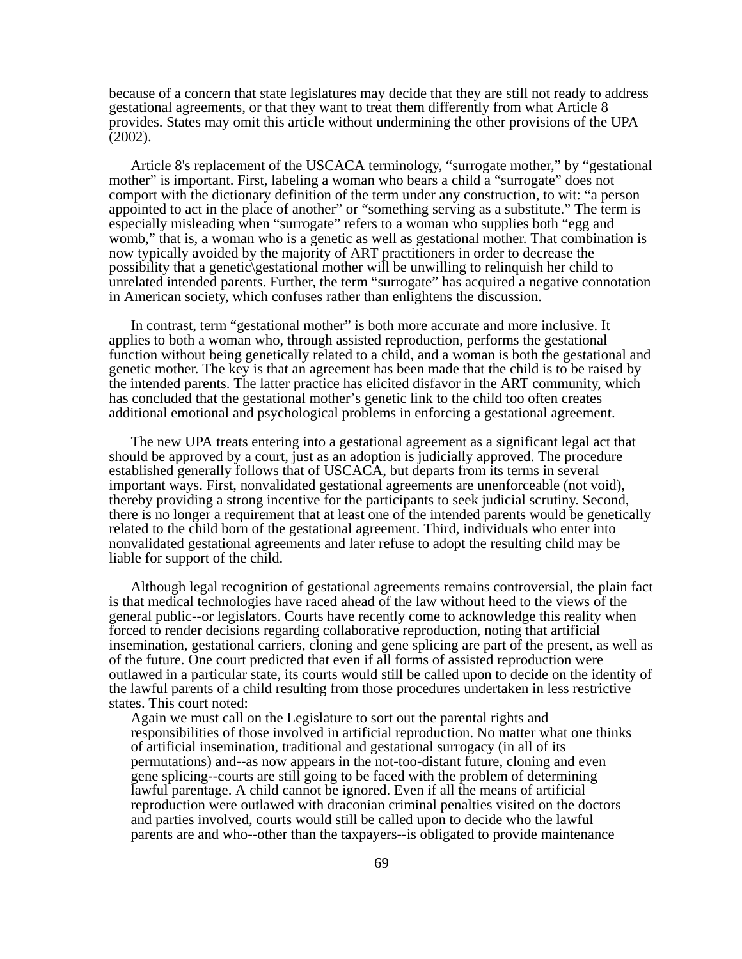because of a concern that state legislatures may decide that they are still not ready to address gestational agreements, or that they want to treat them differently from what Article 8 provides. States may omit this article without undermining the other provisions of the UPA (2002).

Article 8's replacement of the USCACA terminology, "surrogate mother," by "gestational mother" is important. First, labeling a woman who bears a child a "surrogate" does not comport with the dictionary definition of the term under any construction, to wit: "a person appointed to act in the place of another" or "something serving as a substitute." The term is especially misleading when "surrogate" refers to a woman who supplies both "egg and womb," that is, a woman who is a genetic as well as gestational mother. That combination is now typically avoided by the majority of ART practitioners in order to decrease the possibility that a genetic\gestational mother will be unwilling to relinquish her child to unrelated intended parents. Further, the term "surrogate" has acquired a negative connotation in American society, which confuses rather than enlightens the discussion.

In contrast, term "gestational mother" is both more accurate and more inclusive. It applies to both a woman who, through assisted reproduction, performs the gestational function without being genetically related to a child, and a woman is both the gestational and genetic mother. The key is that an agreement has been made that the child is to be raised by the intended parents. The latter practice has elicited disfavor in the ART community, which has concluded that the gestational mother's genetic link to the child too often creates additional emotional and psychological problems in enforcing a gestational agreement.

The new UPA treats entering into a gestational agreement as a significant legal act that should be approved by a court, just as an adoption is judicially approved. The procedure established generally follows that of USCACA, but departs from its terms in several important ways. First, nonvalidated gestational agreements are unenforceable (not void), thereby providing a strong incentive for the participants to seek judicial scrutiny. Second, there is no longer a requirement that at least one of the intended parents would be genetically related to the child born of the gestational agreement. Third, individuals who enter into nonvalidated gestational agreements and later refuse to adopt the resulting child may be liable for support of the child.

Although legal recognition of gestational agreements remains controversial, the plain fact is that medical technologies have raced ahead of the law without heed to the views of the general public--or legislators. Courts have recently come to acknowledge this reality when forced to render decisions regarding collaborative reproduction, noting that artificial insemination, gestational carriers, cloning and gene splicing are part of the present, as well as of the future. One court predicted that even if all forms of assisted reproduction were outlawed in a particular state, its courts would still be called upon to decide on the identity of the lawful parents of a child resulting from those procedures undertaken in less restrictive states. This court noted:

Again we must call on the Legislature to sort out the parental rights and responsibilities of those involved in artificial reproduction. No matter what one thinks of artificial insemination, traditional and gestational surrogacy (in all of its permutations) and--as now appears in the not-too-distant future, cloning and even gene splicing--courts are still going to be faced with the problem of determining lawful parentage. A child cannot be ignored. Even if all the means of artificial reproduction were outlawed with draconian criminal penalties visited on the doctors and parties involved, courts would still be called upon to decide who the lawful parents are and who--other than the taxpayers--is obligated to provide maintenance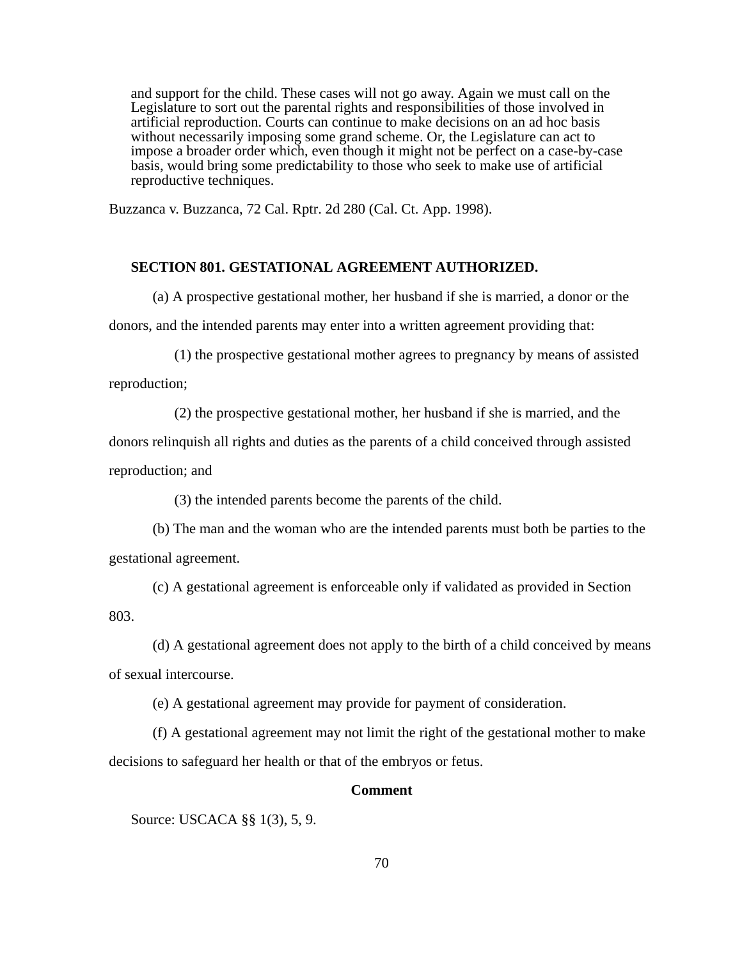and support for the child. These cases will not go away. Again we must call on the Legislature to sort out the parental rights and responsibilities of those involved in artificial reproduction. Courts can continue to make decisions on an ad hoc basis without necessarily imposing some grand scheme. Or, the Legislature can act to impose a broader order which, even though it might not be perfect on a case-by-case basis, would bring some predictability to those who seek to make use of artificial reproductive techniques.

Buzzanca v. Buzzanca, 72 Cal. Rptr. 2d 280 (Cal. Ct. App. 1998).

## **SECTION 801. GESTATIONAL AGREEMENT AUTHORIZED.**

(a) A prospective gestational mother, her husband if she is married, a donor or the donors, and the intended parents may enter into a written agreement providing that:

(1) the prospective gestational mother agrees to pregnancy by means of assisted

reproduction;

(2) the prospective gestational mother, her husband if she is married, and the

donors relinquish all rights and duties as the parents of a child conceived through assisted

reproduction; and

(3) the intended parents become the parents of the child.

(b) The man and the woman who are the intended parents must both be parties to the gestational agreement.

(c) A gestational agreement is enforceable only if validated as provided in Section

803.

(d) A gestational agreement does not apply to the birth of a child conceived by means of sexual intercourse.

(e) A gestational agreement may provide for payment of consideration.

(f) A gestational agreement may not limit the right of the gestational mother to make decisions to safeguard her health or that of the embryos or fetus.

## **Comment**

Source: USCACA §§ 1(3), 5, 9.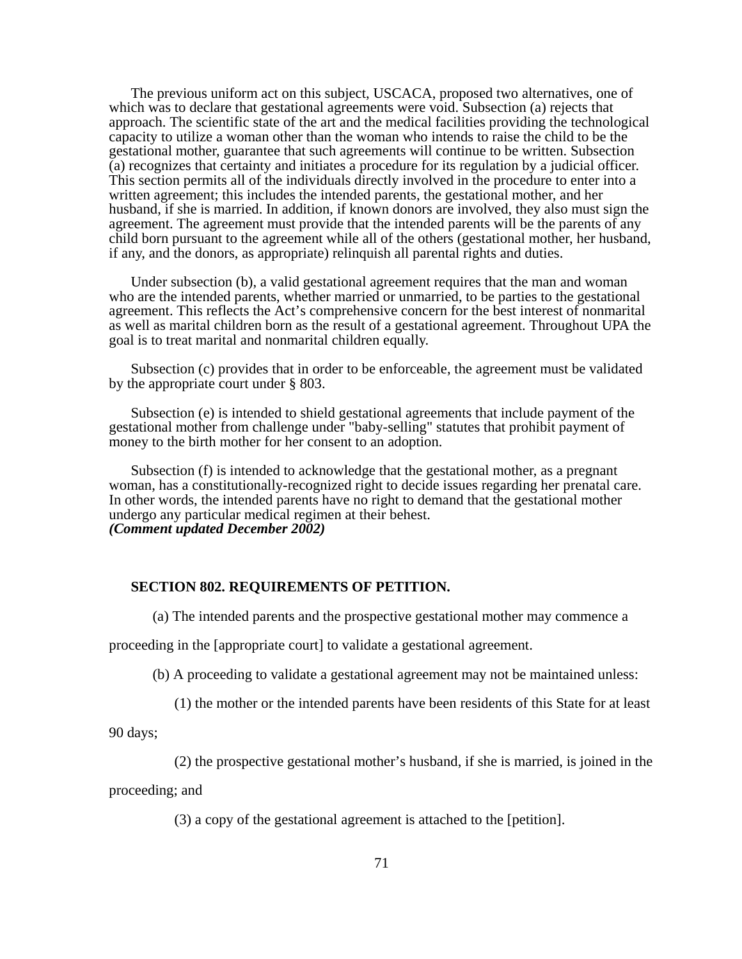The previous uniform act on this subject, USCACA, proposed two alternatives, one of which was to declare that gestational agreements were void. Subsection (a) rejects that approach. The scientific state of the art and the medical facilities providing the technological capacity to utilize a woman other than the woman who intends to raise the child to be the gestational mother, guarantee that such agreements will continue to be written. Subsection (a) recognizes that certainty and initiates a procedure for its regulation by a judicial officer. This section permits all of the individuals directly involved in the procedure to enter into a written agreement; this includes the intended parents, the gestational mother, and her husband, if she is married. In addition, if known donors are involved, they also must sign the agreement. The agreement must provide that the intended parents will be the parents of any child born pursuant to the agreement while all of the others (gestational mother, her husband, if any, and the donors, as appropriate) relinquish all parental rights and duties.

Under subsection (b), a valid gestational agreement requires that the man and woman who are the intended parents, whether married or unmarried, to be parties to the gestational agreement. This reflects the Act's comprehensive concern for the best interest of nonmarital as well as marital children born as the result of a gestational agreement. Throughout UPA the goal is to treat marital and nonmarital children equally.

Subsection (c) provides that in order to be enforceable, the agreement must be validated by the appropriate court under § 803.

Subsection (e) is intended to shield gestational agreements that include payment of the gestational mother from challenge under "baby-selling" statutes that prohibit payment of money to the birth mother for her consent to an adoption.

Subsection (f) is intended to acknowledge that the gestational mother, as a pregnant woman, has a constitutionally-recognized right to decide issues regarding her prenatal care. In other words, the intended parents have no right to demand that the gestational mother undergo any particular medical regimen at their behest. *(Comment updated December 2002)* 

# **SECTION 802. REQUIREMENTS OF PETITION.**

(a) The intended parents and the prospective gestational mother may commence a

proceeding in the [appropriate court] to validate a gestational agreement.

(b) A proceeding to validate a gestational agreement may not be maintained unless:

(1) the mother or the intended parents have been residents of this State for at least

90 days;

(2) the prospective gestational mother's husband, if she is married, is joined in the

proceeding; and

(3) a copy of the gestational agreement is attached to the [petition].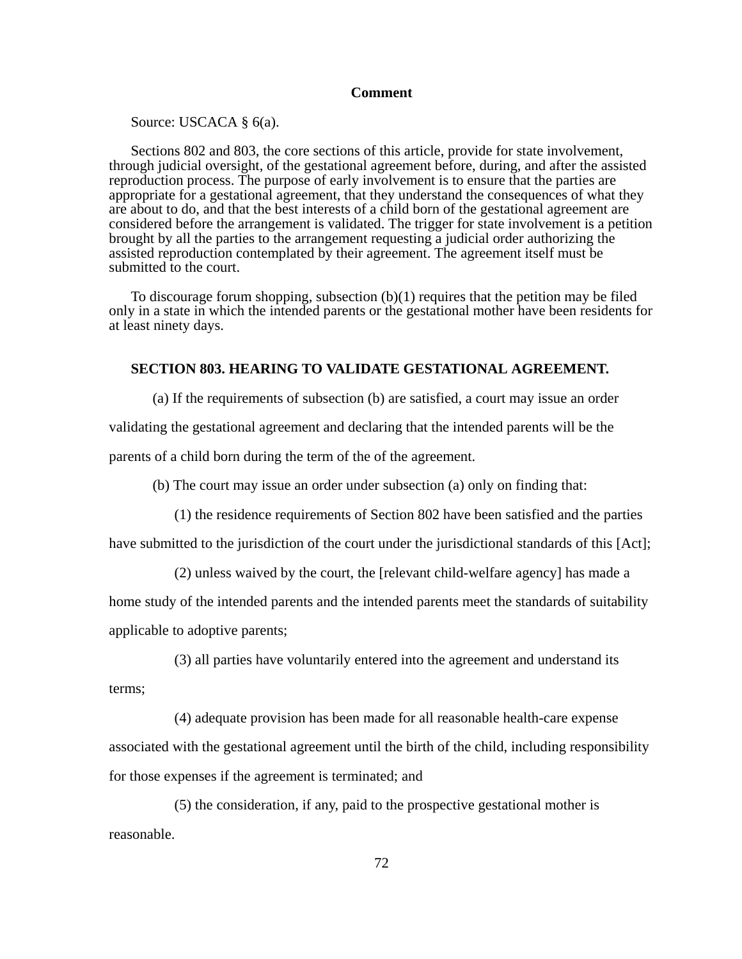#### **Comment**

Source: USCACA § 6(a).

Sections 802 and 803, the core sections of this article, provide for state involvement, through judicial oversight, of the gestational agreement before, during, and after the assisted reproduction process. The purpose of early involvement is to ensure that the parties are appropriate for a gestational agreement, that they understand the consequences of what they are about to do, and that the best interests of a child born of the gestational agreement are considered before the arrangement is validated. The trigger for state involvement is a petition brought by all the parties to the arrangement requesting a judicial order authorizing the assisted reproduction contemplated by their agreement. The agreement itself must be submitted to the court.

To discourage forum shopping, subsection (b)(1) requires that the petition may be filed only in a state in which the intended parents or the gestational mother have been residents for at least ninety days.

## **SECTION 803. HEARING TO VALIDATE GESTATIONAL AGREEMENT.**

(a) If the requirements of subsection (b) are satisfied, a court may issue an order

validating the gestational agreement and declaring that the intended parents will be the

parents of a child born during the term of the of the agreement.

(b) The court may issue an order under subsection (a) only on finding that:

(1) the residence requirements of Section 802 have been satisfied and the parties

have submitted to the jurisdiction of the court under the jurisdictional standards of this [Act];

(2) unless waived by the court, the [relevant child-welfare agency] has made a

home study of the intended parents and the intended parents meet the standards of suitability applicable to adoptive parents;

(3) all parties have voluntarily entered into the agreement and understand its

terms;

(4) adequate provision has been made for all reasonable health-care expense associated with the gestational agreement until the birth of the child, including responsibility for those expenses if the agreement is terminated; and

(5) the consideration, if any, paid to the prospective gestational mother is reasonable.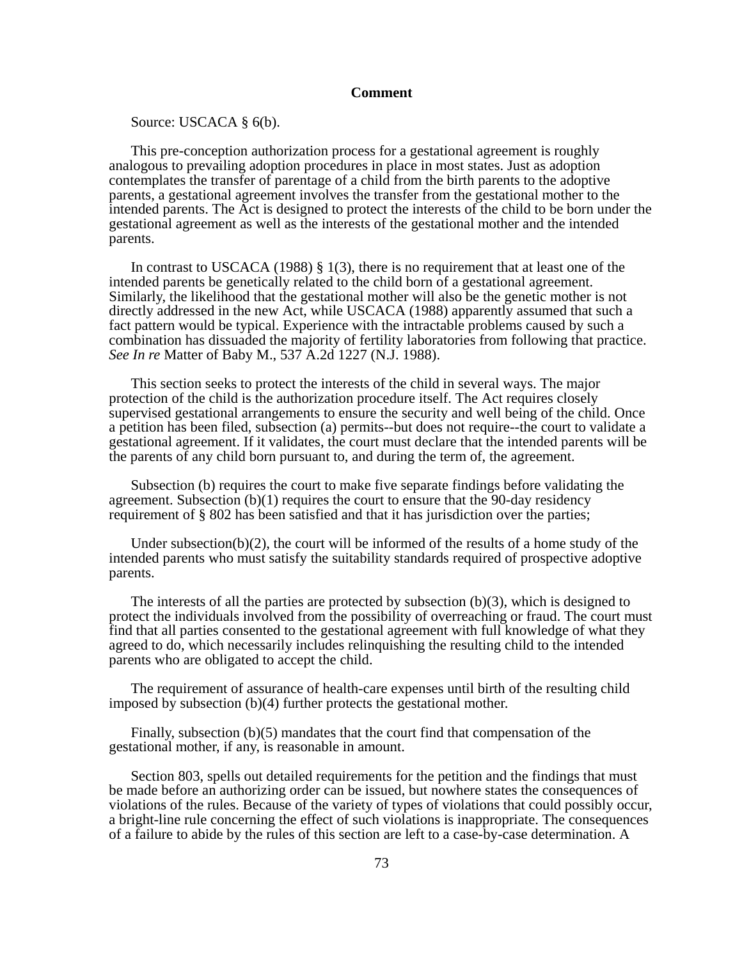#### **Comment**

Source: USCACA § 6(b).

This pre-conception authorization process for a gestational agreement is roughly analogous to prevailing adoption procedures in place in most states. Just as adoption contemplates the transfer of parentage of a child from the birth parents to the adoptive parents, a gestational agreement involves the transfer from the gestational mother to the intended parents. The Act is designed to protect the interests of the child to be born under the gestational agreement as well as the interests of the gestational mother and the intended parents.

In contrast to USCACA (1988) § 1(3), there is no requirement that at least one of the intended parents be genetically related to the child born of a gestational agreement. Similarly, the likelihood that the gestational mother will also be the genetic mother is not directly addressed in the new Act, while USCACA (1988) apparently assumed that such a fact pattern would be typical. Experience with the intractable problems caused by such a combination has dissuaded the majority of fertility laboratories from following that practice. *See In re* Matter of Baby M., 537 A.2d 1227 (N.J. 1988).

This section seeks to protect the interests of the child in several ways. The major protection of the child is the authorization procedure itself. The Act requires closely supervised gestational arrangements to ensure the security and well being of the child. Once a petition has been filed, subsection (a) permits--but does not require--the court to validate a gestational agreement. If it validates, the court must declare that the intended parents will be the parents of any child born pursuant to, and during the term of, the agreement.

Subsection (b) requires the court to make five separate findings before validating the agreement. Subsection (b)(1) requires the court to ensure that the 90-day residency requirement of § 802 has been satisfied and that it has jurisdiction over the parties;

Under subsection(b)(2), the court will be informed of the results of a home study of the intended parents who must satisfy the suitability standards required of prospective adoptive parents.

The interests of all the parties are protected by subsection (b)(3), which is designed to protect the individuals involved from the possibility of overreaching or fraud. The court must find that all parties consented to the gestational agreement with full knowledge of what they agreed to do, which necessarily includes relinquishing the resulting child to the intended parents who are obligated to accept the child.

The requirement of assurance of health-care expenses until birth of the resulting child imposed by subsection (b)(4) further protects the gestational mother.

Finally, subsection (b)(5) mandates that the court find that compensation of the gestational mother, if any, is reasonable in amount.

Section 803, spells out detailed requirements for the petition and the findings that must be made before an authorizing order can be issued, but nowhere states the consequences of violations of the rules. Because of the variety of types of violations that could possibly occur, a bright-line rule concerning the effect of such violations is inappropriate. The consequences of a failure to abide by the rules of this section are left to a case-by-case determination. A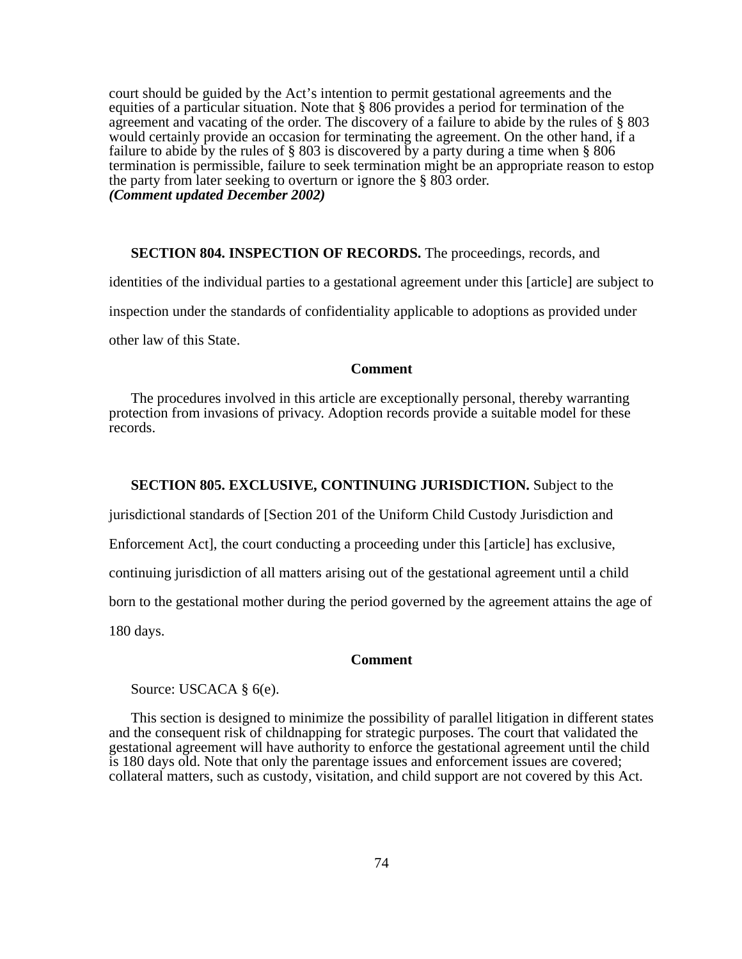court should be guided by the Act's intention to permit gestational agreements and the equities of a particular situation. Note that § 806 provides a period for termination of the agreement and vacating of the order. The discovery of a failure to abide by the rules of § 803 would certainly provide an occasion for terminating the agreement. On the other hand, if a failure to abide by the rules of § 803 is discovered by a party during a time when § 806 termination is permissible, failure to seek termination might be an appropriate reason to estop the party from later seeking to overturn or ignore the § 803 order. *(Comment updated December 2002)* 

#### **SECTION 804. INSPECTION OF RECORDS.** The proceedings, records, and

identities of the individual parties to a gestational agreement under this [article] are subject to

inspection under the standards of confidentiality applicable to adoptions as provided under

other law of this State.

#### **Comment**

The procedures involved in this article are exceptionally personal, thereby warranting protection from invasions of privacy. Adoption records provide a suitable model for these records.

## **SECTION 805. EXCLUSIVE, CONTINUING JURISDICTION.** Subject to the

jurisdictional standards of [Section 201 of the Uniform Child Custody Jurisdiction and

Enforcement Act], the court conducting a proceeding under this [article] has exclusive,

continuing jurisdiction of all matters arising out of the gestational agreement until a child

born to the gestational mother during the period governed by the agreement attains the age of

180 days.

#### **Comment**

Source: USCACA § 6(e).

This section is designed to minimize the possibility of parallel litigation in different states and the consequent risk of childnapping for strategic purposes. The court that validated the gestational agreement will have authority to enforce the gestational agreement until the child is 180 days old. Note that only the parentage issues and enforcement issues are covered; collateral matters, such as custody, visitation, and child support are not covered by this Act.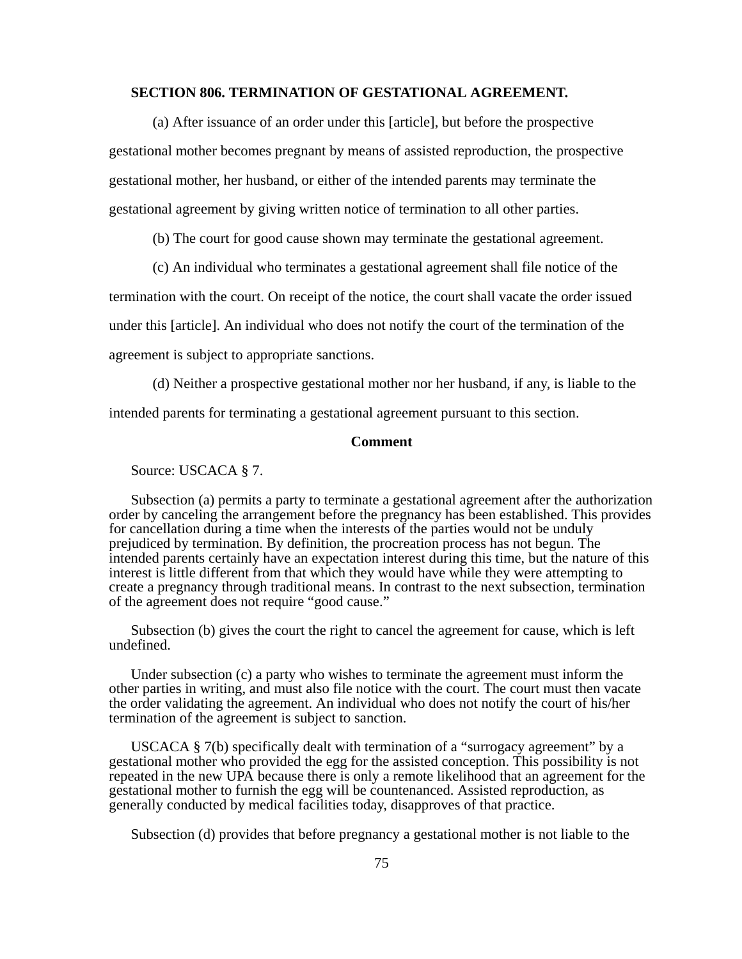#### **SECTION 806. TERMINATION OF GESTATIONAL AGREEMENT.**

(a) After issuance of an order under this [article], but before the prospective gestational mother becomes pregnant by means of assisted reproduction, the prospective gestational mother, her husband, or either of the intended parents may terminate the gestational agreement by giving written notice of termination to all other parties.

(b) The court for good cause shown may terminate the gestational agreement.

(c) An individual who terminates a gestational agreement shall file notice of the

termination with the court. On receipt of the notice, the court shall vacate the order issued

under this [article]. An individual who does not notify the court of the termination of the

agreement is subject to appropriate sanctions.

(d) Neither a prospective gestational mother nor her husband, if any, is liable to the intended parents for terminating a gestational agreement pursuant to this section.

## **Comment**

Source: USCACA § 7.

Subsection (a) permits a party to terminate a gestational agreement after the authorization order by canceling the arrangement before the pregnancy has been established. This provides for cancellation during a time when the interests of the parties would not be unduly prejudiced by termination. By definition, the procreation process has not begun. The intended parents certainly have an expectation interest during this time, but the nature of this interest is little different from that which they would have while they were attempting to create a pregnancy through traditional means. In contrast to the next subsection, termination of the agreement does not require "good cause."

Subsection (b) gives the court the right to cancel the agreement for cause, which is left undefined.

Under subsection (c) a party who wishes to terminate the agreement must inform the other parties in writing, and must also file notice with the court. The court must then vacate the order validating the agreement. An individual who does not notify the court of his/her termination of the agreement is subject to sanction.

USCACA § 7(b) specifically dealt with termination of a "surrogacy agreement" by a gestational mother who provided the egg for the assisted conception. This possibility is not repeated in the new UPA because there is only a remote likelihood that an agreement for the gestational mother to furnish the egg will be countenanced. Assisted reproduction, as generally conducted by medical facilities today, disapproves of that practice.

Subsection (d) provides that before pregnancy a gestational mother is not liable to the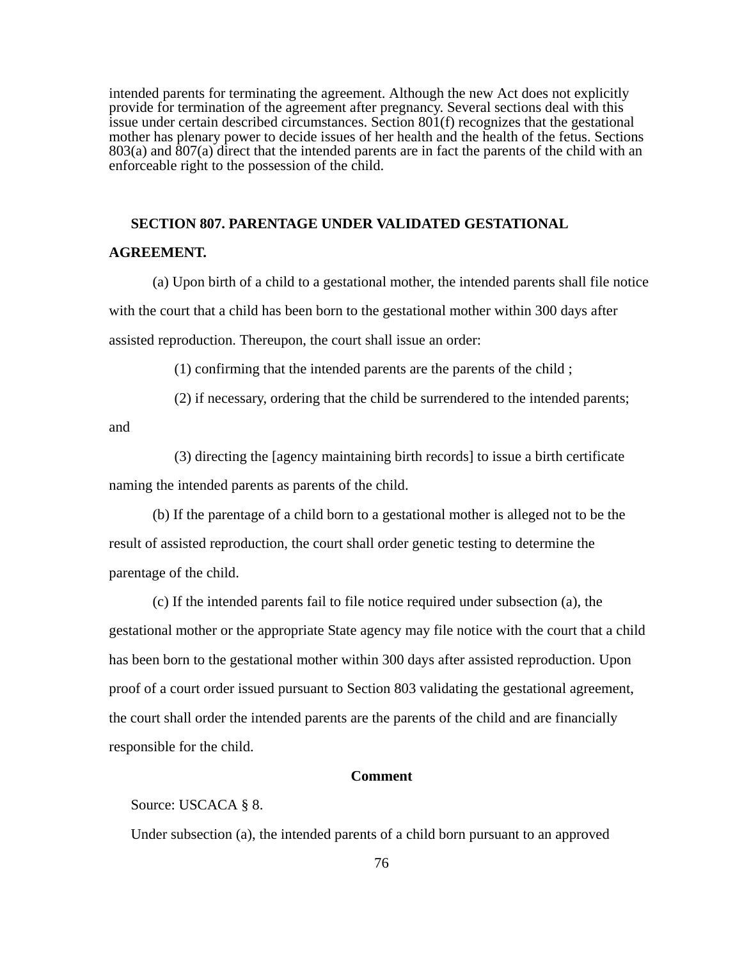intended parents for terminating the agreement. Although the new Act does not explicitly provide for termination of the agreement after pregnancy. Several sections deal with this issue under certain described circumstances. Section 801(f) recognizes that the gestational mother has plenary power to decide issues of her health and the health of the fetus. Sections  $803(a)$  and  $807(a)$  direct that the intended parents are in fact the parents of the child with an enforceable right to the possession of the child.

## **SECTION 807. PARENTAGE UNDER VALIDATED GESTATIONAL**

## **AGREEMENT.**

(a) Upon birth of a child to a gestational mother, the intended parents shall file notice with the court that a child has been born to the gestational mother within 300 days after assisted reproduction. Thereupon, the court shall issue an order:

(1) confirming that the intended parents are the parents of the child ;

(2) if necessary, ordering that the child be surrendered to the intended parents;

and

(3) directing the [agency maintaining birth records] to issue a birth certificate

naming the intended parents as parents of the child.

(b) If the parentage of a child born to a gestational mother is alleged not to be the result of assisted reproduction, the court shall order genetic testing to determine the parentage of the child.

(c) If the intended parents fail to file notice required under subsection (a), the gestational mother or the appropriate State agency may file notice with the court that a child has been born to the gestational mother within 300 days after assisted reproduction. Upon proof of a court order issued pursuant to Section 803 validating the gestational agreement, the court shall order the intended parents are the parents of the child and are financially responsible for the child.

## **Comment**

Source: USCACA § 8.

Under subsection (a), the intended parents of a child born pursuant to an approved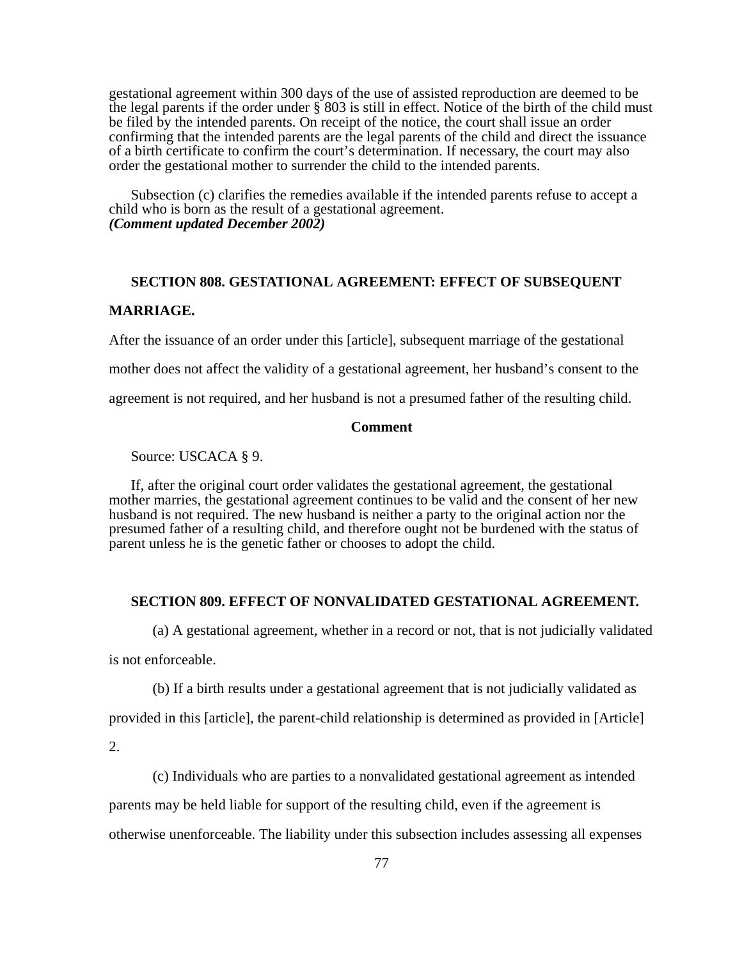gestational agreement within 300 days of the use of assisted reproduction are deemed to be the legal parents if the order under § 803 is still in effect. Notice of the birth of the child must be filed by the intended parents. On receipt of the notice, the court shall issue an order confirming that the intended parents are the legal parents of the child and direct the issuance of a birth certificate to confirm the court's determination. If necessary, the court may also order the gestational mother to surrender the child to the intended parents.

Subsection (c) clarifies the remedies available if the intended parents refuse to accept a child who is born as the result of a gestational agreement. *(Comment updated December 2002)* 

# **SECTION 808. GESTATIONAL AGREEMENT: EFFECT OF SUBSEQUENT MARRIAGE.**

After the issuance of an order under this [article], subsequent marriage of the gestational

mother does not affect the validity of a gestational agreement, her husband's consent to the

agreement is not required, and her husband is not a presumed father of the resulting child.

## **Comment**

Source: USCACA § 9.

If, after the original court order validates the gestational agreement, the gestational mother marries, the gestational agreement continues to be valid and the consent of her new husband is not required. The new husband is neither a party to the original action nor the presumed father of a resulting child, and therefore ought not be burdened with the status of parent unless he is the genetic father or chooses to adopt the child.

#### **SECTION 809. EFFECT OF NONVALIDATED GESTATIONAL AGREEMENT.**

(a) A gestational agreement, whether in a record or not, that is not judicially validated is not enforceable.

(b) If a birth results under a gestational agreement that is not judicially validated as

provided in this [article], the parent-child relationship is determined as provided in [Article]

2.

(c) Individuals who are parties to a nonvalidated gestational agreement as intended

parents may be held liable for support of the resulting child, even if the agreement is

otherwise unenforceable. The liability under this subsection includes assessing all expenses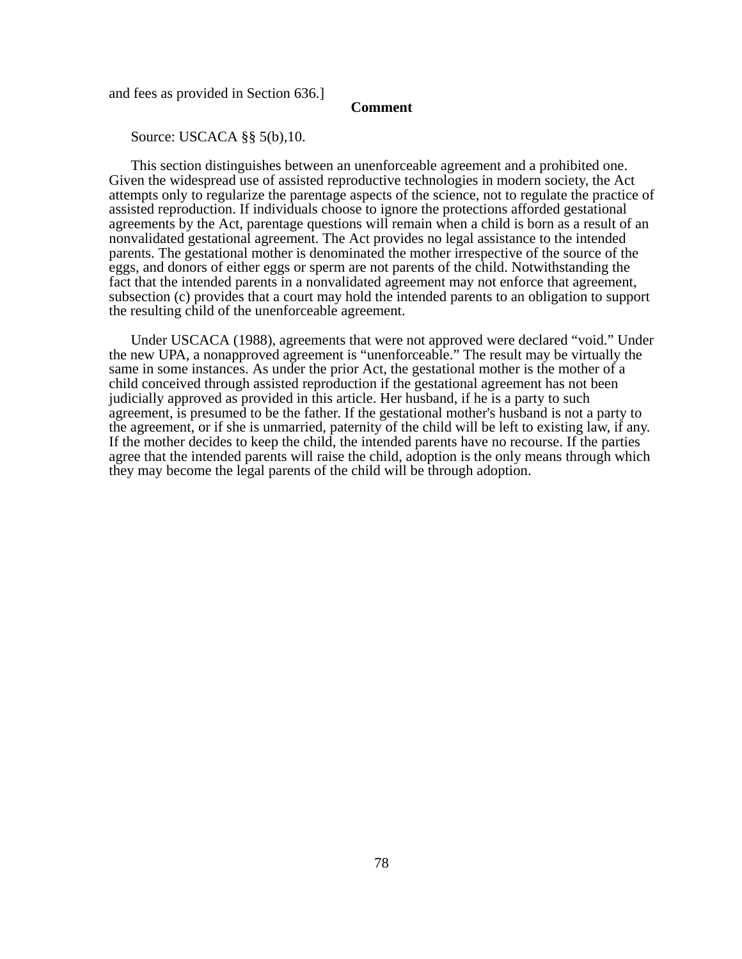and fees as provided in Section 636.]

#### **Comment**

Source: USCACA §§ 5(b),10.

This section distinguishes between an unenforceable agreement and a prohibited one. Given the widespread use of assisted reproductive technologies in modern society, the Act attempts only to regularize the parentage aspects of the science, not to regulate the practice of assisted reproduction. If individuals choose to ignore the protections afforded gestational agreements by the Act, parentage questions will remain when a child is born as a result of an nonvalidated gestational agreement. The Act provides no legal assistance to the intended parents. The gestational mother is denominated the mother irrespective of the source of the eggs, and donors of either eggs or sperm are not parents of the child. Notwithstanding the fact that the intended parents in a nonvalidated agreement may not enforce that agreement, subsection (c) provides that a court may hold the intended parents to an obligation to support the resulting child of the unenforceable agreement.

Under USCACA (1988), agreements that were not approved were declared "void." Under the new UPA, a nonapproved agreement is "unenforceable." The result may be virtually the same in some instances. As under the prior Act, the gestational mother is the mother of a child conceived through assisted reproduction if the gestational agreement has not been judicially approved as provided in this article. Her husband, if he is a party to such agreement, is presumed to be the father. If the gestational mother's husband is not a party to the agreement, or if she is unmarried, paternity of the child will be left to existing law, if any. If the mother decides to keep the child, the intended parents have no recourse. If the parties agree that the intended parents will raise the child, adoption is the only means through which they may become the legal parents of the child will be through adoption.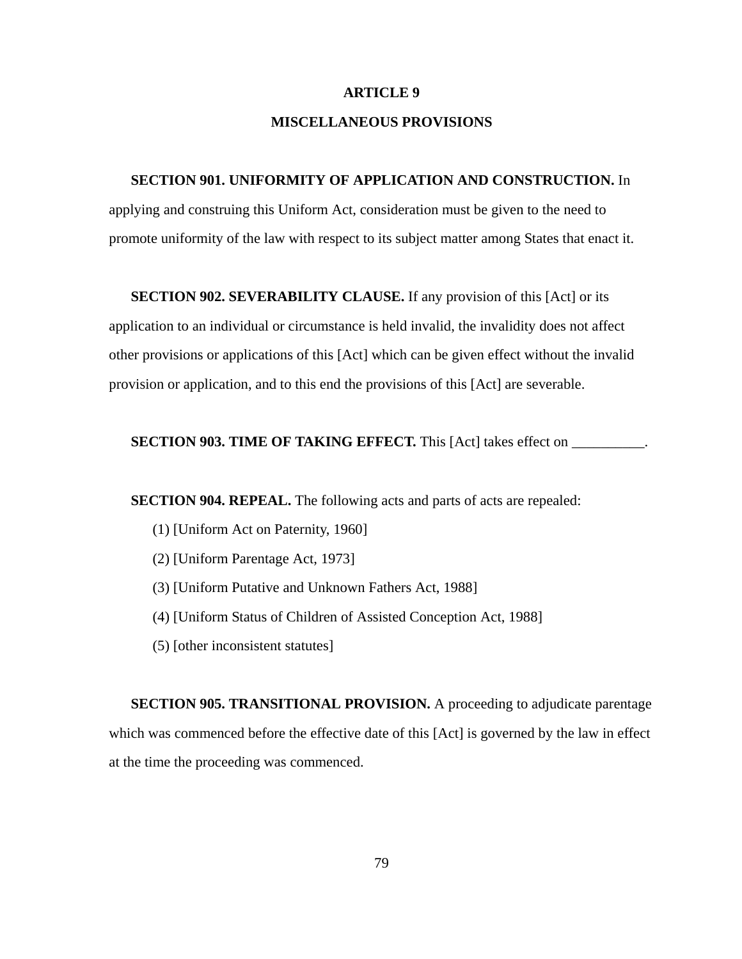#### **ARTICLE 9**

## **MISCELLANEOUS PROVISIONS**

## **SECTION 901. UNIFORMITY OF APPLICATION AND CONSTRUCTION.** In

applying and construing this Uniform Act, consideration must be given to the need to promote uniformity of the law with respect to its subject matter among States that enact it.

**SECTION 902. SEVERABILITY CLAUSE.** If any provision of this [Act] or its application to an individual or circumstance is held invalid, the invalidity does not affect other provisions or applications of this [Act] which can be given effect without the invalid provision or application, and to this end the provisions of this [Act] are severable.

## **SECTION 903. TIME OF TAKING EFFECT.** This [Act] takes effect on \_\_\_\_\_\_\_\_\_\_.

**SECTION 904. REPEAL.** The following acts and parts of acts are repealed:

- (1) [Uniform Act on Paternity, 1960]
- (2) [Uniform Parentage Act, 1973]
- (3) [Uniform Putative and Unknown Fathers Act, 1988]
- (4) [Uniform Status of Children of Assisted Conception Act, 1988]
- (5) [other inconsistent statutes]

**SECTION 905. TRANSITIONAL PROVISION.** A proceeding to adjudicate parentage which was commenced before the effective date of this [Act] is governed by the law in effect at the time the proceeding was commenced.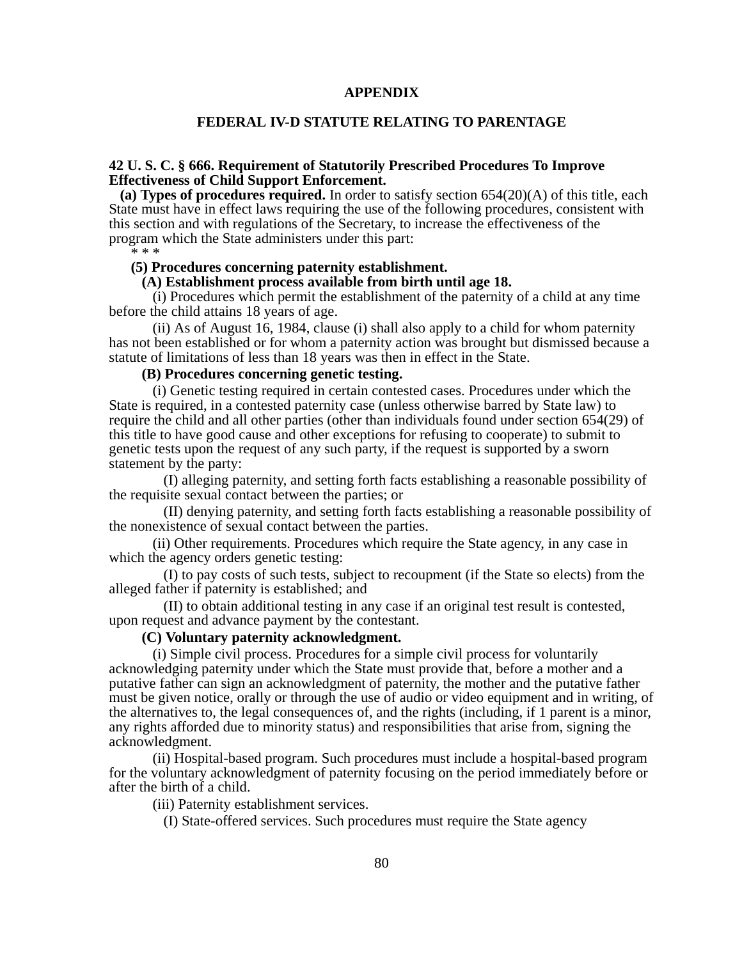#### **APPENDIX**

## **FEDERAL IV-D STATUTE RELATING TO PARENTAGE**

## **42 U. S. C. § 666. Requirement of Statutorily Prescribed Procedures To Improve Effectiveness of Child Support Enforcement.**

**(a) Types of procedures required.** In order to satisfy section 654(20)(A) of this title, each State must have in effect laws requiring the use of the following procedures, consistent with this section and with regulations of the Secretary, to increase the effectiveness of the program which the State administers under this part:

\* \* \*

#### **(5) Procedures concerning paternity establishment.**

## **(A) Establishment process available from birth until age 18.**

(i) Procedures which permit the establishment of the paternity of a child at any time before the child attains 18 years of age.

(ii) As of August 16, 1984, clause (i) shall also apply to a child for whom paternity has not been established or for whom a paternity action was brought but dismissed because a statute of limitations of less than 18 years was then in effect in the State.

## **(B) Procedures concerning genetic testing.**

(i) Genetic testing required in certain contested cases. Procedures under which the State is required, in a contested paternity case (unless otherwise barred by State law) to require the child and all other parties (other than individuals found under section 654(29) of this title to have good cause and other exceptions for refusing to cooperate) to submit to genetic tests upon the request of any such party, if the request is supported by a sworn statement by the party:

 (I) alleging paternity, and setting forth facts establishing a reasonable possibility of the requisite sexual contact between the parties; or

 (II) denying paternity, and setting forth facts establishing a reasonable possibility of the nonexistence of sexual contact between the parties.

(ii) Other requirements. Procedures which require the State agency, in any case in which the agency orders genetic testing:

 (I) to pay costs of such tests, subject to recoupment (if the State so elects) from the alleged father if paternity is established; and

 (II) to obtain additional testing in any case if an original test result is contested, upon request and advance payment by the contestant.

#### **(C) Voluntary paternity acknowledgment.**

(i) Simple civil process. Procedures for a simple civil process for voluntarily acknowledging paternity under which the State must provide that, before a mother and a putative father can sign an acknowledgment of paternity, the mother and the putative father must be given notice, orally or through the use of audio or video equipment and in writing, of the alternatives to, the legal consequences of, and the rights (including, if 1 parent is a minor, any rights afforded due to minority status) and responsibilities that arise from, signing the acknowledgment.

(ii) Hospital-based program. Such procedures must include a hospital-based program for the voluntary acknowledgment of paternity focusing on the period immediately before or after the birth of a child.

(iii) Paternity establishment services.

(I) State-offered services. Such procedures must require the State agency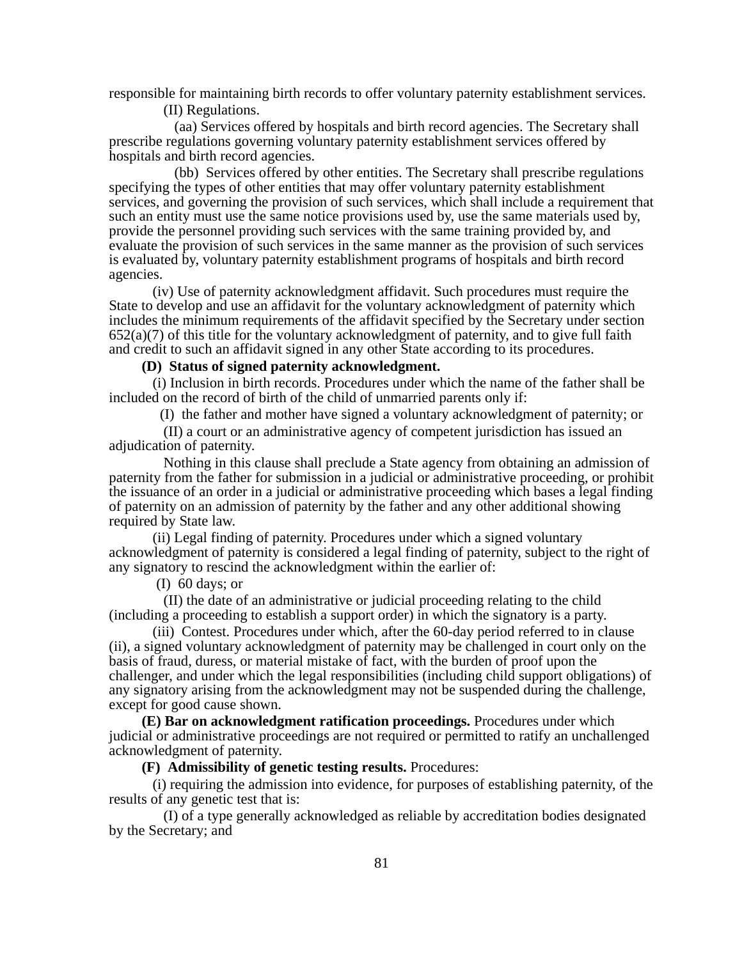responsible for maintaining birth records to offer voluntary paternity establishment services.

(II) Regulations.

(aa) Services offered by hospitals and birth record agencies. The Secretary shall prescribe regulations governing voluntary paternity establishment services offered by hospitals and birth record agencies.

(bb) Services offered by other entities. The Secretary shall prescribe regulations specifying the types of other entities that may offer voluntary paternity establishment services, and governing the provision of such services, which shall include a requirement that such an entity must use the same notice provisions used by, use the same materials used by, provide the personnel providing such services with the same training provided by, and evaluate the provision of such services in the same manner as the provision of such services is evaluated by, voluntary paternity establishment programs of hospitals and birth record agencies.

(iv) Use of paternity acknowledgment affidavit. Such procedures must require the State to develop and use an affidavit for the voluntary acknowledgment of paternity which includes the minimum requirements of the affidavit specified by the Secretary under section  $652(a)(7)$  of this title for the voluntary acknowledgment of paternity, and to give full faith and credit to such an affidavit signed in any other State according to its procedures.

## **(D) Status of signed paternity acknowledgment.**

(i) Inclusion in birth records. Procedures under which the name of the father shall be included on the record of birth of the child of unmarried parents only if:

(I) the father and mother have signed a voluntary acknowledgment of paternity; or

 (II) a court or an administrative agency of competent jurisdiction has issued an adjudication of paternity.

 Nothing in this clause shall preclude a State agency from obtaining an admission of paternity from the father for submission in a judicial or administrative proceeding, or prohibit the issuance of an order in a judicial or administrative proceeding which bases a legal finding of paternity on an admission of paternity by the father and any other additional showing required by State law.

(ii) Legal finding of paternity. Procedures under which a signed voluntary acknowledgment of paternity is considered a legal finding of paternity, subject to the right of any signatory to rescind the acknowledgment within the earlier of:

(I) 60 days; or

 (II) the date of an administrative or judicial proceeding relating to the child (including a proceeding to establish a support order) in which the signatory is a party.

(iii) Contest. Procedures under which, after the 60-day period referred to in clause (ii), a signed voluntary acknowledgment of paternity may be challenged in court only on the basis of fraud, duress, or material mistake of fact, with the burden of proof upon the challenger, and under which the legal responsibilities (including child support obligations) of any signatory arising from the acknowledgment may not be suspended during the challenge, except for good cause shown.

**(E) Bar on acknowledgment ratification proceedings.** Procedures under which judicial or administrative proceedings are not required or permitted to ratify an unchallenged acknowledgment of paternity.

## **(F) Admissibility of genetic testing results.** Procedures:

(i) requiring the admission into evidence, for purposes of establishing paternity, of the results of any genetic test that is:

 (I) of a type generally acknowledged as reliable by accreditation bodies designated by the Secretary; and